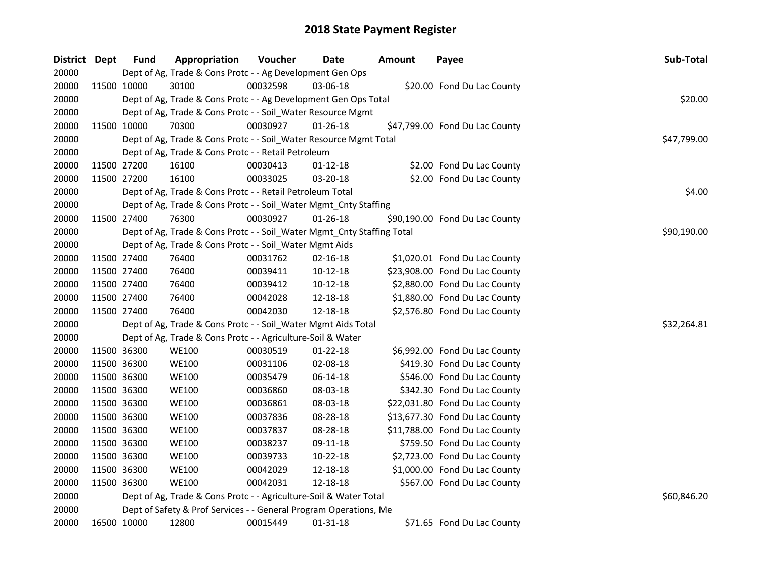| District Dept | <b>Fund</b> | Appropriation                                                          | Voucher  | Date           | <b>Amount</b> | Payee                          | Sub-Total   |
|---------------|-------------|------------------------------------------------------------------------|----------|----------------|---------------|--------------------------------|-------------|
| 20000         |             | Dept of Ag, Trade & Cons Protc - - Ag Development Gen Ops              |          |                |               |                                |             |
| 20000         | 11500 10000 | 30100                                                                  | 00032598 | 03-06-18       |               | \$20.00 Fond Du Lac County     |             |
| 20000         |             | Dept of Ag, Trade & Cons Protc - - Ag Development Gen Ops Total        |          |                |               |                                | \$20.00     |
| 20000         |             | Dept of Ag, Trade & Cons Protc - - Soil_Water Resource Mgmt            |          |                |               |                                |             |
| 20000         | 11500 10000 | 70300                                                                  | 00030927 | $01 - 26 - 18$ |               | \$47,799.00 Fond Du Lac County |             |
| 20000         |             | Dept of Ag, Trade & Cons Protc - - Soil_Water Resource Mgmt Total      |          |                |               |                                | \$47,799.00 |
| 20000         |             | Dept of Ag, Trade & Cons Protc - - Retail Petroleum                    |          |                |               |                                |             |
| 20000         | 11500 27200 | 16100                                                                  | 00030413 | $01 - 12 - 18$ |               | \$2.00 Fond Du Lac County      |             |
| 20000         | 11500 27200 | 16100                                                                  | 00033025 | 03-20-18       |               | \$2.00 Fond Du Lac County      |             |
| 20000         |             | Dept of Ag, Trade & Cons Protc - - Retail Petroleum Total              |          |                |               |                                | \$4.00      |
| 20000         |             | Dept of Ag, Trade & Cons Protc - - Soil_Water Mgmt_Cnty Staffing       |          |                |               |                                |             |
| 20000         | 11500 27400 | 76300                                                                  | 00030927 | $01 - 26 - 18$ |               | \$90,190.00 Fond Du Lac County |             |
| 20000         |             | Dept of Ag, Trade & Cons Protc - - Soil_Water Mgmt_Cnty Staffing Total |          |                |               |                                | \$90,190.00 |
| 20000         |             | Dept of Ag, Trade & Cons Protc - - Soil_Water Mgmt Aids                |          |                |               |                                |             |
| 20000         | 11500 27400 | 76400                                                                  | 00031762 | 02-16-18       |               | \$1,020.01 Fond Du Lac County  |             |
| 20000         | 11500 27400 | 76400                                                                  | 00039411 | 10-12-18       |               | \$23,908.00 Fond Du Lac County |             |
| 20000         | 11500 27400 | 76400                                                                  | 00039412 | $10-12-18$     |               | \$2,880.00 Fond Du Lac County  |             |
| 20000         | 11500 27400 | 76400                                                                  | 00042028 | 12-18-18       |               | \$1,880.00 Fond Du Lac County  |             |
| 20000         | 11500 27400 | 76400                                                                  | 00042030 | 12-18-18       |               | \$2,576.80 Fond Du Lac County  |             |
| 20000         |             | Dept of Ag, Trade & Cons Protc - - Soil_Water Mgmt Aids Total          |          |                |               |                                | \$32,264.81 |
| 20000         |             | Dept of Ag, Trade & Cons Protc - - Agriculture-Soil & Water            |          |                |               |                                |             |
| 20000         | 11500 36300 | <b>WE100</b>                                                           | 00030519 | $01 - 22 - 18$ |               | \$6,992.00 Fond Du Lac County  |             |
| 20000         | 11500 36300 | <b>WE100</b>                                                           | 00031106 | 02-08-18       |               | \$419.30 Fond Du Lac County    |             |
| 20000         | 11500 36300 | <b>WE100</b>                                                           | 00035479 | 06-14-18       |               | \$546.00 Fond Du Lac County    |             |
| 20000         | 11500 36300 | <b>WE100</b>                                                           | 00036860 | 08-03-18       |               | \$342.30 Fond Du Lac County    |             |
| 20000         | 11500 36300 | <b>WE100</b>                                                           | 00036861 | 08-03-18       |               | \$22,031.80 Fond Du Lac County |             |
| 20000         | 11500 36300 | <b>WE100</b>                                                           | 00037836 | 08-28-18       |               | \$13,677.30 Fond Du Lac County |             |
| 20000         | 11500 36300 | <b>WE100</b>                                                           | 00037837 | 08-28-18       |               | \$11,788.00 Fond Du Lac County |             |
| 20000         | 11500 36300 | <b>WE100</b>                                                           | 00038237 | 09-11-18       |               | \$759.50 Fond Du Lac County    |             |
| 20000         | 11500 36300 | <b>WE100</b>                                                           | 00039733 | 10-22-18       |               | \$2,723.00 Fond Du Lac County  |             |
| 20000         | 11500 36300 | <b>WE100</b>                                                           | 00042029 | 12-18-18       |               | \$1,000.00 Fond Du Lac County  |             |
| 20000         | 11500 36300 | <b>WE100</b>                                                           | 00042031 | 12-18-18       |               | \$567.00 Fond Du Lac County    |             |
| 20000         |             | Dept of Ag, Trade & Cons Protc - - Agriculture-Soil & Water Total      |          |                |               |                                | \$60,846.20 |
| 20000         |             | Dept of Safety & Prof Services - - General Program Operations, Me      |          |                |               |                                |             |
| 20000         | 16500 10000 | 12800                                                                  | 00015449 | 01-31-18       |               | \$71.65 Fond Du Lac County     |             |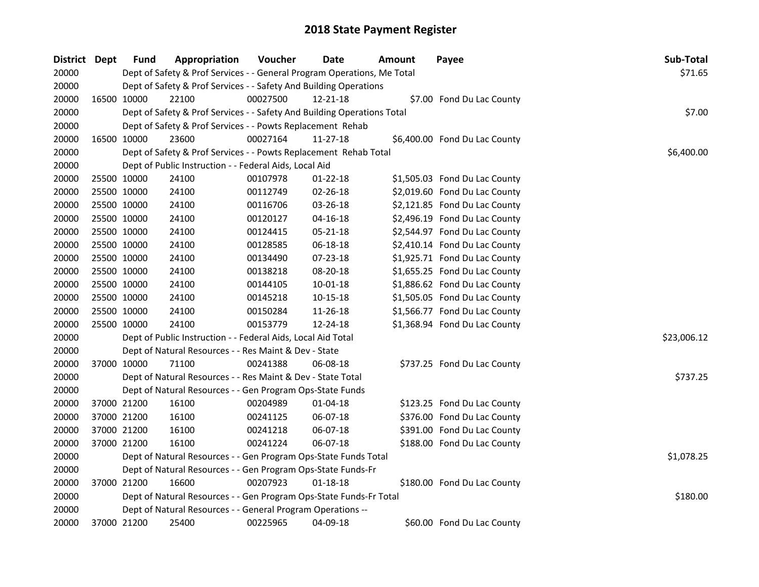| District Dept | <b>Fund</b> | Appropriation                                                           | <b>Voucher</b> | Date           | Amount | Payee                         | Sub-Total   |
|---------------|-------------|-------------------------------------------------------------------------|----------------|----------------|--------|-------------------------------|-------------|
| 20000         |             | Dept of Safety & Prof Services - - General Program Operations, Me Total |                |                |        |                               | \$71.65     |
| 20000         |             | Dept of Safety & Prof Services - - Safety And Building Operations       |                |                |        |                               |             |
| 20000         | 16500 10000 | 22100                                                                   | 00027500       | 12-21-18       |        | \$7.00 Fond Du Lac County     |             |
| 20000         |             | Dept of Safety & Prof Services - - Safety And Building Operations Total |                |                |        |                               | \$7.00      |
| 20000         |             | Dept of Safety & Prof Services - - Powts Replacement Rehab              |                |                |        |                               |             |
| 20000         | 16500 10000 | 23600                                                                   | 00027164       | 11-27-18       |        | \$6,400.00 Fond Du Lac County |             |
| 20000         |             | Dept of Safety & Prof Services - - Powts Replacement Rehab Total        |                |                |        |                               | \$6,400.00  |
| 20000         |             | Dept of Public Instruction - - Federal Aids, Local Aid                  |                |                |        |                               |             |
| 20000         | 25500 10000 | 24100                                                                   | 00107978       | $01 - 22 - 18$ |        | \$1,505.03 Fond Du Lac County |             |
| 20000         | 25500 10000 | 24100                                                                   | 00112749       | 02-26-18       |        | \$2,019.60 Fond Du Lac County |             |
| 20000         | 25500 10000 | 24100                                                                   | 00116706       | 03-26-18       |        | \$2,121.85 Fond Du Lac County |             |
| 20000         | 25500 10000 | 24100                                                                   | 00120127       | 04-16-18       |        | \$2,496.19 Fond Du Lac County |             |
| 20000         | 25500 10000 | 24100                                                                   | 00124415       | 05-21-18       |        | \$2,544.97 Fond Du Lac County |             |
| 20000         | 25500 10000 | 24100                                                                   | 00128585       | 06-18-18       |        | \$2,410.14 Fond Du Lac County |             |
| 20000         | 25500 10000 | 24100                                                                   | 00134490       | 07-23-18       |        | \$1,925.71 Fond Du Lac County |             |
| 20000         | 25500 10000 | 24100                                                                   | 00138218       | 08-20-18       |        | \$1,655.25 Fond Du Lac County |             |
| 20000         | 25500 10000 | 24100                                                                   | 00144105       | 10-01-18       |        | \$1,886.62 Fond Du Lac County |             |
| 20000         | 25500 10000 | 24100                                                                   | 00145218       | 10-15-18       |        | \$1,505.05 Fond Du Lac County |             |
| 20000         | 25500 10000 | 24100                                                                   | 00150284       | 11-26-18       |        | \$1,566.77 Fond Du Lac County |             |
| 20000         | 25500 10000 | 24100                                                                   | 00153779       | 12-24-18       |        | \$1,368.94 Fond Du Lac County |             |
| 20000         |             | Dept of Public Instruction - - Federal Aids, Local Aid Total            |                |                |        |                               | \$23,006.12 |
| 20000         |             | Dept of Natural Resources - - Res Maint & Dev - State                   |                |                |        |                               |             |
| 20000         | 37000 10000 | 71100                                                                   | 00241388       | 06-08-18       |        | \$737.25 Fond Du Lac County   |             |
| 20000         |             | Dept of Natural Resources - - Res Maint & Dev - State Total             |                |                |        |                               | \$737.25    |
| 20000         |             | Dept of Natural Resources - - Gen Program Ops-State Funds               |                |                |        |                               |             |
| 20000         | 37000 21200 | 16100                                                                   | 00204989       | 01-04-18       |        | \$123.25 Fond Du Lac County   |             |
| 20000         | 37000 21200 | 16100                                                                   | 00241125       | 06-07-18       |        | \$376.00 Fond Du Lac County   |             |
| 20000         | 37000 21200 | 16100                                                                   | 00241218       | 06-07-18       |        | \$391.00 Fond Du Lac County   |             |
| 20000         | 37000 21200 | 16100                                                                   | 00241224       | 06-07-18       |        | \$188.00 Fond Du Lac County   |             |
| 20000         |             | Dept of Natural Resources - - Gen Program Ops-State Funds Total         |                |                |        |                               | \$1,078.25  |
| 20000         |             | Dept of Natural Resources - - Gen Program Ops-State Funds-Fr            |                |                |        |                               |             |
| 20000         | 37000 21200 | 16600                                                                   | 00207923       | 01-18-18       |        | \$180.00 Fond Du Lac County   |             |
| 20000         |             | Dept of Natural Resources - - Gen Program Ops-State Funds-Fr Total      |                |                |        |                               | \$180.00    |
| 20000         |             | Dept of Natural Resources - - General Program Operations --             |                |                |        |                               |             |
| 20000         | 37000 21200 | 25400                                                                   | 00225965       | 04-09-18       |        | \$60.00 Fond Du Lac County    |             |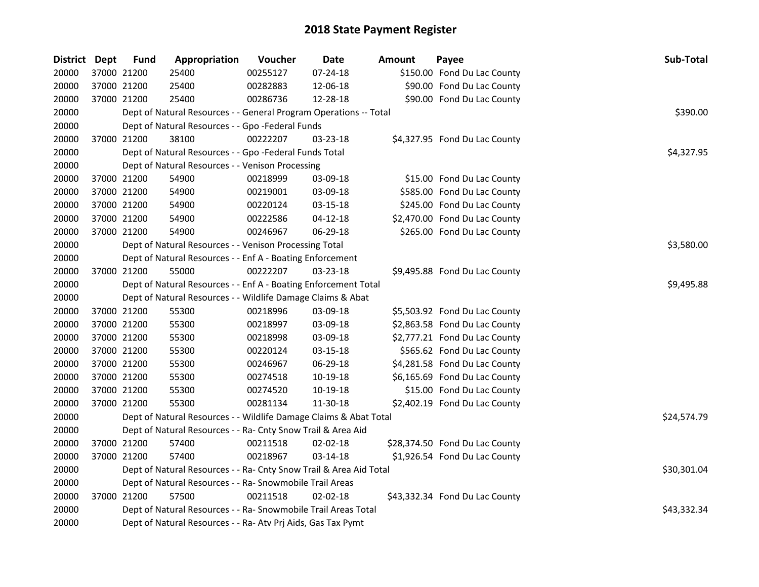| District Dept |             | <b>Fund</b> | Appropriation                                                      | Voucher  | Date           | <b>Amount</b> | Payee                          | Sub-Total   |
|---------------|-------------|-------------|--------------------------------------------------------------------|----------|----------------|---------------|--------------------------------|-------------|
| 20000         |             | 37000 21200 | 25400                                                              | 00255127 | $07 - 24 - 18$ |               | \$150.00 Fond Du Lac County    |             |
| 20000         | 37000 21200 |             | 25400                                                              | 00282883 | 12-06-18       |               | \$90.00 Fond Du Lac County     |             |
| 20000         |             | 37000 21200 | 25400                                                              | 00286736 | 12-28-18       |               | \$90.00 Fond Du Lac County     |             |
| 20000         |             |             | Dept of Natural Resources - - General Program Operations -- Total  |          |                |               |                                | \$390.00    |
| 20000         |             |             | Dept of Natural Resources - - Gpo -Federal Funds                   |          |                |               |                                |             |
| 20000         |             | 37000 21200 | 38100                                                              | 00222207 | 03-23-18       |               | \$4,327.95 Fond Du Lac County  |             |
| 20000         |             |             | Dept of Natural Resources - - Gpo -Federal Funds Total             |          |                |               |                                | \$4,327.95  |
| 20000         |             |             | Dept of Natural Resources - - Venison Processing                   |          |                |               |                                |             |
| 20000         | 37000 21200 |             | 54900                                                              | 00218999 | 03-09-18       |               | \$15.00 Fond Du Lac County     |             |
| 20000         | 37000 21200 |             | 54900                                                              | 00219001 | 03-09-18       |               | \$585.00 Fond Du Lac County    |             |
| 20000         | 37000 21200 |             | 54900                                                              | 00220124 | 03-15-18       |               | \$245.00 Fond Du Lac County    |             |
| 20000         | 37000 21200 |             | 54900                                                              | 00222586 | $04 - 12 - 18$ |               | \$2,470.00 Fond Du Lac County  |             |
| 20000         |             | 37000 21200 | 54900                                                              | 00246967 | 06-29-18       |               | \$265.00 Fond Du Lac County    |             |
| 20000         |             |             | Dept of Natural Resources - - Venison Processing Total             |          |                |               |                                | \$3,580.00  |
| 20000         |             |             | Dept of Natural Resources - - Enf A - Boating Enforcement          |          |                |               |                                |             |
| 20000         |             | 37000 21200 | 55000                                                              | 00222207 | $03 - 23 - 18$ |               | \$9,495.88 Fond Du Lac County  |             |
| 20000         |             |             | Dept of Natural Resources - - Enf A - Boating Enforcement Total    |          |                |               |                                | \$9,495.88  |
| 20000         |             |             | Dept of Natural Resources - - Wildlife Damage Claims & Abat        |          |                |               |                                |             |
| 20000         | 37000 21200 |             | 55300                                                              | 00218996 | 03-09-18       |               | \$5,503.92 Fond Du Lac County  |             |
| 20000         | 37000 21200 |             | 55300                                                              | 00218997 | 03-09-18       |               | \$2,863.58 Fond Du Lac County  |             |
| 20000         | 37000 21200 |             | 55300                                                              | 00218998 | 03-09-18       |               | \$2,777.21 Fond Du Lac County  |             |
| 20000         | 37000 21200 |             | 55300                                                              | 00220124 | 03-15-18       |               | \$565.62 Fond Du Lac County    |             |
| 20000         | 37000 21200 |             | 55300                                                              | 00246967 | 06-29-18       |               | \$4,281.58 Fond Du Lac County  |             |
| 20000         | 37000 21200 |             | 55300                                                              | 00274518 | 10-19-18       |               | \$6,165.69 Fond Du Lac County  |             |
| 20000         |             | 37000 21200 | 55300                                                              | 00274520 | 10-19-18       |               | \$15.00 Fond Du Lac County     |             |
| 20000         |             | 37000 21200 | 55300                                                              | 00281134 | 11-30-18       |               | \$2,402.19 Fond Du Lac County  |             |
| 20000         |             |             | Dept of Natural Resources - - Wildlife Damage Claims & Abat Total  |          |                |               |                                | \$24,574.79 |
| 20000         |             |             | Dept of Natural Resources - - Ra- Cnty Snow Trail & Area Aid       |          |                |               |                                |             |
| 20000         |             | 37000 21200 | 57400                                                              | 00211518 | 02-02-18       |               | \$28,374.50 Fond Du Lac County |             |
| 20000         |             | 37000 21200 | 57400                                                              | 00218967 | 03-14-18       |               | \$1,926.54 Fond Du Lac County  |             |
| 20000         |             |             | Dept of Natural Resources - - Ra- Cnty Snow Trail & Area Aid Total |          |                |               |                                | \$30,301.04 |
| 20000         |             |             | Dept of Natural Resources - - Ra- Snowmobile Trail Areas           |          |                |               |                                |             |
| 20000         |             | 37000 21200 | 57500                                                              | 00211518 | $02 - 02 - 18$ |               | \$43,332.34 Fond Du Lac County |             |
| 20000         |             |             | Dept of Natural Resources - - Ra- Snowmobile Trail Areas Total     |          |                |               |                                | \$43,332.34 |
| 20000         |             |             | Dept of Natural Resources - - Ra- Atv Prj Aids, Gas Tax Pymt       |          |                |               |                                |             |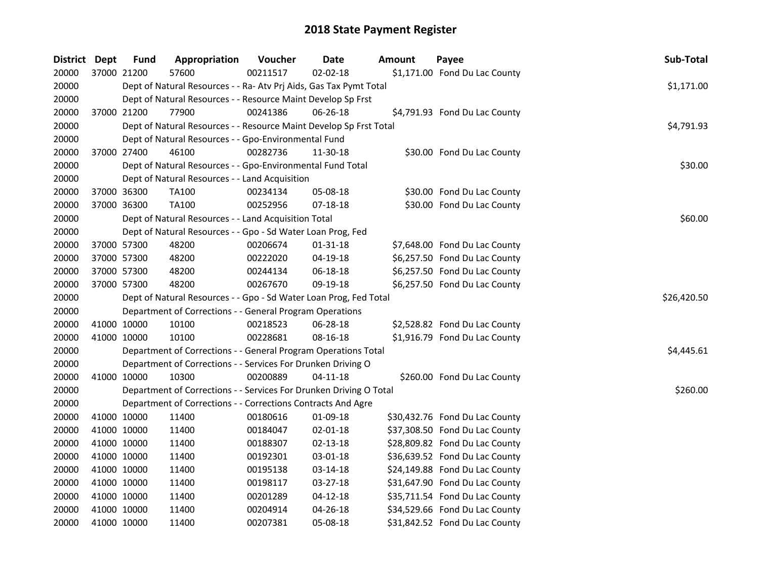| <b>District</b> | <b>Dept</b> | <b>Fund</b> | Appropriation                                                      | Voucher  | <b>Date</b>    | <b>Amount</b> | Payee                          | Sub-Total   |
|-----------------|-------------|-------------|--------------------------------------------------------------------|----------|----------------|---------------|--------------------------------|-------------|
| 20000           |             | 37000 21200 | 57600                                                              | 00211517 | $02 - 02 - 18$ |               | \$1,171.00 Fond Du Lac County  |             |
| 20000           |             |             | Dept of Natural Resources - - Ra- Atv Prj Aids, Gas Tax Pymt Total |          |                |               |                                | \$1,171.00  |
| 20000           |             |             | Dept of Natural Resources - - Resource Maint Develop Sp Frst       |          |                |               |                                |             |
| 20000           | 37000 21200 |             | 77900                                                              | 00241386 | 06-26-18       |               | \$4,791.93 Fond Du Lac County  |             |
| 20000           |             |             | Dept of Natural Resources - - Resource Maint Develop Sp Frst Total |          |                |               |                                | \$4,791.93  |
| 20000           |             |             | Dept of Natural Resources - - Gpo-Environmental Fund               |          |                |               |                                |             |
| 20000           | 37000 27400 |             | 46100                                                              | 00282736 | 11-30-18       |               | \$30.00 Fond Du Lac County     |             |
| 20000           |             |             | Dept of Natural Resources - - Gpo-Environmental Fund Total         |          |                |               |                                | \$30.00     |
| 20000           |             |             | Dept of Natural Resources - - Land Acquisition                     |          |                |               |                                |             |
| 20000           |             | 37000 36300 | <b>TA100</b>                                                       | 00234134 | 05-08-18       |               | \$30.00 Fond Du Lac County     |             |
| 20000           | 37000 36300 |             | <b>TA100</b>                                                       | 00252956 | 07-18-18       |               | \$30.00 Fond Du Lac County     |             |
| 20000           |             |             | Dept of Natural Resources - - Land Acquisition Total               |          |                |               |                                | \$60.00     |
| 20000           |             |             | Dept of Natural Resources - - Gpo - Sd Water Loan Prog, Fed        |          |                |               |                                |             |
| 20000           |             | 37000 57300 | 48200                                                              | 00206674 | $01 - 31 - 18$ |               | \$7,648.00 Fond Du Lac County  |             |
| 20000           |             | 37000 57300 | 48200                                                              | 00222020 | 04-19-18       |               | \$6,257.50 Fond Du Lac County  |             |
| 20000           | 37000 57300 |             | 48200                                                              | 00244134 | 06-18-18       |               | \$6,257.50 Fond Du Lac County  |             |
| 20000           | 37000 57300 |             | 48200                                                              | 00267670 | 09-19-18       |               | \$6,257.50 Fond Du Lac County  |             |
| 20000           |             |             | Dept of Natural Resources - - Gpo - Sd Water Loan Prog, Fed Total  |          |                |               |                                | \$26,420.50 |
| 20000           |             |             | Department of Corrections - - General Program Operations           |          |                |               |                                |             |
| 20000           |             | 41000 10000 | 10100                                                              | 00218523 | 06-28-18       |               | \$2,528.82 Fond Du Lac County  |             |
| 20000           |             | 41000 10000 | 10100                                                              | 00228681 | 08-16-18       |               | \$1,916.79 Fond Du Lac County  |             |
| 20000           |             |             | Department of Corrections - - General Program Operations Total     |          |                |               |                                | \$4,445.61  |
| 20000           |             |             | Department of Corrections - - Services For Drunken Driving O       |          |                |               |                                |             |
| 20000           | 41000 10000 |             | 10300                                                              | 00200889 | $04 - 11 - 18$ |               | \$260.00 Fond Du Lac County    |             |
| 20000           |             |             | Department of Corrections - - Services For Drunken Driving O Total |          |                |               |                                | \$260.00    |
| 20000           |             |             | Department of Corrections - - Corrections Contracts And Agre       |          |                |               |                                |             |
| 20000           |             | 41000 10000 | 11400                                                              | 00180616 | 01-09-18       |               | \$30,432.76 Fond Du Lac County |             |
| 20000           |             | 41000 10000 | 11400                                                              | 00184047 | 02-01-18       |               | \$37,308.50 Fond Du Lac County |             |
| 20000           |             | 41000 10000 | 11400                                                              | 00188307 | $02 - 13 - 18$ |               | \$28,809.82 Fond Du Lac County |             |
| 20000           |             | 41000 10000 | 11400                                                              | 00192301 | 03-01-18       |               | \$36,639.52 Fond Du Lac County |             |
| 20000           |             | 41000 10000 | 11400                                                              | 00195138 | 03-14-18       |               | \$24,149.88 Fond Du Lac County |             |
| 20000           |             | 41000 10000 | 11400                                                              | 00198117 | 03-27-18       |               | \$31,647.90 Fond Du Lac County |             |
| 20000           | 41000 10000 |             | 11400                                                              | 00201289 | $04 - 12 - 18$ |               | \$35,711.54 Fond Du Lac County |             |
| 20000           |             | 41000 10000 | 11400                                                              | 00204914 | 04-26-18       |               | \$34,529.66 Fond Du Lac County |             |
| 20000           | 41000 10000 |             | 11400                                                              | 00207381 | 05-08-18       |               | \$31,842.52 Fond Du Lac County |             |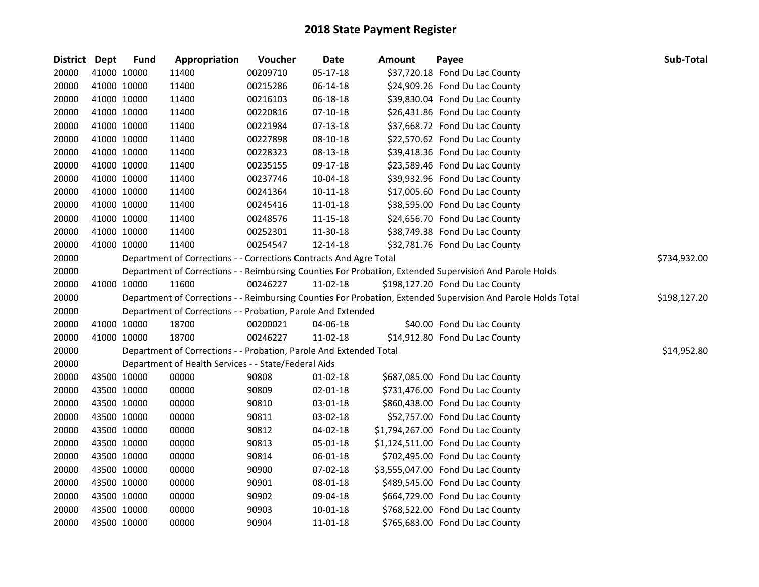| District Dept |             | <b>Fund</b> | Appropriation                                                      | Voucher  | Date           | Amount | Payee                                                                                                         | Sub-Total    |
|---------------|-------------|-------------|--------------------------------------------------------------------|----------|----------------|--------|---------------------------------------------------------------------------------------------------------------|--------------|
| 20000         | 41000 10000 |             | 11400                                                              | 00209710 | $05 - 17 - 18$ |        | \$37,720.18 Fond Du Lac County                                                                                |              |
| 20000         | 41000 10000 |             | 11400                                                              | 00215286 | 06-14-18       |        | \$24,909.26 Fond Du Lac County                                                                                |              |
| 20000         | 41000 10000 |             | 11400                                                              | 00216103 | 06-18-18       |        | \$39,830.04 Fond Du Lac County                                                                                |              |
| 20000         | 41000 10000 |             | 11400                                                              | 00220816 | $07-10-18$     |        | \$26,431.86 Fond Du Lac County                                                                                |              |
| 20000         | 41000 10000 |             | 11400                                                              | 00221984 | $07-13-18$     |        | \$37,668.72 Fond Du Lac County                                                                                |              |
| 20000         | 41000 10000 |             | 11400                                                              | 00227898 | $08 - 10 - 18$ |        | \$22,570.62 Fond Du Lac County                                                                                |              |
| 20000         | 41000 10000 |             | 11400                                                              | 00228323 | 08-13-18       |        | \$39,418.36 Fond Du Lac County                                                                                |              |
| 20000         | 41000 10000 |             | 11400                                                              | 00235155 | 09-17-18       |        | \$23,589.46 Fond Du Lac County                                                                                |              |
| 20000         | 41000 10000 |             | 11400                                                              | 00237746 | 10-04-18       |        | \$39,932.96 Fond Du Lac County                                                                                |              |
| 20000         | 41000 10000 |             | 11400                                                              | 00241364 | $10 - 11 - 18$ |        | \$17,005.60 Fond Du Lac County                                                                                |              |
| 20000         | 41000 10000 |             | 11400                                                              | 00245416 | 11-01-18       |        | \$38,595.00 Fond Du Lac County                                                                                |              |
| 20000         | 41000 10000 |             | 11400                                                              | 00248576 | 11-15-18       |        | \$24,656.70 Fond Du Lac County                                                                                |              |
| 20000         | 41000 10000 |             | 11400                                                              | 00252301 | 11-30-18       |        | \$38,749.38 Fond Du Lac County                                                                                |              |
| 20000         |             | 41000 10000 | 11400                                                              | 00254547 | 12-14-18       |        | \$32,781.76 Fond Du Lac County                                                                                |              |
| 20000         |             |             | Department of Corrections - - Corrections Contracts And Agre Total |          |                |        |                                                                                                               | \$734,932.00 |
| 20000         |             |             |                                                                    |          |                |        | Department of Corrections - - Reimbursing Counties For Probation, Extended Supervision And Parole Holds       |              |
| 20000         | 41000 10000 |             | 11600                                                              | 00246227 | 11-02-18       |        | \$198,127.20 Fond Du Lac County                                                                               |              |
| 20000         |             |             |                                                                    |          |                |        | Department of Corrections - - Reimbursing Counties For Probation, Extended Supervision And Parole Holds Total | \$198,127.20 |
| 20000         |             |             | Department of Corrections - - Probation, Parole And Extended       |          |                |        |                                                                                                               |              |
| 20000         | 41000 10000 |             | 18700                                                              | 00200021 | 04-06-18       |        | \$40.00 Fond Du Lac County                                                                                    |              |
| 20000         | 41000 10000 |             | 18700                                                              | 00246227 | 11-02-18       |        | \$14,912.80 Fond Du Lac County                                                                                |              |
| 20000         |             |             | Department of Corrections - - Probation, Parole And Extended Total |          |                |        |                                                                                                               | \$14,952.80  |
| 20000         |             |             | Department of Health Services - - State/Federal Aids               |          |                |        |                                                                                                               |              |
| 20000         | 43500 10000 |             | 00000                                                              | 90808    | $01 - 02 - 18$ |        | \$687,085.00 Fond Du Lac County                                                                               |              |
| 20000         | 43500 10000 |             | 00000                                                              | 90809    | 02-01-18       |        | \$731,476.00 Fond Du Lac County                                                                               |              |
| 20000         | 43500 10000 |             | 00000                                                              | 90810    | 03-01-18       |        | \$860,438.00 Fond Du Lac County                                                                               |              |
| 20000         | 43500 10000 |             | 00000                                                              | 90811    | 03-02-18       |        | \$52,757.00 Fond Du Lac County                                                                                |              |
| 20000         | 43500 10000 |             | 00000                                                              | 90812    | 04-02-18       |        | \$1,794,267.00 Fond Du Lac County                                                                             |              |
| 20000         | 43500 10000 |             | 00000                                                              | 90813    | 05-01-18       |        | \$1,124,511.00 Fond Du Lac County                                                                             |              |
| 20000         | 43500 10000 |             | 00000                                                              | 90814    | 06-01-18       |        | \$702,495.00 Fond Du Lac County                                                                               |              |
| 20000         | 43500 10000 |             | 00000                                                              | 90900    | 07-02-18       |        | \$3,555,047.00 Fond Du Lac County                                                                             |              |
| 20000         | 43500 10000 |             | 00000                                                              | 90901    | 08-01-18       |        | \$489,545.00 Fond Du Lac County                                                                               |              |
| 20000         | 43500 10000 |             | 00000                                                              | 90902    | 09-04-18       |        | \$664,729.00 Fond Du Lac County                                                                               |              |
| 20000         | 43500 10000 |             | 00000                                                              | 90903    | $10 - 01 - 18$ |        | \$768,522.00 Fond Du Lac County                                                                               |              |
| 20000         | 43500 10000 |             | 00000                                                              | 90904    | 11-01-18       |        | \$765,683.00 Fond Du Lac County                                                                               |              |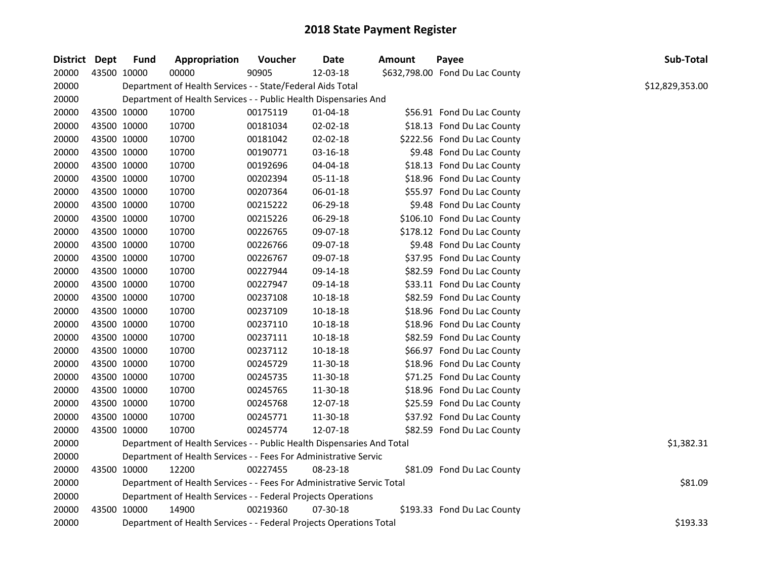| District Dept |             | <b>Fund</b> | Appropriation                                                          | Voucher  | <b>Date</b>    | Amount | Payee                           | Sub-Total       |
|---------------|-------------|-------------|------------------------------------------------------------------------|----------|----------------|--------|---------------------------------|-----------------|
| 20000         | 43500 10000 |             | 00000                                                                  | 90905    | 12-03-18       |        | \$632,798.00 Fond Du Lac County |                 |
| 20000         |             |             | Department of Health Services - - State/Federal Aids Total             |          |                |        |                                 | \$12,829,353.00 |
| 20000         |             |             | Department of Health Services - - Public Health Dispensaries And       |          |                |        |                                 |                 |
| 20000         | 43500 10000 |             | 10700                                                                  | 00175119 | 01-04-18       |        | \$56.91 Fond Du Lac County      |                 |
| 20000         |             | 43500 10000 | 10700                                                                  | 00181034 | $02 - 02 - 18$ |        | \$18.13 Fond Du Lac County      |                 |
| 20000         |             | 43500 10000 | 10700                                                                  | 00181042 | 02-02-18       |        | \$222.56 Fond Du Lac County     |                 |
| 20000         | 43500 10000 |             | 10700                                                                  | 00190771 | 03-16-18       |        | \$9.48 Fond Du Lac County       |                 |
| 20000         | 43500 10000 |             | 10700                                                                  | 00192696 | 04-04-18       |        | \$18.13 Fond Du Lac County      |                 |
| 20000         | 43500 10000 |             | 10700                                                                  | 00202394 | 05-11-18       |        | \$18.96 Fond Du Lac County      |                 |
| 20000         | 43500 10000 |             | 10700                                                                  | 00207364 | 06-01-18       |        | \$55.97 Fond Du Lac County      |                 |
| 20000         | 43500 10000 |             | 10700                                                                  | 00215222 | 06-29-18       |        | \$9.48 Fond Du Lac County       |                 |
| 20000         | 43500 10000 |             | 10700                                                                  | 00215226 | 06-29-18       |        | \$106.10 Fond Du Lac County     |                 |
| 20000         | 43500 10000 |             | 10700                                                                  | 00226765 | 09-07-18       |        | \$178.12 Fond Du Lac County     |                 |
| 20000         | 43500 10000 |             | 10700                                                                  | 00226766 | 09-07-18       |        | \$9.48 Fond Du Lac County       |                 |
| 20000         | 43500 10000 |             | 10700                                                                  | 00226767 | 09-07-18       |        | \$37.95 Fond Du Lac County      |                 |
| 20000         | 43500 10000 |             | 10700                                                                  | 00227944 | 09-14-18       |        | \$82.59 Fond Du Lac County      |                 |
| 20000         | 43500 10000 |             | 10700                                                                  | 00227947 | 09-14-18       |        | \$33.11 Fond Du Lac County      |                 |
| 20000         |             | 43500 10000 | 10700                                                                  | 00237108 | 10-18-18       |        | \$82.59 Fond Du Lac County      |                 |
| 20000         | 43500 10000 |             | 10700                                                                  | 00237109 | 10-18-18       |        | \$18.96 Fond Du Lac County      |                 |
| 20000         | 43500 10000 |             | 10700                                                                  | 00237110 | 10-18-18       |        | \$18.96 Fond Du Lac County      |                 |
| 20000         | 43500 10000 |             | 10700                                                                  | 00237111 | 10-18-18       |        | \$82.59 Fond Du Lac County      |                 |
| 20000         | 43500 10000 |             | 10700                                                                  | 00237112 | 10-18-18       |        | \$66.97 Fond Du Lac County      |                 |
| 20000         | 43500 10000 |             | 10700                                                                  | 00245729 | 11-30-18       |        | \$18.96 Fond Du Lac County      |                 |
| 20000         | 43500 10000 |             | 10700                                                                  | 00245735 | 11-30-18       |        | \$71.25 Fond Du Lac County      |                 |
| 20000         | 43500 10000 |             | 10700                                                                  | 00245765 | 11-30-18       |        | \$18.96 Fond Du Lac County      |                 |
| 20000         | 43500 10000 |             | 10700                                                                  | 00245768 | 12-07-18       |        | \$25.59 Fond Du Lac County      |                 |
| 20000         | 43500 10000 |             | 10700                                                                  | 00245771 | 11-30-18       |        | \$37.92 Fond Du Lac County      |                 |
| 20000         |             | 43500 10000 | 10700                                                                  | 00245774 | 12-07-18       |        | \$82.59 Fond Du Lac County      |                 |
| 20000         |             |             | Department of Health Services - - Public Health Dispensaries And Total |          |                |        |                                 | \$1,382.31      |
| 20000         |             |             | Department of Health Services - - Fees For Administrative Servic       |          |                |        |                                 |                 |
| 20000         |             | 43500 10000 | 12200                                                                  | 00227455 | 08-23-18       |        | \$81.09 Fond Du Lac County      |                 |
| 20000         |             |             | Department of Health Services - - Fees For Administrative Servic Total |          |                |        |                                 | \$81.09         |
| 20000         |             |             | Department of Health Services - - Federal Projects Operations          |          |                |        |                                 |                 |
| 20000         |             | 43500 10000 | 14900                                                                  | 00219360 | 07-30-18       |        | \$193.33 Fond Du Lac County     |                 |
| 20000         |             |             | Department of Health Services - - Federal Projects Operations Total    |          |                |        |                                 | \$193.33        |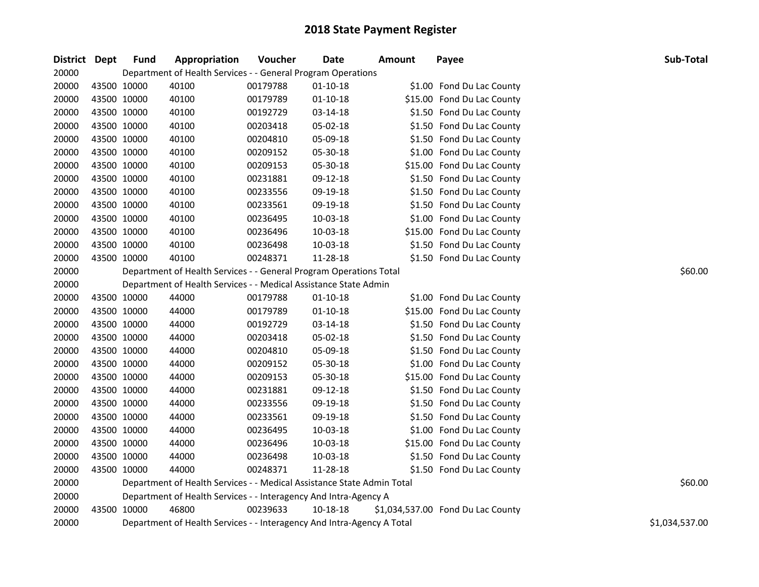| 20000<br>Department of Health Services - - General Program Operations<br>20000<br>43500 10000<br>40100<br>00179788<br>$01 - 10 - 18$<br>\$1.00 Fond Du Lac County<br>40100<br>20000<br>43500 10000<br>$01 - 10 - 18$<br>\$15.00 Fond Du Lac County<br>00179789<br>40100<br>20000<br>43500 10000<br>00192729<br>03-14-18<br>\$1.50 Fond Du Lac County<br>20000<br>43500 10000<br>40100<br>00203418<br>05-02-18<br>\$1.50 Fond Du Lac County<br>40100<br>05-09-18<br>20000<br>43500 10000<br>00204810<br>\$1.50 Fond Du Lac County<br>20000<br>43500 10000<br>40100<br>05-30-18<br>\$1.00 Fond Du Lac County<br>00209152<br>20000<br>43500 10000<br>40100<br>\$15.00 Fond Du Lac County<br>00209153<br>05-30-18<br>20000<br>40100<br>43500 10000<br>00231881<br>09-12-18<br>\$1.50 Fond Du Lac County<br>43500 10000<br>40100<br>20000<br>00233556<br>09-19-18<br>\$1.50 Fond Du Lac County<br>20000<br>43500 10000<br>40100<br>09-19-18<br>\$1.50 Fond Du Lac County<br>00233561<br>20000<br>43500 10000<br>40100<br>10-03-18<br>\$1.00 Fond Du Lac County<br>00236495<br>43500 10000<br>40100<br>\$15.00 Fond Du Lac County<br>20000<br>00236496<br>10-03-18<br>40100<br>20000<br>43500 10000<br>00236498<br>10-03-18<br>\$1.50 Fond Du Lac County<br>20000<br>43500 10000<br>40100<br>11-28-18<br>\$1.50 Fond Du Lac County<br>00248371<br>20000<br>Department of Health Services - - General Program Operations Total<br>\$60.00<br>20000<br>Department of Health Services - - Medical Assistance State Admin<br>20000<br>43500 10000<br>44000<br>00179788<br>$01 - 10 - 18$<br>\$1.00 Fond Du Lac County<br>20000<br>44000<br>43500 10000<br>00179789<br>01-10-18<br>\$15.00 Fond Du Lac County<br>20000<br>43500 10000<br>44000<br>00192729<br>03-14-18<br>\$1.50 Fond Du Lac County<br>20000<br>43500 10000<br>44000<br>00203418<br>05-02-18<br>\$1.50 Fond Du Lac County<br>20000<br>44000<br>05-09-18<br>43500 10000<br>00204810<br>\$1.50 Fond Du Lac County<br>44000<br>05-30-18<br>\$1.00 Fond Du Lac County<br>20000<br>43500 10000<br>00209152<br>20000<br>43500 10000<br>44000<br>05-30-18<br>\$15.00 Fond Du Lac County<br>00209153<br>20000<br>43500 10000<br>44000<br>09-12-18<br>00231881<br>\$1.50 Fond Du Lac County<br>44000<br>20000<br>43500 10000<br>00233556<br>09-19-18<br>\$1.50 Fond Du Lac County<br>20000<br>43500 10000<br>44000<br>09-19-18<br>\$1.50 Fond Du Lac County<br>00233561<br>43500 10000<br>44000<br>10-03-18<br>\$1.00 Fond Du Lac County<br>20000<br>00236495<br>43500 10000<br>44000<br>\$15.00 Fond Du Lac County<br>20000<br>00236496<br>10-03-18<br>20000<br>43500 10000<br>44000<br>00236498<br>10-03-18<br>\$1.50 Fond Du Lac County<br>20000<br>43500 10000<br>44000<br>00248371<br>11-28-18<br>\$1.50 Fond Du Lac County<br>20000<br>\$60.00<br>Department of Health Services - - Medical Assistance State Admin Total<br>20000<br>Department of Health Services - - Interagency And Intra-Agency A<br>20000<br>43500 10000<br>46800<br>00239633<br>10-18-18<br>\$1,034,537.00 Fond Du Lac County<br>20000<br>Department of Health Services - - Interagency And Intra-Agency A Total<br>\$1,034,537.00 | District Dept | <b>Fund</b> | Appropriation | Voucher | <b>Date</b> | <b>Amount</b> | Payee | Sub-Total |
|------------------------------------------------------------------------------------------------------------------------------------------------------------------------------------------------------------------------------------------------------------------------------------------------------------------------------------------------------------------------------------------------------------------------------------------------------------------------------------------------------------------------------------------------------------------------------------------------------------------------------------------------------------------------------------------------------------------------------------------------------------------------------------------------------------------------------------------------------------------------------------------------------------------------------------------------------------------------------------------------------------------------------------------------------------------------------------------------------------------------------------------------------------------------------------------------------------------------------------------------------------------------------------------------------------------------------------------------------------------------------------------------------------------------------------------------------------------------------------------------------------------------------------------------------------------------------------------------------------------------------------------------------------------------------------------------------------------------------------------------------------------------------------------------------------------------------------------------------------------------------------------------------------------------------------------------------------------------------------------------------------------------------------------------------------------------------------------------------------------------------------------------------------------------------------------------------------------------------------------------------------------------------------------------------------------------------------------------------------------------------------------------------------------------------------------------------------------------------------------------------------------------------------------------------------------------------------------------------------------------------------------------------------------------------------------------------------------------------------------------------------------------------------------------------------------------------------------------------------------------------------------------------------------------------------------------------------------------------------------------------------------------------------------------------------------------------------------------------------------------------------------------------------|---------------|-------------|---------------|---------|-------------|---------------|-------|-----------|
|                                                                                                                                                                                                                                                                                                                                                                                                                                                                                                                                                                                                                                                                                                                                                                                                                                                                                                                                                                                                                                                                                                                                                                                                                                                                                                                                                                                                                                                                                                                                                                                                                                                                                                                                                                                                                                                                                                                                                                                                                                                                                                                                                                                                                                                                                                                                                                                                                                                                                                                                                                                                                                                                                                                                                                                                                                                                                                                                                                                                                                                                                                                                                            |               |             |               |         |             |               |       |           |
|                                                                                                                                                                                                                                                                                                                                                                                                                                                                                                                                                                                                                                                                                                                                                                                                                                                                                                                                                                                                                                                                                                                                                                                                                                                                                                                                                                                                                                                                                                                                                                                                                                                                                                                                                                                                                                                                                                                                                                                                                                                                                                                                                                                                                                                                                                                                                                                                                                                                                                                                                                                                                                                                                                                                                                                                                                                                                                                                                                                                                                                                                                                                                            |               |             |               |         |             |               |       |           |
|                                                                                                                                                                                                                                                                                                                                                                                                                                                                                                                                                                                                                                                                                                                                                                                                                                                                                                                                                                                                                                                                                                                                                                                                                                                                                                                                                                                                                                                                                                                                                                                                                                                                                                                                                                                                                                                                                                                                                                                                                                                                                                                                                                                                                                                                                                                                                                                                                                                                                                                                                                                                                                                                                                                                                                                                                                                                                                                                                                                                                                                                                                                                                            |               |             |               |         |             |               |       |           |
|                                                                                                                                                                                                                                                                                                                                                                                                                                                                                                                                                                                                                                                                                                                                                                                                                                                                                                                                                                                                                                                                                                                                                                                                                                                                                                                                                                                                                                                                                                                                                                                                                                                                                                                                                                                                                                                                                                                                                                                                                                                                                                                                                                                                                                                                                                                                                                                                                                                                                                                                                                                                                                                                                                                                                                                                                                                                                                                                                                                                                                                                                                                                                            |               |             |               |         |             |               |       |           |
|                                                                                                                                                                                                                                                                                                                                                                                                                                                                                                                                                                                                                                                                                                                                                                                                                                                                                                                                                                                                                                                                                                                                                                                                                                                                                                                                                                                                                                                                                                                                                                                                                                                                                                                                                                                                                                                                                                                                                                                                                                                                                                                                                                                                                                                                                                                                                                                                                                                                                                                                                                                                                                                                                                                                                                                                                                                                                                                                                                                                                                                                                                                                                            |               |             |               |         |             |               |       |           |
|                                                                                                                                                                                                                                                                                                                                                                                                                                                                                                                                                                                                                                                                                                                                                                                                                                                                                                                                                                                                                                                                                                                                                                                                                                                                                                                                                                                                                                                                                                                                                                                                                                                                                                                                                                                                                                                                                                                                                                                                                                                                                                                                                                                                                                                                                                                                                                                                                                                                                                                                                                                                                                                                                                                                                                                                                                                                                                                                                                                                                                                                                                                                                            |               |             |               |         |             |               |       |           |
|                                                                                                                                                                                                                                                                                                                                                                                                                                                                                                                                                                                                                                                                                                                                                                                                                                                                                                                                                                                                                                                                                                                                                                                                                                                                                                                                                                                                                                                                                                                                                                                                                                                                                                                                                                                                                                                                                                                                                                                                                                                                                                                                                                                                                                                                                                                                                                                                                                                                                                                                                                                                                                                                                                                                                                                                                                                                                                                                                                                                                                                                                                                                                            |               |             |               |         |             |               |       |           |
|                                                                                                                                                                                                                                                                                                                                                                                                                                                                                                                                                                                                                                                                                                                                                                                                                                                                                                                                                                                                                                                                                                                                                                                                                                                                                                                                                                                                                                                                                                                                                                                                                                                                                                                                                                                                                                                                                                                                                                                                                                                                                                                                                                                                                                                                                                                                                                                                                                                                                                                                                                                                                                                                                                                                                                                                                                                                                                                                                                                                                                                                                                                                                            |               |             |               |         |             |               |       |           |
|                                                                                                                                                                                                                                                                                                                                                                                                                                                                                                                                                                                                                                                                                                                                                                                                                                                                                                                                                                                                                                                                                                                                                                                                                                                                                                                                                                                                                                                                                                                                                                                                                                                                                                                                                                                                                                                                                                                                                                                                                                                                                                                                                                                                                                                                                                                                                                                                                                                                                                                                                                                                                                                                                                                                                                                                                                                                                                                                                                                                                                                                                                                                                            |               |             |               |         |             |               |       |           |
|                                                                                                                                                                                                                                                                                                                                                                                                                                                                                                                                                                                                                                                                                                                                                                                                                                                                                                                                                                                                                                                                                                                                                                                                                                                                                                                                                                                                                                                                                                                                                                                                                                                                                                                                                                                                                                                                                                                                                                                                                                                                                                                                                                                                                                                                                                                                                                                                                                                                                                                                                                                                                                                                                                                                                                                                                                                                                                                                                                                                                                                                                                                                                            |               |             |               |         |             |               |       |           |
|                                                                                                                                                                                                                                                                                                                                                                                                                                                                                                                                                                                                                                                                                                                                                                                                                                                                                                                                                                                                                                                                                                                                                                                                                                                                                                                                                                                                                                                                                                                                                                                                                                                                                                                                                                                                                                                                                                                                                                                                                                                                                                                                                                                                                                                                                                                                                                                                                                                                                                                                                                                                                                                                                                                                                                                                                                                                                                                                                                                                                                                                                                                                                            |               |             |               |         |             |               |       |           |
|                                                                                                                                                                                                                                                                                                                                                                                                                                                                                                                                                                                                                                                                                                                                                                                                                                                                                                                                                                                                                                                                                                                                                                                                                                                                                                                                                                                                                                                                                                                                                                                                                                                                                                                                                                                                                                                                                                                                                                                                                                                                                                                                                                                                                                                                                                                                                                                                                                                                                                                                                                                                                                                                                                                                                                                                                                                                                                                                                                                                                                                                                                                                                            |               |             |               |         |             |               |       |           |
|                                                                                                                                                                                                                                                                                                                                                                                                                                                                                                                                                                                                                                                                                                                                                                                                                                                                                                                                                                                                                                                                                                                                                                                                                                                                                                                                                                                                                                                                                                                                                                                                                                                                                                                                                                                                                                                                                                                                                                                                                                                                                                                                                                                                                                                                                                                                                                                                                                                                                                                                                                                                                                                                                                                                                                                                                                                                                                                                                                                                                                                                                                                                                            |               |             |               |         |             |               |       |           |
|                                                                                                                                                                                                                                                                                                                                                                                                                                                                                                                                                                                                                                                                                                                                                                                                                                                                                                                                                                                                                                                                                                                                                                                                                                                                                                                                                                                                                                                                                                                                                                                                                                                                                                                                                                                                                                                                                                                                                                                                                                                                                                                                                                                                                                                                                                                                                                                                                                                                                                                                                                                                                                                                                                                                                                                                                                                                                                                                                                                                                                                                                                                                                            |               |             |               |         |             |               |       |           |
|                                                                                                                                                                                                                                                                                                                                                                                                                                                                                                                                                                                                                                                                                                                                                                                                                                                                                                                                                                                                                                                                                                                                                                                                                                                                                                                                                                                                                                                                                                                                                                                                                                                                                                                                                                                                                                                                                                                                                                                                                                                                                                                                                                                                                                                                                                                                                                                                                                                                                                                                                                                                                                                                                                                                                                                                                                                                                                                                                                                                                                                                                                                                                            |               |             |               |         |             |               |       |           |
|                                                                                                                                                                                                                                                                                                                                                                                                                                                                                                                                                                                                                                                                                                                                                                                                                                                                                                                                                                                                                                                                                                                                                                                                                                                                                                                                                                                                                                                                                                                                                                                                                                                                                                                                                                                                                                                                                                                                                                                                                                                                                                                                                                                                                                                                                                                                                                                                                                                                                                                                                                                                                                                                                                                                                                                                                                                                                                                                                                                                                                                                                                                                                            |               |             |               |         |             |               |       |           |
|                                                                                                                                                                                                                                                                                                                                                                                                                                                                                                                                                                                                                                                                                                                                                                                                                                                                                                                                                                                                                                                                                                                                                                                                                                                                                                                                                                                                                                                                                                                                                                                                                                                                                                                                                                                                                                                                                                                                                                                                                                                                                                                                                                                                                                                                                                                                                                                                                                                                                                                                                                                                                                                                                                                                                                                                                                                                                                                                                                                                                                                                                                                                                            |               |             |               |         |             |               |       |           |
|                                                                                                                                                                                                                                                                                                                                                                                                                                                                                                                                                                                                                                                                                                                                                                                                                                                                                                                                                                                                                                                                                                                                                                                                                                                                                                                                                                                                                                                                                                                                                                                                                                                                                                                                                                                                                                                                                                                                                                                                                                                                                                                                                                                                                                                                                                                                                                                                                                                                                                                                                                                                                                                                                                                                                                                                                                                                                                                                                                                                                                                                                                                                                            |               |             |               |         |             |               |       |           |
|                                                                                                                                                                                                                                                                                                                                                                                                                                                                                                                                                                                                                                                                                                                                                                                                                                                                                                                                                                                                                                                                                                                                                                                                                                                                                                                                                                                                                                                                                                                                                                                                                                                                                                                                                                                                                                                                                                                                                                                                                                                                                                                                                                                                                                                                                                                                                                                                                                                                                                                                                                                                                                                                                                                                                                                                                                                                                                                                                                                                                                                                                                                                                            |               |             |               |         |             |               |       |           |
|                                                                                                                                                                                                                                                                                                                                                                                                                                                                                                                                                                                                                                                                                                                                                                                                                                                                                                                                                                                                                                                                                                                                                                                                                                                                                                                                                                                                                                                                                                                                                                                                                                                                                                                                                                                                                                                                                                                                                                                                                                                                                                                                                                                                                                                                                                                                                                                                                                                                                                                                                                                                                                                                                                                                                                                                                                                                                                                                                                                                                                                                                                                                                            |               |             |               |         |             |               |       |           |
|                                                                                                                                                                                                                                                                                                                                                                                                                                                                                                                                                                                                                                                                                                                                                                                                                                                                                                                                                                                                                                                                                                                                                                                                                                                                                                                                                                                                                                                                                                                                                                                                                                                                                                                                                                                                                                                                                                                                                                                                                                                                                                                                                                                                                                                                                                                                                                                                                                                                                                                                                                                                                                                                                                                                                                                                                                                                                                                                                                                                                                                                                                                                                            |               |             |               |         |             |               |       |           |
|                                                                                                                                                                                                                                                                                                                                                                                                                                                                                                                                                                                                                                                                                                                                                                                                                                                                                                                                                                                                                                                                                                                                                                                                                                                                                                                                                                                                                                                                                                                                                                                                                                                                                                                                                                                                                                                                                                                                                                                                                                                                                                                                                                                                                                                                                                                                                                                                                                                                                                                                                                                                                                                                                                                                                                                                                                                                                                                                                                                                                                                                                                                                                            |               |             |               |         |             |               |       |           |
|                                                                                                                                                                                                                                                                                                                                                                                                                                                                                                                                                                                                                                                                                                                                                                                                                                                                                                                                                                                                                                                                                                                                                                                                                                                                                                                                                                                                                                                                                                                                                                                                                                                                                                                                                                                                                                                                                                                                                                                                                                                                                                                                                                                                                                                                                                                                                                                                                                                                                                                                                                                                                                                                                                                                                                                                                                                                                                                                                                                                                                                                                                                                                            |               |             |               |         |             |               |       |           |
|                                                                                                                                                                                                                                                                                                                                                                                                                                                                                                                                                                                                                                                                                                                                                                                                                                                                                                                                                                                                                                                                                                                                                                                                                                                                                                                                                                                                                                                                                                                                                                                                                                                                                                                                                                                                                                                                                                                                                                                                                                                                                                                                                                                                                                                                                                                                                                                                                                                                                                                                                                                                                                                                                                                                                                                                                                                                                                                                                                                                                                                                                                                                                            |               |             |               |         |             |               |       |           |
|                                                                                                                                                                                                                                                                                                                                                                                                                                                                                                                                                                                                                                                                                                                                                                                                                                                                                                                                                                                                                                                                                                                                                                                                                                                                                                                                                                                                                                                                                                                                                                                                                                                                                                                                                                                                                                                                                                                                                                                                                                                                                                                                                                                                                                                                                                                                                                                                                                                                                                                                                                                                                                                                                                                                                                                                                                                                                                                                                                                                                                                                                                                                                            |               |             |               |         |             |               |       |           |
|                                                                                                                                                                                                                                                                                                                                                                                                                                                                                                                                                                                                                                                                                                                                                                                                                                                                                                                                                                                                                                                                                                                                                                                                                                                                                                                                                                                                                                                                                                                                                                                                                                                                                                                                                                                                                                                                                                                                                                                                                                                                                                                                                                                                                                                                                                                                                                                                                                                                                                                                                                                                                                                                                                                                                                                                                                                                                                                                                                                                                                                                                                                                                            |               |             |               |         |             |               |       |           |
|                                                                                                                                                                                                                                                                                                                                                                                                                                                                                                                                                                                                                                                                                                                                                                                                                                                                                                                                                                                                                                                                                                                                                                                                                                                                                                                                                                                                                                                                                                                                                                                                                                                                                                                                                                                                                                                                                                                                                                                                                                                                                                                                                                                                                                                                                                                                                                                                                                                                                                                                                                                                                                                                                                                                                                                                                                                                                                                                                                                                                                                                                                                                                            |               |             |               |         |             |               |       |           |
|                                                                                                                                                                                                                                                                                                                                                                                                                                                                                                                                                                                                                                                                                                                                                                                                                                                                                                                                                                                                                                                                                                                                                                                                                                                                                                                                                                                                                                                                                                                                                                                                                                                                                                                                                                                                                                                                                                                                                                                                                                                                                                                                                                                                                                                                                                                                                                                                                                                                                                                                                                                                                                                                                                                                                                                                                                                                                                                                                                                                                                                                                                                                                            |               |             |               |         |             |               |       |           |
|                                                                                                                                                                                                                                                                                                                                                                                                                                                                                                                                                                                                                                                                                                                                                                                                                                                                                                                                                                                                                                                                                                                                                                                                                                                                                                                                                                                                                                                                                                                                                                                                                                                                                                                                                                                                                                                                                                                                                                                                                                                                                                                                                                                                                                                                                                                                                                                                                                                                                                                                                                                                                                                                                                                                                                                                                                                                                                                                                                                                                                                                                                                                                            |               |             |               |         |             |               |       |           |
|                                                                                                                                                                                                                                                                                                                                                                                                                                                                                                                                                                                                                                                                                                                                                                                                                                                                                                                                                                                                                                                                                                                                                                                                                                                                                                                                                                                                                                                                                                                                                                                                                                                                                                                                                                                                                                                                                                                                                                                                                                                                                                                                                                                                                                                                                                                                                                                                                                                                                                                                                                                                                                                                                                                                                                                                                                                                                                                                                                                                                                                                                                                                                            |               |             |               |         |             |               |       |           |
|                                                                                                                                                                                                                                                                                                                                                                                                                                                                                                                                                                                                                                                                                                                                                                                                                                                                                                                                                                                                                                                                                                                                                                                                                                                                                                                                                                                                                                                                                                                                                                                                                                                                                                                                                                                                                                                                                                                                                                                                                                                                                                                                                                                                                                                                                                                                                                                                                                                                                                                                                                                                                                                                                                                                                                                                                                                                                                                                                                                                                                                                                                                                                            |               |             |               |         |             |               |       |           |
|                                                                                                                                                                                                                                                                                                                                                                                                                                                                                                                                                                                                                                                                                                                                                                                                                                                                                                                                                                                                                                                                                                                                                                                                                                                                                                                                                                                                                                                                                                                                                                                                                                                                                                                                                                                                                                                                                                                                                                                                                                                                                                                                                                                                                                                                                                                                                                                                                                                                                                                                                                                                                                                                                                                                                                                                                                                                                                                                                                                                                                                                                                                                                            |               |             |               |         |             |               |       |           |
|                                                                                                                                                                                                                                                                                                                                                                                                                                                                                                                                                                                                                                                                                                                                                                                                                                                                                                                                                                                                                                                                                                                                                                                                                                                                                                                                                                                                                                                                                                                                                                                                                                                                                                                                                                                                                                                                                                                                                                                                                                                                                                                                                                                                                                                                                                                                                                                                                                                                                                                                                                                                                                                                                                                                                                                                                                                                                                                                                                                                                                                                                                                                                            |               |             |               |         |             |               |       |           |
|                                                                                                                                                                                                                                                                                                                                                                                                                                                                                                                                                                                                                                                                                                                                                                                                                                                                                                                                                                                                                                                                                                                                                                                                                                                                                                                                                                                                                                                                                                                                                                                                                                                                                                                                                                                                                                                                                                                                                                                                                                                                                                                                                                                                                                                                                                                                                                                                                                                                                                                                                                                                                                                                                                                                                                                                                                                                                                                                                                                                                                                                                                                                                            |               |             |               |         |             |               |       |           |
|                                                                                                                                                                                                                                                                                                                                                                                                                                                                                                                                                                                                                                                                                                                                                                                                                                                                                                                                                                                                                                                                                                                                                                                                                                                                                                                                                                                                                                                                                                                                                                                                                                                                                                                                                                                                                                                                                                                                                                                                                                                                                                                                                                                                                                                                                                                                                                                                                                                                                                                                                                                                                                                                                                                                                                                                                                                                                                                                                                                                                                                                                                                                                            |               |             |               |         |             |               |       |           |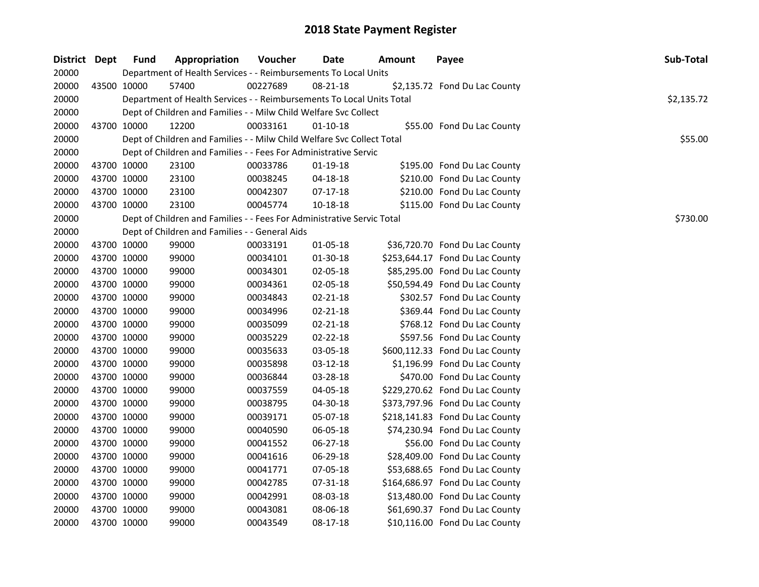| District Dept | <b>Fund</b> | Appropriation                                                          | Voucher  | Date           | <b>Amount</b> | Payee                           | Sub-Total  |
|---------------|-------------|------------------------------------------------------------------------|----------|----------------|---------------|---------------------------------|------------|
| 20000         |             | Department of Health Services - - Reimbursements To Local Units        |          |                |               |                                 |            |
| 20000         | 43500 10000 | 57400                                                                  | 00227689 | $08 - 21 - 18$ |               | \$2,135.72 Fond Du Lac County   |            |
| 20000         |             | Department of Health Services - - Reimbursements To Local Units Total  |          |                |               |                                 | \$2,135.72 |
| 20000         |             | Dept of Children and Families - - Milw Child Welfare Svc Collect       |          |                |               |                                 |            |
| 20000         | 43700 10000 | 12200                                                                  | 00033161 | $01 - 10 - 18$ |               | \$55.00 Fond Du Lac County      |            |
| 20000         |             | Dept of Children and Families - - Milw Child Welfare Svc Collect Total |          |                |               |                                 | \$55.00    |
| 20000         |             | Dept of Children and Families - - Fees For Administrative Servic       |          |                |               |                                 |            |
| 20000         | 43700 10000 | 23100                                                                  | 00033786 | 01-19-18       |               | \$195.00 Fond Du Lac County     |            |
| 20000         | 43700 10000 | 23100                                                                  | 00038245 | 04-18-18       |               | \$210.00 Fond Du Lac County     |            |
| 20000         | 43700 10000 | 23100                                                                  | 00042307 | 07-17-18       |               | \$210.00 Fond Du Lac County     |            |
| 20000         | 43700 10000 | 23100                                                                  | 00045774 | 10-18-18       |               | \$115.00 Fond Du Lac County     |            |
| 20000         |             | Dept of Children and Families - - Fees For Administrative Servic Total |          |                |               |                                 | \$730.00   |
| 20000         |             | Dept of Children and Families - - General Aids                         |          |                |               |                                 |            |
| 20000         | 43700 10000 | 99000                                                                  | 00033191 | 01-05-18       |               | \$36,720.70 Fond Du Lac County  |            |
| 20000         | 43700 10000 | 99000                                                                  | 00034101 | 01-30-18       |               | \$253,644.17 Fond Du Lac County |            |
| 20000         | 43700 10000 | 99000                                                                  | 00034301 | 02-05-18       |               | \$85,295.00 Fond Du Lac County  |            |
| 20000         | 43700 10000 | 99000                                                                  | 00034361 | 02-05-18       |               | \$50,594.49 Fond Du Lac County  |            |
| 20000         | 43700 10000 | 99000                                                                  | 00034843 | $02 - 21 - 18$ |               | \$302.57 Fond Du Lac County     |            |
| 20000         | 43700 10000 | 99000                                                                  | 00034996 | 02-21-18       |               | \$369.44 Fond Du Lac County     |            |
| 20000         | 43700 10000 | 99000                                                                  | 00035099 | $02 - 21 - 18$ |               | \$768.12 Fond Du Lac County     |            |
| 20000         | 43700 10000 | 99000                                                                  | 00035229 | 02-22-18       |               | \$597.56 Fond Du Lac County     |            |
| 20000         | 43700 10000 | 99000                                                                  | 00035633 | 03-05-18       |               | \$600,112.33 Fond Du Lac County |            |
| 20000         | 43700 10000 | 99000                                                                  | 00035898 | 03-12-18       |               | \$1,196.99 Fond Du Lac County   |            |
| 20000         | 43700 10000 | 99000                                                                  | 00036844 | 03-28-18       |               | \$470.00 Fond Du Lac County     |            |
| 20000         | 43700 10000 | 99000                                                                  | 00037559 | 04-05-18       |               | \$229,270.62 Fond Du Lac County |            |
| 20000         | 43700 10000 | 99000                                                                  | 00038795 | 04-30-18       |               | \$373,797.96 Fond Du Lac County |            |
| 20000         | 43700 10000 | 99000                                                                  | 00039171 | 05-07-18       |               | \$218,141.83 Fond Du Lac County |            |
| 20000         | 43700 10000 | 99000                                                                  | 00040590 | 06-05-18       |               | \$74,230.94 Fond Du Lac County  |            |
| 20000         | 43700 10000 | 99000                                                                  | 00041552 | 06-27-18       |               | \$56.00 Fond Du Lac County      |            |
| 20000         | 43700 10000 | 99000                                                                  | 00041616 | 06-29-18       |               | \$28,409.00 Fond Du Lac County  |            |
| 20000         | 43700 10000 | 99000                                                                  | 00041771 | 07-05-18       |               | \$53,688.65 Fond Du Lac County  |            |
| 20000         | 43700 10000 | 99000                                                                  | 00042785 | 07-31-18       |               | \$164,686.97 Fond Du Lac County |            |
| 20000         | 43700 10000 | 99000                                                                  | 00042991 | 08-03-18       |               | \$13,480.00 Fond Du Lac County  |            |
| 20000         | 43700 10000 | 99000                                                                  | 00043081 | 08-06-18       |               | \$61,690.37 Fond Du Lac County  |            |
| 20000         | 43700 10000 | 99000                                                                  | 00043549 | 08-17-18       |               | \$10,116.00 Fond Du Lac County  |            |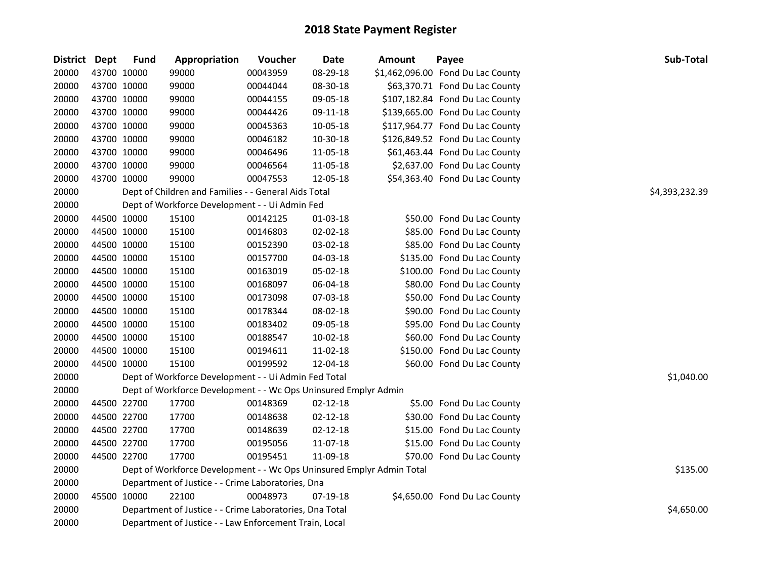| District Dept |             | <b>Fund</b> | Appropriation                                                         | Voucher  | <b>Date</b>    | Amount | Payee                             | <b>Sub-Total</b> |
|---------------|-------------|-------------|-----------------------------------------------------------------------|----------|----------------|--------|-----------------------------------|------------------|
| 20000         | 43700 10000 |             | 99000                                                                 | 00043959 | 08-29-18       |        | \$1,462,096.00 Fond Du Lac County |                  |
| 20000         | 43700 10000 |             | 99000                                                                 | 00044044 | 08-30-18       |        | \$63,370.71 Fond Du Lac County    |                  |
| 20000         | 43700 10000 |             | 99000                                                                 | 00044155 | 09-05-18       |        | \$107,182.84 Fond Du Lac County   |                  |
| 20000         | 43700 10000 |             | 99000                                                                 | 00044426 | 09-11-18       |        | \$139,665.00 Fond Du Lac County   |                  |
| 20000         | 43700 10000 |             | 99000                                                                 | 00045363 | 10-05-18       |        | \$117,964.77 Fond Du Lac County   |                  |
| 20000         | 43700 10000 |             | 99000                                                                 | 00046182 | 10-30-18       |        | \$126,849.52 Fond Du Lac County   |                  |
| 20000         | 43700 10000 |             | 99000                                                                 | 00046496 | 11-05-18       |        | \$61,463.44 Fond Du Lac County    |                  |
| 20000         | 43700 10000 |             | 99000                                                                 | 00046564 | 11-05-18       |        | \$2,637.00 Fond Du Lac County     |                  |
| 20000         | 43700 10000 |             | 99000                                                                 | 00047553 | 12-05-18       |        | \$54,363.40 Fond Du Lac County    |                  |
| 20000         |             |             | Dept of Children and Families - - General Aids Total                  |          |                |        |                                   | \$4,393,232.39   |
| 20000         |             |             | Dept of Workforce Development - - Ui Admin Fed                        |          |                |        |                                   |                  |
| 20000         |             | 44500 10000 | 15100                                                                 | 00142125 | 01-03-18       |        | \$50.00 Fond Du Lac County        |                  |
| 20000         | 44500 10000 |             | 15100                                                                 | 00146803 | 02-02-18       |        | \$85.00 Fond Du Lac County        |                  |
| 20000         | 44500 10000 |             | 15100                                                                 | 00152390 | 03-02-18       |        | \$85.00 Fond Du Lac County        |                  |
| 20000         | 44500 10000 |             | 15100                                                                 | 00157700 | 04-03-18       |        | \$135.00 Fond Du Lac County       |                  |
| 20000         | 44500 10000 |             | 15100                                                                 | 00163019 | 05-02-18       |        | \$100.00 Fond Du Lac County       |                  |
| 20000         | 44500 10000 |             | 15100                                                                 | 00168097 | 06-04-18       |        | \$80.00 Fond Du Lac County        |                  |
| 20000         | 44500 10000 |             | 15100                                                                 | 00173098 | 07-03-18       |        | \$50.00 Fond Du Lac County        |                  |
| 20000         | 44500 10000 |             | 15100                                                                 | 00178344 | 08-02-18       |        | \$90.00 Fond Du Lac County        |                  |
| 20000         | 44500 10000 |             | 15100                                                                 | 00183402 | 09-05-18       |        | \$95.00 Fond Du Lac County        |                  |
| 20000         | 44500 10000 |             | 15100                                                                 | 00188547 | 10-02-18       |        | \$60.00 Fond Du Lac County        |                  |
| 20000         | 44500 10000 |             | 15100                                                                 | 00194611 | 11-02-18       |        | \$150.00 Fond Du Lac County       |                  |
| 20000         | 44500 10000 |             | 15100                                                                 | 00199592 | 12-04-18       |        | \$60.00 Fond Du Lac County        |                  |
| 20000         |             |             | Dept of Workforce Development - - Ui Admin Fed Total                  |          |                |        |                                   | \$1,040.00       |
| 20000         |             |             | Dept of Workforce Development - - Wc Ops Uninsured Emplyr Admin       |          |                |        |                                   |                  |
| 20000         | 44500 22700 |             | 17700                                                                 | 00148369 | 02-12-18       |        | \$5.00 Fond Du Lac County         |                  |
| 20000         |             | 44500 22700 | 17700                                                                 | 00148638 | $02 - 12 - 18$ |        | \$30.00 Fond Du Lac County        |                  |
| 20000         | 44500 22700 |             | 17700                                                                 | 00148639 | 02-12-18       |        | \$15.00 Fond Du Lac County        |                  |
| 20000         | 44500 22700 |             | 17700                                                                 | 00195056 | 11-07-18       |        | \$15.00 Fond Du Lac County        |                  |
| 20000         | 44500 22700 |             | 17700                                                                 | 00195451 | 11-09-18       |        | \$70.00 Fond Du Lac County        |                  |
| 20000         |             |             | Dept of Workforce Development - - Wc Ops Uninsured Emplyr Admin Total |          |                |        |                                   | \$135.00         |
| 20000         |             |             | Department of Justice - - Crime Laboratories, Dna                     |          |                |        |                                   |                  |
| 20000         | 45500 10000 |             | 22100                                                                 | 00048973 | 07-19-18       |        | \$4,650.00 Fond Du Lac County     |                  |
| 20000         |             |             | Department of Justice - - Crime Laboratories, Dna Total               |          |                |        |                                   | \$4,650.00       |
| 20000         |             |             | Department of Justice - - Law Enforcement Train, Local                |          |                |        |                                   |                  |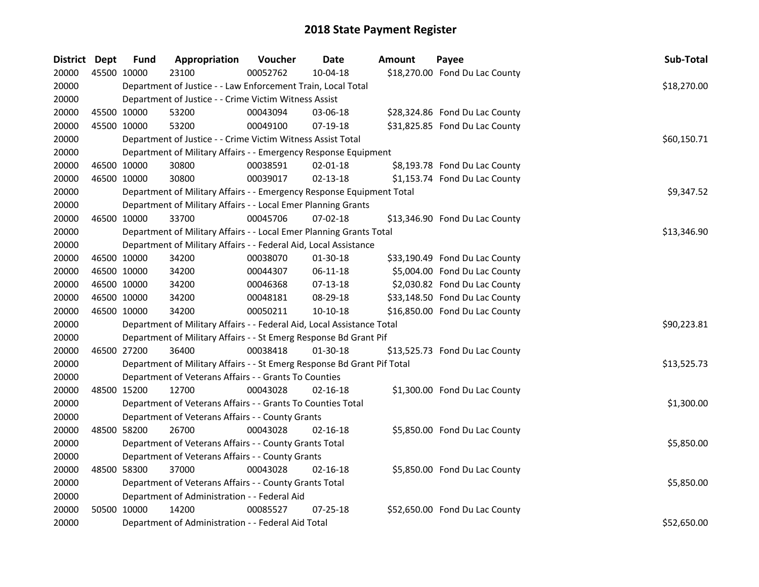| <b>District</b> | Dept        | <b>Fund</b> | Appropriation                                                           | Voucher  | <b>Date</b>    | <b>Amount</b> | Payee                          | Sub-Total   |
|-----------------|-------------|-------------|-------------------------------------------------------------------------|----------|----------------|---------------|--------------------------------|-------------|
| 20000           | 45500 10000 |             | 23100                                                                   | 00052762 | 10-04-18       |               | \$18,270.00 Fond Du Lac County |             |
| 20000           |             |             | Department of Justice - - Law Enforcement Train, Local Total            |          |                |               |                                | \$18,270.00 |
| 20000           |             |             | Department of Justice - - Crime Victim Witness Assist                   |          |                |               |                                |             |
| 20000           | 45500 10000 |             | 53200                                                                   | 00043094 | 03-06-18       |               | \$28,324.86 Fond Du Lac County |             |
| 20000           | 45500 10000 |             | 53200                                                                   | 00049100 | 07-19-18       |               | \$31,825.85 Fond Du Lac County |             |
| 20000           |             |             | Department of Justice - - Crime Victim Witness Assist Total             |          |                |               |                                | \$60,150.71 |
| 20000           |             |             | Department of Military Affairs - - Emergency Response Equipment         |          |                |               |                                |             |
| 20000           | 46500 10000 |             | 30800                                                                   | 00038591 | $02 - 01 - 18$ |               | \$8,193.78 Fond Du Lac County  |             |
| 20000           | 46500 10000 |             | 30800                                                                   | 00039017 | 02-13-18       |               | \$1,153.74 Fond Du Lac County  |             |
| 20000           |             |             | Department of Military Affairs - - Emergency Response Equipment Total   |          |                |               |                                | \$9,347.52  |
| 20000           |             |             | Department of Military Affairs - - Local Emer Planning Grants           |          |                |               |                                |             |
| 20000           | 46500 10000 |             | 33700                                                                   | 00045706 | 07-02-18       |               | \$13,346.90 Fond Du Lac County |             |
| 20000           |             |             | Department of Military Affairs - - Local Emer Planning Grants Total     |          |                |               |                                | \$13,346.90 |
| 20000           |             |             | Department of Military Affairs - - Federal Aid, Local Assistance        |          |                |               |                                |             |
| 20000           | 46500 10000 |             | 34200                                                                   | 00038070 | 01-30-18       |               | \$33,190.49 Fond Du Lac County |             |
| 20000           | 46500 10000 |             | 34200                                                                   | 00044307 | 06-11-18       |               | \$5,004.00 Fond Du Lac County  |             |
| 20000           | 46500 10000 |             | 34200                                                                   | 00046368 | $07-13-18$     |               | \$2,030.82 Fond Du Lac County  |             |
| 20000           | 46500 10000 |             | 34200                                                                   | 00048181 | 08-29-18       |               | \$33,148.50 Fond Du Lac County |             |
| 20000           | 46500 10000 |             | 34200                                                                   | 00050211 | $10-10-18$     |               | \$16,850.00 Fond Du Lac County |             |
| 20000           |             |             | Department of Military Affairs - - Federal Aid, Local Assistance Total  |          |                |               |                                | \$90,223.81 |
| 20000           |             |             | Department of Military Affairs - - St Emerg Response Bd Grant Pif       |          |                |               |                                |             |
| 20000           | 46500 27200 |             | 36400                                                                   | 00038418 | $01-30-18$     |               | \$13,525.73 Fond Du Lac County |             |
| 20000           |             |             | Department of Military Affairs - - St Emerg Response Bd Grant Pif Total |          |                |               |                                | \$13,525.73 |
| 20000           |             |             | Department of Veterans Affairs - - Grants To Counties                   |          |                |               |                                |             |
| 20000           | 48500 15200 |             | 12700                                                                   | 00043028 | $02 - 16 - 18$ |               | \$1,300.00 Fond Du Lac County  |             |
| 20000           |             |             | Department of Veterans Affairs - - Grants To Counties Total             |          |                |               |                                | \$1,300.00  |
| 20000           |             |             | Department of Veterans Affairs - - County Grants                        |          |                |               |                                |             |
| 20000           | 48500 58200 |             | 26700                                                                   | 00043028 | $02 - 16 - 18$ |               | \$5,850.00 Fond Du Lac County  |             |
| 20000           |             |             | Department of Veterans Affairs - - County Grants Total                  |          |                |               |                                | \$5,850.00  |
| 20000           |             |             | Department of Veterans Affairs - - County Grants                        |          |                |               |                                |             |
| 20000           | 48500 58300 |             | 37000                                                                   | 00043028 | $02 - 16 - 18$ |               | \$5,850.00 Fond Du Lac County  |             |
| 20000           |             |             | Department of Veterans Affairs - - County Grants Total                  |          |                |               |                                | \$5,850.00  |
| 20000           |             |             | Department of Administration - - Federal Aid                            |          |                |               |                                |             |
| 20000           | 50500 10000 |             | 14200                                                                   | 00085527 | $07 - 25 - 18$ |               | \$52,650.00 Fond Du Lac County |             |
| 20000           |             |             | Department of Administration - - Federal Aid Total                      |          |                |               |                                | \$52,650.00 |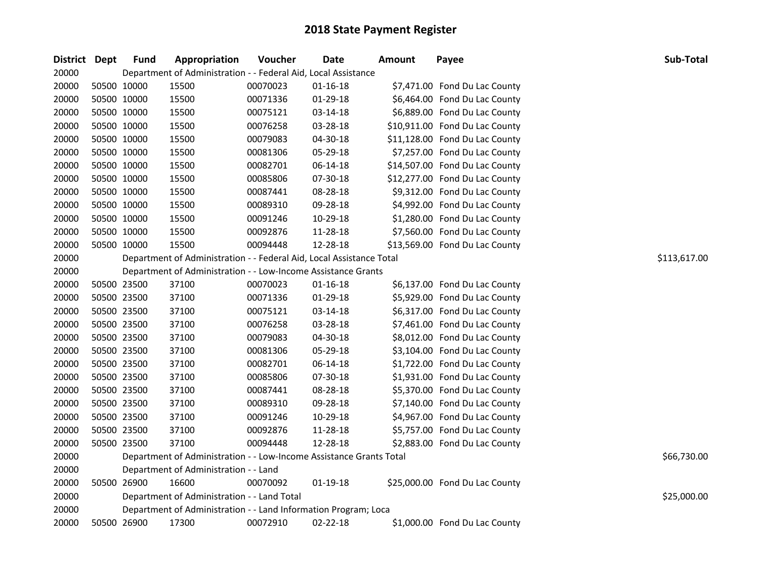| District Dept | <b>Fund</b> | Appropriation                                                        | Voucher  | Date           | <b>Amount</b> | Payee                          | <b>Sub-Total</b> |
|---------------|-------------|----------------------------------------------------------------------|----------|----------------|---------------|--------------------------------|------------------|
| 20000         |             | Department of Administration - - Federal Aid, Local Assistance       |          |                |               |                                |                  |
| 20000         | 50500 10000 | 15500                                                                | 00070023 | $01 - 16 - 18$ |               | \$7,471.00 Fond Du Lac County  |                  |
| 20000         | 50500 10000 | 15500                                                                | 00071336 | 01-29-18       |               | \$6,464.00 Fond Du Lac County  |                  |
| 20000         | 50500 10000 | 15500                                                                | 00075121 | 03-14-18       |               | \$6,889.00 Fond Du Lac County  |                  |
| 20000         | 50500 10000 | 15500                                                                | 00076258 | 03-28-18       |               | \$10,911.00 Fond Du Lac County |                  |
| 20000         | 50500 10000 | 15500                                                                | 00079083 | 04-30-18       |               | \$11,128.00 Fond Du Lac County |                  |
| 20000         | 50500 10000 | 15500                                                                | 00081306 | 05-29-18       |               | \$7,257.00 Fond Du Lac County  |                  |
| 20000         | 50500 10000 | 15500                                                                | 00082701 | 06-14-18       |               | \$14,507.00 Fond Du Lac County |                  |
| 20000         | 50500 10000 | 15500                                                                | 00085806 | 07-30-18       |               | \$12,277.00 Fond Du Lac County |                  |
| 20000         | 50500 10000 | 15500                                                                | 00087441 | 08-28-18       |               | \$9,312.00 Fond Du Lac County  |                  |
| 20000         | 50500 10000 | 15500                                                                | 00089310 | 09-28-18       |               | \$4,992.00 Fond Du Lac County  |                  |
| 20000         | 50500 10000 | 15500                                                                | 00091246 | 10-29-18       |               | \$1,280.00 Fond Du Lac County  |                  |
| 20000         | 50500 10000 | 15500                                                                | 00092876 | 11-28-18       |               | \$7,560.00 Fond Du Lac County  |                  |
| 20000         | 50500 10000 | 15500                                                                | 00094448 | 12-28-18       |               | \$13,569.00 Fond Du Lac County |                  |
| 20000         |             | Department of Administration - - Federal Aid, Local Assistance Total |          |                |               |                                | \$113,617.00     |
| 20000         |             | Department of Administration - - Low-Income Assistance Grants        |          |                |               |                                |                  |
| 20000         | 50500 23500 | 37100                                                                | 00070023 | $01 - 16 - 18$ |               | \$6,137.00 Fond Du Lac County  |                  |
| 20000         | 50500 23500 | 37100                                                                | 00071336 | $01-29-18$     |               | \$5,929.00 Fond Du Lac County  |                  |
| 20000         | 50500 23500 | 37100                                                                | 00075121 | 03-14-18       |               | \$6,317.00 Fond Du Lac County  |                  |
| 20000         | 50500 23500 | 37100                                                                | 00076258 | 03-28-18       |               | \$7,461.00 Fond Du Lac County  |                  |
| 20000         | 50500 23500 | 37100                                                                | 00079083 | 04-30-18       |               | \$8,012.00 Fond Du Lac County  |                  |
| 20000         | 50500 23500 | 37100                                                                | 00081306 | 05-29-18       |               | \$3,104.00 Fond Du Lac County  |                  |
| 20000         | 50500 23500 | 37100                                                                | 00082701 | 06-14-18       |               | \$1,722.00 Fond Du Lac County  |                  |
| 20000         | 50500 23500 | 37100                                                                | 00085806 | 07-30-18       |               | \$1,931.00 Fond Du Lac County  |                  |
| 20000         | 50500 23500 | 37100                                                                | 00087441 | 08-28-18       |               | \$5,370.00 Fond Du Lac County  |                  |
| 20000         | 50500 23500 | 37100                                                                | 00089310 | 09-28-18       |               | \$7,140.00 Fond Du Lac County  |                  |
| 20000         | 50500 23500 | 37100                                                                | 00091246 | 10-29-18       |               | \$4,967.00 Fond Du Lac County  |                  |
| 20000         | 50500 23500 | 37100                                                                | 00092876 | 11-28-18       |               | \$5,757.00 Fond Du Lac County  |                  |
| 20000         | 50500 23500 | 37100                                                                | 00094448 | 12-28-18       |               | \$2,883.00 Fond Du Lac County  |                  |
| 20000         |             | Department of Administration - - Low-Income Assistance Grants Total  |          |                |               |                                | \$66,730.00      |
| 20000         |             | Department of Administration - - Land                                |          |                |               |                                |                  |
| 20000         | 50500 26900 | 16600                                                                | 00070092 | $01-19-18$     |               | \$25,000.00 Fond Du Lac County |                  |
| 20000         |             | Department of Administration - - Land Total                          |          |                |               |                                | \$25,000.00      |
| 20000         |             | Department of Administration - - Land Information Program; Loca      |          |                |               |                                |                  |
| 20000         | 50500 26900 | 17300                                                                | 00072910 | $02 - 22 - 18$ |               | \$1,000.00 Fond Du Lac County  |                  |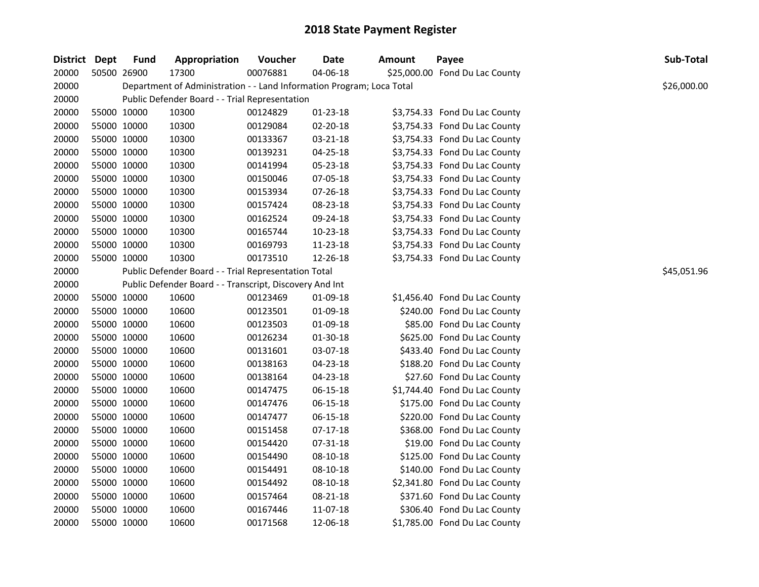| District Dept |             | <b>Fund</b> | Appropriation                                                         | Voucher  | <b>Date</b>    | <b>Amount</b> | Payee                          | Sub-Total   |
|---------------|-------------|-------------|-----------------------------------------------------------------------|----------|----------------|---------------|--------------------------------|-------------|
| 20000         |             | 50500 26900 | 17300                                                                 | 00076881 | 04-06-18       |               | \$25,000.00 Fond Du Lac County |             |
| 20000         |             |             | Department of Administration - - Land Information Program; Loca Total |          |                |               |                                | \$26,000.00 |
| 20000         |             |             | Public Defender Board - - Trial Representation                        |          |                |               |                                |             |
| 20000         | 55000 10000 |             | 10300                                                                 | 00124829 | $01 - 23 - 18$ |               | \$3,754.33 Fond Du Lac County  |             |
| 20000         | 55000 10000 |             | 10300                                                                 | 00129084 | 02-20-18       |               | \$3,754.33 Fond Du Lac County  |             |
| 20000         | 55000 10000 |             | 10300                                                                 | 00133367 | 03-21-18       |               | \$3,754.33 Fond Du Lac County  |             |
| 20000         | 55000 10000 |             | 10300                                                                 | 00139231 | 04-25-18       |               | \$3,754.33 Fond Du Lac County  |             |
| 20000         | 55000 10000 |             | 10300                                                                 | 00141994 | 05-23-18       |               | \$3,754.33 Fond Du Lac County  |             |
| 20000         | 55000 10000 |             | 10300                                                                 | 00150046 | 07-05-18       |               | \$3,754.33 Fond Du Lac County  |             |
| 20000         | 55000 10000 |             | 10300                                                                 | 00153934 | 07-26-18       |               | \$3,754.33 Fond Du Lac County  |             |
| 20000         | 55000 10000 |             | 10300                                                                 | 00157424 | 08-23-18       |               | \$3,754.33 Fond Du Lac County  |             |
| 20000         | 55000 10000 |             | 10300                                                                 | 00162524 | 09-24-18       |               | \$3,754.33 Fond Du Lac County  |             |
| 20000         | 55000 10000 |             | 10300                                                                 | 00165744 | 10-23-18       |               | \$3,754.33 Fond Du Lac County  |             |
| 20000         | 55000 10000 |             | 10300                                                                 | 00169793 | 11-23-18       |               | \$3,754.33 Fond Du Lac County  |             |
| 20000         |             | 55000 10000 | 10300                                                                 | 00173510 | 12-26-18       |               | \$3,754.33 Fond Du Lac County  |             |
| 20000         |             |             | Public Defender Board - - Trial Representation Total                  |          |                |               |                                | \$45,051.96 |
| 20000         |             |             | Public Defender Board - - Transcript, Discovery And Int               |          |                |               |                                |             |
| 20000         | 55000 10000 |             | 10600                                                                 | 00123469 | 01-09-18       |               | \$1,456.40 Fond Du Lac County  |             |
| 20000         | 55000 10000 |             | 10600                                                                 | 00123501 | 01-09-18       |               | \$240.00 Fond Du Lac County    |             |
| 20000         | 55000 10000 |             | 10600                                                                 | 00123503 | 01-09-18       |               | \$85.00 Fond Du Lac County     |             |
| 20000         | 55000 10000 |             | 10600                                                                 | 00126234 | $01 - 30 - 18$ |               | \$625.00 Fond Du Lac County    |             |
| 20000         | 55000 10000 |             | 10600                                                                 | 00131601 | 03-07-18       |               | \$433.40 Fond Du Lac County    |             |
| 20000         | 55000 10000 |             | 10600                                                                 | 00138163 | $04 - 23 - 18$ |               | \$188.20 Fond Du Lac County    |             |
| 20000         | 55000 10000 |             | 10600                                                                 | 00138164 | 04-23-18       |               | \$27.60 Fond Du Lac County     |             |
| 20000         | 55000 10000 |             | 10600                                                                 | 00147475 | 06-15-18       |               | \$1,744.40 Fond Du Lac County  |             |
| 20000         | 55000 10000 |             | 10600                                                                 | 00147476 | 06-15-18       |               | \$175.00 Fond Du Lac County    |             |
| 20000         | 55000 10000 |             | 10600                                                                 | 00147477 | 06-15-18       |               | \$220.00 Fond Du Lac County    |             |
| 20000         | 55000 10000 |             | 10600                                                                 | 00151458 | $07-17-18$     |               | \$368.00 Fond Du Lac County    |             |
| 20000         | 55000 10000 |             | 10600                                                                 | 00154420 | 07-31-18       |               | \$19.00 Fond Du Lac County     |             |
| 20000         | 55000 10000 |             | 10600                                                                 | 00154490 | 08-10-18       |               | \$125.00 Fond Du Lac County    |             |
| 20000         | 55000 10000 |             | 10600                                                                 | 00154491 | 08-10-18       |               | \$140.00 Fond Du Lac County    |             |
| 20000         | 55000 10000 |             | 10600                                                                 | 00154492 | 08-10-18       |               | \$2,341.80 Fond Du Lac County  |             |
| 20000         |             | 55000 10000 | 10600                                                                 | 00157464 | 08-21-18       |               | \$371.60 Fond Du Lac County    |             |
| 20000         | 55000 10000 |             | 10600                                                                 | 00167446 | 11-07-18       |               | \$306.40 Fond Du Lac County    |             |
| 20000         |             | 55000 10000 | 10600                                                                 | 00171568 | 12-06-18       |               | \$1,785.00 Fond Du Lac County  |             |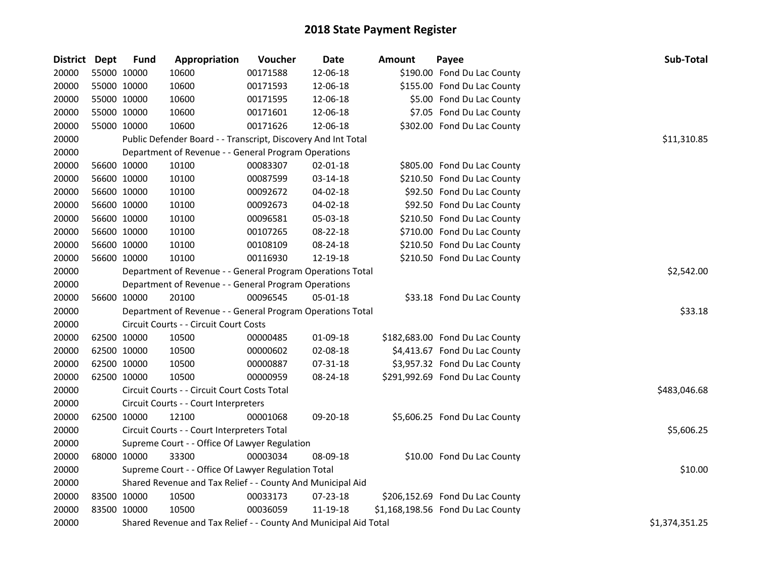| <b>District</b> | <b>Dept</b> | <b>Fund</b> | Appropriation                                                    | Voucher  | <b>Date</b>    | <b>Amount</b> | Payee                             | Sub-Total      |
|-----------------|-------------|-------------|------------------------------------------------------------------|----------|----------------|---------------|-----------------------------------|----------------|
| 20000           |             | 55000 10000 | 10600                                                            | 00171588 | 12-06-18       |               | \$190.00 Fond Du Lac County       |                |
| 20000           |             | 55000 10000 | 10600                                                            | 00171593 | 12-06-18       |               | \$155.00 Fond Du Lac County       |                |
| 20000           |             | 55000 10000 | 10600                                                            | 00171595 | 12-06-18       |               | \$5.00 Fond Du Lac County         |                |
| 20000           |             | 55000 10000 | 10600                                                            | 00171601 | 12-06-18       |               | \$7.05 Fond Du Lac County         |                |
| 20000           |             | 55000 10000 | 10600                                                            | 00171626 | 12-06-18       |               | \$302.00 Fond Du Lac County       |                |
| 20000           |             |             | Public Defender Board - - Transcript, Discovery And Int Total    |          |                |               |                                   | \$11,310.85    |
| 20000           |             |             | Department of Revenue - - General Program Operations             |          |                |               |                                   |                |
| 20000           |             | 56600 10000 | 10100                                                            | 00083307 | $02 - 01 - 18$ |               | \$805.00 Fond Du Lac County       |                |
| 20000           |             | 56600 10000 | 10100                                                            | 00087599 | 03-14-18       |               | \$210.50 Fond Du Lac County       |                |
| 20000           |             | 56600 10000 | 10100                                                            | 00092672 | 04-02-18       |               | \$92.50 Fond Du Lac County        |                |
| 20000           |             | 56600 10000 | 10100                                                            | 00092673 | 04-02-18       |               | \$92.50 Fond Du Lac County        |                |
| 20000           |             | 56600 10000 | 10100                                                            | 00096581 | 05-03-18       |               | \$210.50 Fond Du Lac County       |                |
| 20000           |             | 56600 10000 | 10100                                                            | 00107265 | 08-22-18       |               | \$710.00 Fond Du Lac County       |                |
| 20000           |             | 56600 10000 | 10100                                                            | 00108109 | 08-24-18       |               | \$210.50 Fond Du Lac County       |                |
| 20000           |             | 56600 10000 | 10100                                                            | 00116930 | 12-19-18       |               | \$210.50 Fond Du Lac County       |                |
| 20000           |             |             | Department of Revenue - - General Program Operations Total       |          |                |               |                                   | \$2,542.00     |
| 20000           |             |             | Department of Revenue - - General Program Operations             |          |                |               |                                   |                |
| 20000           |             | 56600 10000 | 20100                                                            | 00096545 | 05-01-18       |               | \$33.18 Fond Du Lac County        |                |
| 20000           |             |             | Department of Revenue - - General Program Operations Total       |          |                |               |                                   | \$33.18        |
| 20000           |             |             | Circuit Courts - - Circuit Court Costs                           |          |                |               |                                   |                |
| 20000           |             | 62500 10000 | 10500                                                            | 00000485 | 01-09-18       |               | \$182,683.00 Fond Du Lac County   |                |
| 20000           |             | 62500 10000 | 10500                                                            | 00000602 | 02-08-18       |               | \$4,413.67 Fond Du Lac County     |                |
| 20000           | 62500 10000 |             | 10500                                                            | 00000887 | 07-31-18       |               | \$3,957.32 Fond Du Lac County     |                |
| 20000           |             | 62500 10000 | 10500                                                            | 00000959 | 08-24-18       |               | \$291,992.69 Fond Du Lac County   |                |
| 20000           |             |             | Circuit Courts - - Circuit Court Costs Total                     |          |                |               |                                   | \$483,046.68   |
| 20000           |             |             | Circuit Courts - - Court Interpreters                            |          |                |               |                                   |                |
| 20000           |             | 62500 10000 | 12100                                                            | 00001068 | 09-20-18       |               | \$5,606.25 Fond Du Lac County     |                |
| 20000           |             |             | Circuit Courts - - Court Interpreters Total                      |          |                |               |                                   | \$5,606.25     |
| 20000           |             |             | Supreme Court - - Office Of Lawyer Regulation                    |          |                |               |                                   |                |
| 20000           |             | 68000 10000 | 33300                                                            | 00003034 | 08-09-18       |               | \$10.00 Fond Du Lac County        |                |
| 20000           |             |             | Supreme Court - - Office Of Lawyer Regulation Total              |          |                |               |                                   | \$10.00        |
| 20000           |             |             | Shared Revenue and Tax Relief - - County And Municipal Aid       |          |                |               |                                   |                |
| 20000           |             | 83500 10000 | 10500                                                            | 00033173 | 07-23-18       |               | \$206,152.69 Fond Du Lac County   |                |
| 20000           |             | 83500 10000 | 10500                                                            | 00036059 | 11-19-18       |               | \$1,168,198.56 Fond Du Lac County |                |
| 20000           |             |             | Shared Revenue and Tax Relief - - County And Municipal Aid Total |          |                |               |                                   | \$1,374,351.25 |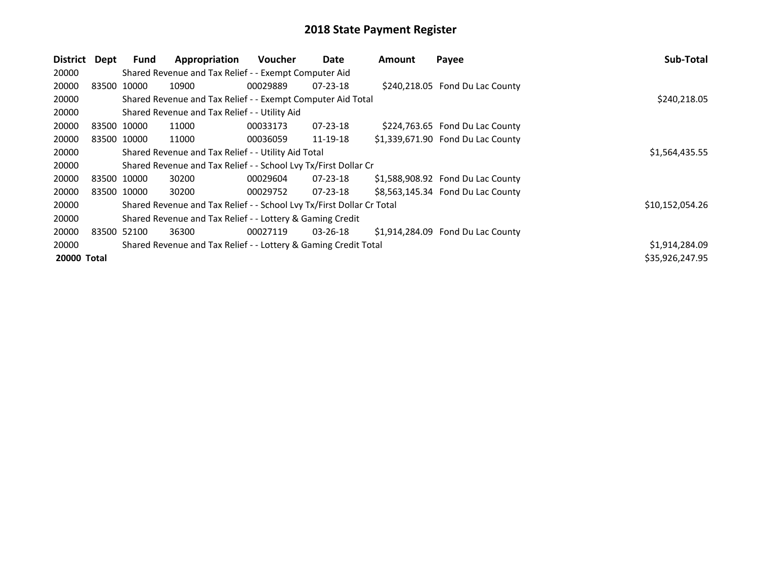| <b>District</b>    | Dept | Fund        | Appropriation                                                         | Voucher        | Date           | Amount | Payee                             | Sub-Total       |
|--------------------|------|-------------|-----------------------------------------------------------------------|----------------|----------------|--------|-----------------------------------|-----------------|
| 20000              |      |             | Shared Revenue and Tax Relief - - Exempt Computer Aid                 |                |                |        |                                   |                 |
| 20000              |      | 83500 10000 | 10900                                                                 | 00029889       | $07 - 23 - 18$ |        | \$240,218.05 Fond Du Lac County   |                 |
| 20000              |      |             | Shared Revenue and Tax Relief - - Exempt Computer Aid Total           |                |                |        |                                   | \$240,218.05    |
| 20000              |      |             | Shared Revenue and Tax Relief - - Utility Aid                         |                |                |        |                                   |                 |
| 20000              |      | 83500 10000 | 11000                                                                 | 00033173       | $07 - 23 - 18$ |        | \$224,763.65 Fond Du Lac County   |                 |
| 20000              |      | 83500 10000 | 11000                                                                 | 00036059       | 11-19-18       |        | \$1,339,671.90 Fond Du Lac County |                 |
| 20000              |      |             | Shared Revenue and Tax Relief - - Utility Aid Total                   | \$1,564,435.55 |                |        |                                   |                 |
| 20000              |      |             | Shared Revenue and Tax Relief - - School Lvy Tx/First Dollar Cr       |                |                |        |                                   |                 |
| 20000              |      | 83500 10000 | 30200                                                                 | 00029604       | $07 - 23 - 18$ |        | \$1,588,908.92 Fond Du Lac County |                 |
| 20000              |      | 83500 10000 | 30200                                                                 | 00029752       | $07 - 23 - 18$ |        | \$8,563,145.34 Fond Du Lac County |                 |
| 20000              |      |             | Shared Revenue and Tax Relief - - School Lvy Tx/First Dollar Cr Total |                |                |        |                                   | \$10,152,054.26 |
| 20000              |      |             | Shared Revenue and Tax Relief - - Lottery & Gaming Credit             |                |                |        |                                   |                 |
| 20000              |      | 83500 52100 | 36300                                                                 | 00027119       | $03 - 26 - 18$ |        | \$1,914,284.09 Fond Du Lac County |                 |
| 20000              |      |             | Shared Revenue and Tax Relief - - Lottery & Gaming Credit Total       |                |                |        |                                   | \$1,914,284.09  |
| <b>20000 Total</b> |      |             |                                                                       |                |                |        |                                   | \$35,926,247.95 |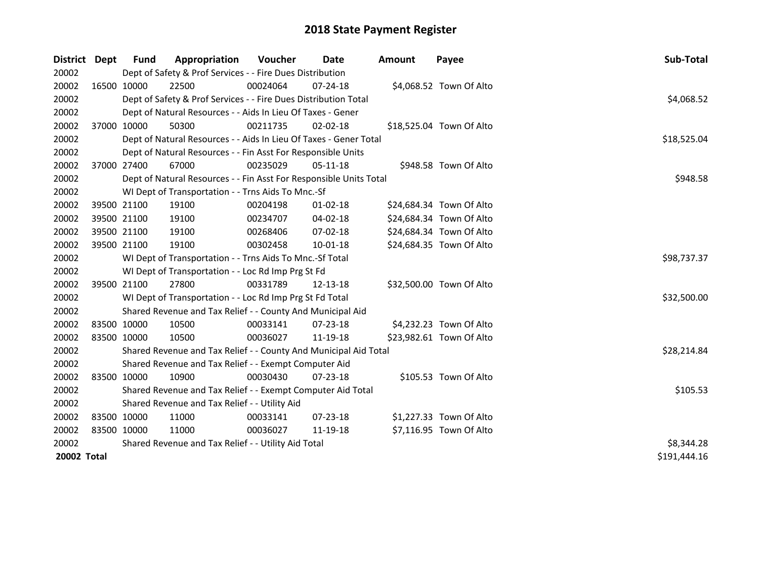| District    | <b>Dept</b> | Fund        | Appropriation                                                      | <b>Voucher</b> | Date           | <b>Amount</b> | Payee                    | Sub-Total    |
|-------------|-------------|-------------|--------------------------------------------------------------------|----------------|----------------|---------------|--------------------------|--------------|
| 20002       |             |             | Dept of Safety & Prof Services - - Fire Dues Distribution          |                |                |               |                          |              |
| 20002       |             | 16500 10000 | 22500                                                              | 00024064       | 07-24-18       |               | \$4,068.52 Town Of Alto  |              |
| 20002       |             |             | Dept of Safety & Prof Services - - Fire Dues Distribution Total    |                |                |               |                          | \$4,068.52   |
| 20002       |             |             | Dept of Natural Resources - - Aids In Lieu Of Taxes - Gener        |                |                |               |                          |              |
| 20002       | 37000 10000 |             | 50300                                                              | 00211735       | $02 - 02 - 18$ |               | \$18,525.04 Town Of Alto |              |
| 20002       |             |             | Dept of Natural Resources - - Aids In Lieu Of Taxes - Gener Total  |                |                |               |                          | \$18,525.04  |
| 20002       |             |             | Dept of Natural Resources - - Fin Asst For Responsible Units       |                |                |               |                          |              |
| 20002       |             | 37000 27400 | 67000                                                              | 00235029       | 05-11-18       |               | \$948.58 Town Of Alto    |              |
| 20002       |             |             | Dept of Natural Resources - - Fin Asst For Responsible Units Total |                |                |               |                          | \$948.58     |
| 20002       |             |             | WI Dept of Transportation - - Trns Aids To Mnc.-Sf                 |                |                |               |                          |              |
| 20002       |             | 39500 21100 | 19100                                                              | 00204198       | 01-02-18       |               | \$24,684.34 Town Of Alto |              |
| 20002       |             | 39500 21100 | 19100                                                              | 00234707       | 04-02-18       |               | \$24,684.34 Town Of Alto |              |
| 20002       |             | 39500 21100 | 19100                                                              | 00268406       | 07-02-18       |               | \$24,684.34 Town Of Alto |              |
| 20002       | 39500 21100 |             | 19100                                                              | 00302458       | 10-01-18       |               | \$24,684.35 Town Of Alto |              |
| 20002       |             |             | WI Dept of Transportation - - Trns Aids To Mnc.-Sf Total           |                |                |               |                          | \$98,737.37  |
| 20002       |             |             | WI Dept of Transportation - - Loc Rd Imp Prg St Fd                 |                |                |               |                          |              |
| 20002       |             | 39500 21100 | 27800                                                              | 00331789       | 12-13-18       |               | \$32,500.00 Town Of Alto |              |
| 20002       |             |             | WI Dept of Transportation - - Loc Rd Imp Prg St Fd Total           |                |                |               |                          | \$32,500.00  |
| 20002       |             |             | Shared Revenue and Tax Relief - - County And Municipal Aid         |                |                |               |                          |              |
| 20002       | 83500 10000 |             | 10500                                                              | 00033141       | $07 - 23 - 18$ |               | \$4,232.23 Town Of Alto  |              |
| 20002       | 83500 10000 |             | 10500                                                              | 00036027       | 11-19-18       |               | \$23,982.61 Town Of Alto |              |
| 20002       |             |             | Shared Revenue and Tax Relief - - County And Municipal Aid Total   |                |                |               |                          | \$28,214.84  |
| 20002       |             |             | Shared Revenue and Tax Relief - - Exempt Computer Aid              |                |                |               |                          |              |
| 20002       | 83500 10000 |             | 10900                                                              | 00030430       | $07 - 23 - 18$ |               | \$105.53 Town Of Alto    |              |
| 20002       |             |             | Shared Revenue and Tax Relief - - Exempt Computer Aid Total        |                |                |               |                          | \$105.53     |
| 20002       |             |             | Shared Revenue and Tax Relief - - Utility Aid                      |                |                |               |                          |              |
| 20002       | 83500 10000 |             | 11000                                                              | 00033141       | 07-23-18       |               | \$1,227.33 Town Of Alto  |              |
| 20002       | 83500 10000 |             | 11000                                                              | 00036027       | 11-19-18       |               | \$7,116.95 Town Of Alto  |              |
| 20002       |             |             | Shared Revenue and Tax Relief - - Utility Aid Total                | \$8,344.28     |                |               |                          |              |
| 20002 Total |             |             |                                                                    |                |                |               |                          | \$191,444.16 |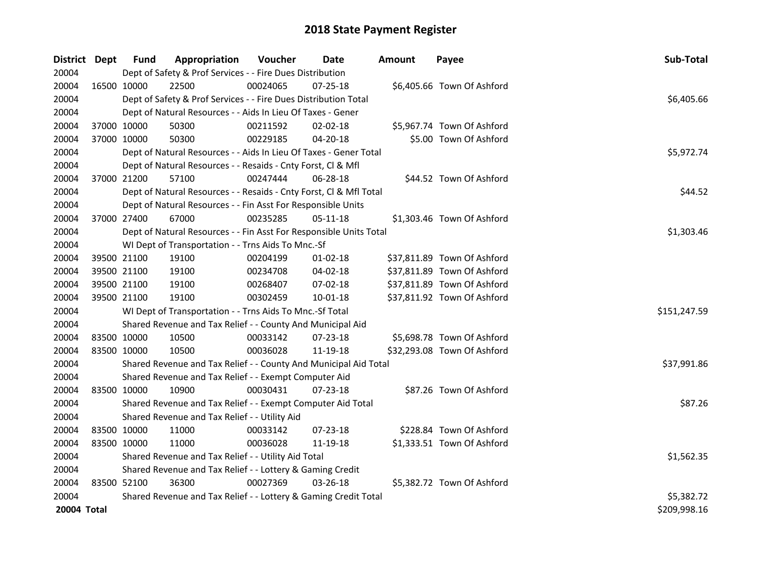| District Dept |             | Fund                                                      | Appropriation                                                      | <b>Voucher</b> | Date           | <b>Amount</b> | Payee                       | Sub-Total    |
|---------------|-------------|-----------------------------------------------------------|--------------------------------------------------------------------|----------------|----------------|---------------|-----------------------------|--------------|
| 20004         |             |                                                           | Dept of Safety & Prof Services - - Fire Dues Distribution          |                |                |               |                             |              |
| 20004         |             | 16500 10000                                               | 22500                                                              | 00024065       | 07-25-18       |               | \$6,405.66 Town Of Ashford  |              |
| 20004         |             |                                                           | Dept of Safety & Prof Services - - Fire Dues Distribution Total    |                |                |               |                             | \$6,405.66   |
| 20004         |             |                                                           | Dept of Natural Resources - - Aids In Lieu Of Taxes - Gener        |                |                |               |                             |              |
| 20004         |             | 37000 10000                                               | 50300                                                              | 00211592       | 02-02-18       |               | \$5,967.74 Town Of Ashford  |              |
| 20004         |             | 37000 10000                                               | 50300                                                              | 00229185       | 04-20-18       |               | \$5.00 Town Of Ashford      |              |
| 20004         |             |                                                           | Dept of Natural Resources - - Aids In Lieu Of Taxes - Gener Total  |                |                |               |                             | \$5,972.74   |
| 20004         |             |                                                           | Dept of Natural Resources - - Resaids - Cnty Forst, Cl & Mfl       |                |                |               |                             |              |
| 20004         |             | 37000 21200                                               | 57100                                                              | 00247444       | 06-28-18       |               | \$44.52 Town Of Ashford     |              |
| 20004         |             |                                                           | Dept of Natural Resources - - Resaids - Cnty Forst, Cl & Mfl Total |                |                |               |                             | \$44.52      |
| 20004         |             |                                                           | Dept of Natural Resources - - Fin Asst For Responsible Units       |                |                |               |                             |              |
| 20004         |             | 37000 27400                                               | 67000                                                              | 00235285       | 05-11-18       |               | \$1,303.46 Town Of Ashford  |              |
| 20004         |             |                                                           | Dept of Natural Resources - - Fin Asst For Responsible Units Total |                |                |               |                             | \$1,303.46   |
| 20004         |             |                                                           | WI Dept of Transportation - - Trns Aids To Mnc.-Sf                 |                |                |               |                             |              |
| 20004         |             | 39500 21100                                               | 19100                                                              | 00204199       | $01 - 02 - 18$ |               | \$37,811.89 Town Of Ashford |              |
| 20004         |             | 39500 21100                                               | 19100                                                              | 00234708       | 04-02-18       |               | \$37,811.89 Town Of Ashford |              |
| 20004         |             | 39500 21100                                               | 19100                                                              | 00268407       | 07-02-18       |               | \$37,811.89 Town Of Ashford |              |
| 20004         |             | 39500 21100                                               | 19100                                                              | 00302459       | 10-01-18       |               | \$37,811.92 Town Of Ashford |              |
| 20004         |             |                                                           | WI Dept of Transportation - - Trns Aids To Mnc.-Sf Total           |                |                |               |                             | \$151,247.59 |
| 20004         |             |                                                           | Shared Revenue and Tax Relief - - County And Municipal Aid         |                |                |               |                             |              |
| 20004         |             | 83500 10000                                               | 10500                                                              | 00033142       | 07-23-18       |               | \$5,698.78 Town Of Ashford  |              |
| 20004         |             | 83500 10000                                               | 10500                                                              | 00036028       | 11-19-18       |               | \$32,293.08 Town Of Ashford |              |
| 20004         |             |                                                           | Shared Revenue and Tax Relief - - County And Municipal Aid Total   |                |                |               |                             | \$37,991.86  |
| 20004         |             |                                                           | Shared Revenue and Tax Relief - - Exempt Computer Aid              |                |                |               |                             |              |
| 20004         |             | 83500 10000                                               | 10900                                                              | 00030431       | $07 - 23 - 18$ |               | \$87.26 Town Of Ashford     |              |
| 20004         |             |                                                           | Shared Revenue and Tax Relief - - Exempt Computer Aid Total        |                |                |               |                             | \$87.26      |
| 20004         |             |                                                           | Shared Revenue and Tax Relief - - Utility Aid                      |                |                |               |                             |              |
| 20004         |             | 83500 10000                                               | 11000                                                              | 00033142       | 07-23-18       |               | \$228.84 Town Of Ashford    |              |
| 20004         | 83500 10000 |                                                           | 11000                                                              | 00036028       | 11-19-18       |               | \$1,333.51 Town Of Ashford  |              |
| 20004         |             |                                                           | Shared Revenue and Tax Relief - - Utility Aid Total                |                |                |               |                             | \$1,562.35   |
| 20004         |             | Shared Revenue and Tax Relief - - Lottery & Gaming Credit |                                                                    |                |                |               |                             |              |
| 20004         |             | 83500 52100                                               | 36300                                                              | 00027369       | 03-26-18       |               | \$5,382.72 Town Of Ashford  |              |
| 20004         |             |                                                           | Shared Revenue and Tax Relief - - Lottery & Gaming Credit Total    |                |                |               |                             | \$5,382.72   |
| 20004 Total   |             |                                                           |                                                                    |                |                |               |                             | \$209,998.16 |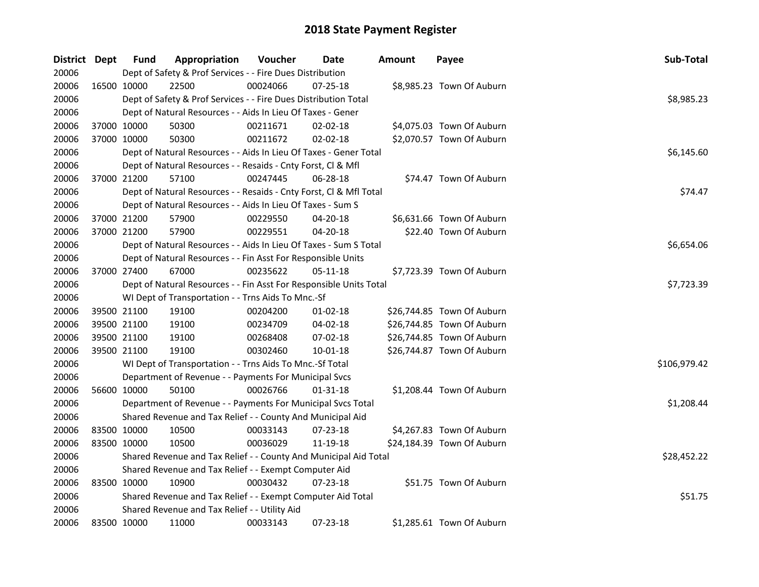| <b>District</b> | Dept        | <b>Fund</b> | Appropriation                                                      | Voucher  | <b>Date</b>    | <b>Amount</b> | Payee                      | Sub-Total    |  |  |  |
|-----------------|-------------|-------------|--------------------------------------------------------------------|----------|----------------|---------------|----------------------------|--------------|--|--|--|
| 20006           |             |             | Dept of Safety & Prof Services - - Fire Dues Distribution          |          |                |               |                            |              |  |  |  |
| 20006           | 16500 10000 |             | 22500                                                              | 00024066 | 07-25-18       |               | \$8,985.23 Town Of Auburn  |              |  |  |  |
| 20006           |             |             | Dept of Safety & Prof Services - - Fire Dues Distribution Total    |          |                |               |                            | \$8,985.23   |  |  |  |
| 20006           |             |             | Dept of Natural Resources - - Aids In Lieu Of Taxes - Gener        |          |                |               |                            |              |  |  |  |
| 20006           |             | 37000 10000 | 50300                                                              | 00211671 | 02-02-18       |               | \$4,075.03 Town Of Auburn  |              |  |  |  |
| 20006           | 37000 10000 |             | 50300                                                              | 00211672 | 02-02-18       |               | \$2,070.57 Town Of Auburn  |              |  |  |  |
| 20006           |             |             | Dept of Natural Resources - - Aids In Lieu Of Taxes - Gener Total  |          |                |               |                            | \$6,145.60   |  |  |  |
| 20006           |             |             | Dept of Natural Resources - - Resaids - Cnty Forst, Cl & Mfl       |          |                |               |                            |              |  |  |  |
| 20006           |             | 37000 21200 | 57100                                                              | 00247445 | 06-28-18       |               | \$74.47 Town Of Auburn     |              |  |  |  |
| 20006           |             |             | Dept of Natural Resources - - Resaids - Cnty Forst, Cl & Mfl Total |          |                |               |                            | \$74.47      |  |  |  |
| 20006           |             |             | Dept of Natural Resources - - Aids In Lieu Of Taxes - Sum S        |          |                |               |                            |              |  |  |  |
| 20006           | 37000 21200 |             | 57900                                                              | 00229550 | 04-20-18       |               | \$6,631.66 Town Of Auburn  |              |  |  |  |
| 20006           | 37000 21200 |             | 57900                                                              | 00229551 | 04-20-18       |               | \$22.40 Town Of Auburn     |              |  |  |  |
| 20006           |             |             | Dept of Natural Resources - - Aids In Lieu Of Taxes - Sum S Total  |          |                |               |                            | \$6,654.06   |  |  |  |
| 20006           |             |             | Dept of Natural Resources - - Fin Asst For Responsible Units       |          |                |               |                            |              |  |  |  |
| 20006           |             | 37000 27400 | 67000                                                              | 00235622 | 05-11-18       |               | \$7,723.39 Town Of Auburn  |              |  |  |  |
| 20006           |             |             | Dept of Natural Resources - - Fin Asst For Responsible Units Total |          |                |               |                            | \$7,723.39   |  |  |  |
| 20006           |             |             | WI Dept of Transportation - - Trns Aids To Mnc.-Sf                 |          |                |               |                            |              |  |  |  |
| 20006           | 39500 21100 |             | 19100                                                              | 00204200 | $01 - 02 - 18$ |               | \$26,744.85 Town Of Auburn |              |  |  |  |
| 20006           |             | 39500 21100 | 19100                                                              | 00234709 | 04-02-18       |               | \$26,744.85 Town Of Auburn |              |  |  |  |
| 20006           | 39500 21100 |             | 19100                                                              | 00268408 | 07-02-18       |               | \$26,744.85 Town Of Auburn |              |  |  |  |
| 20006           | 39500 21100 |             | 19100                                                              | 00302460 | $10 - 01 - 18$ |               | \$26,744.87 Town Of Auburn |              |  |  |  |
| 20006           |             |             | WI Dept of Transportation - - Trns Aids To Mnc.-Sf Total           |          |                |               |                            | \$106,979.42 |  |  |  |
| 20006           |             |             | Department of Revenue - - Payments For Municipal Svcs              |          |                |               |                            |              |  |  |  |
| 20006           |             | 56600 10000 | 50100                                                              | 00026766 | 01-31-18       |               | \$1,208.44 Town Of Auburn  |              |  |  |  |
| 20006           |             |             | Department of Revenue - - Payments For Municipal Svcs Total        |          |                |               |                            | \$1,208.44   |  |  |  |
| 20006           |             |             | Shared Revenue and Tax Relief - - County And Municipal Aid         |          |                |               |                            |              |  |  |  |
| 20006           | 83500 10000 |             | 10500                                                              | 00033143 | 07-23-18       |               | \$4,267.83 Town Of Auburn  |              |  |  |  |
| 20006           | 83500 10000 |             | 10500                                                              | 00036029 | 11-19-18       |               | \$24,184.39 Town Of Auburn |              |  |  |  |
| 20006           |             |             | Shared Revenue and Tax Relief - - County And Municipal Aid Total   |          |                |               |                            | \$28,452.22  |  |  |  |
| 20006           |             |             | Shared Revenue and Tax Relief - - Exempt Computer Aid              |          |                |               |                            |              |  |  |  |
| 20006           |             | 83500 10000 | 10900                                                              | 00030432 | 07-23-18       |               | \$51.75 Town Of Auburn     |              |  |  |  |
| 20006           |             |             | Shared Revenue and Tax Relief - - Exempt Computer Aid Total        |          |                |               |                            | \$51.75      |  |  |  |
| 20006           |             |             | Shared Revenue and Tax Relief - - Utility Aid                      |          |                |               |                            |              |  |  |  |
| 20006           | 83500 10000 |             | 11000                                                              | 00033143 | 07-23-18       |               | \$1,285.61 Town Of Auburn  |              |  |  |  |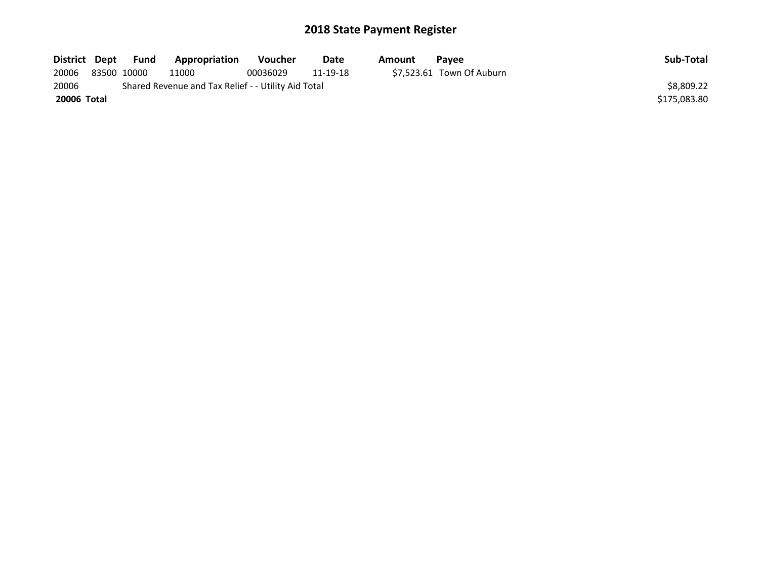| District Dept | <b>Fund</b> | Appropriation                                       | <b>Voucher</b> | Date     | Amount | <b>Pavee</b>              | Sub-Total    |
|---------------|-------------|-----------------------------------------------------|----------------|----------|--------|---------------------------|--------------|
| 20006         | 83500 10000 | 11000                                               | 00036029       | 11-19-18 |        | \$7.523.61 Town Of Auburn |              |
| 20006         |             | Shared Revenue and Tax Relief - - Utility Aid Total |                |          |        |                           | \$8,809.22   |
| 20006 Total   |             |                                                     |                |          |        |                           | \$175.083.80 |
|               |             |                                                     |                |          |        |                           |              |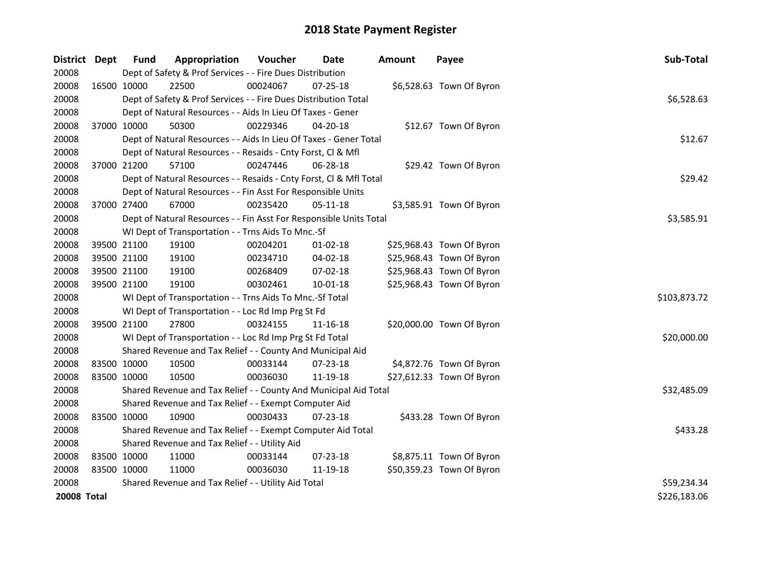| <b>District</b>    | Dept        | <b>Fund</b>                                                  | Appropriation                                                      | Voucher  | <b>Date</b>    | <b>Amount</b> | Payee                     | Sub-Total    |  |  |
|--------------------|-------------|--------------------------------------------------------------|--------------------------------------------------------------------|----------|----------------|---------------|---------------------------|--------------|--|--|
| 20008              |             |                                                              | Dept of Safety & Prof Services - - Fire Dues Distribution          |          |                |               |                           |              |  |  |
| 20008              | 16500 10000 |                                                              | 22500                                                              | 00024067 | $07 - 25 - 18$ |               | \$6,528.63 Town Of Byron  |              |  |  |
| 20008              |             |                                                              | Dept of Safety & Prof Services - - Fire Dues Distribution Total    |          |                |               |                           | \$6,528.63   |  |  |
| 20008              |             |                                                              | Dept of Natural Resources - - Aids In Lieu Of Taxes - Gener        |          |                |               |                           |              |  |  |
| 20008              | 37000 10000 |                                                              | 50300                                                              | 00229346 | 04-20-18       |               | \$12.67 Town Of Byron     |              |  |  |
| 20008              |             |                                                              | Dept of Natural Resources - - Aids In Lieu Of Taxes - Gener Total  | \$12.67  |                |               |                           |              |  |  |
| 20008              |             | Dept of Natural Resources - - Resaids - Cnty Forst, Cl & Mfl |                                                                    |          |                |               |                           |              |  |  |
| 20008              | 37000 21200 |                                                              | 57100                                                              | 00247446 | 06-28-18       |               | \$29.42 Town Of Byron     |              |  |  |
| 20008              |             |                                                              | Dept of Natural Resources - - Resaids - Cnty Forst, Cl & Mfl Total |          |                |               |                           | \$29.42      |  |  |
| 20008              |             |                                                              | Dept of Natural Resources - - Fin Asst For Responsible Units       |          |                |               |                           |              |  |  |
| 20008              | 37000 27400 |                                                              | 67000                                                              | 00235420 | 05-11-18       |               | \$3,585.91 Town Of Byron  |              |  |  |
| 20008              |             |                                                              | Dept of Natural Resources - - Fin Asst For Responsible Units Total |          |                |               |                           | \$3,585.91   |  |  |
| 20008              |             |                                                              | WI Dept of Transportation - - Trns Aids To Mnc.-Sf                 |          |                |               |                           |              |  |  |
| 20008              | 39500 21100 |                                                              | 19100                                                              | 00204201 | 01-02-18       |               | \$25,968.43 Town Of Byron |              |  |  |
| 20008              | 39500 21100 |                                                              | 19100                                                              | 00234710 | 04-02-18       |               | \$25,968.43 Town Of Byron |              |  |  |
| 20008              | 39500 21100 |                                                              | 19100                                                              | 00268409 | 07-02-18       |               | \$25,968.43 Town Of Byron |              |  |  |
| 20008              | 39500 21100 |                                                              | 19100                                                              | 00302461 | $10 - 01 - 18$ |               | \$25,968.43 Town Of Byron |              |  |  |
| 20008              |             |                                                              | WI Dept of Transportation - - Trns Aids To Mnc.-Sf Total           |          |                |               |                           | \$103,873.72 |  |  |
| 20008              |             |                                                              | WI Dept of Transportation - - Loc Rd Imp Prg St Fd                 |          |                |               |                           |              |  |  |
| 20008              | 39500 21100 |                                                              | 27800                                                              | 00324155 | 11-16-18       |               | \$20,000.00 Town Of Byron |              |  |  |
| 20008              |             |                                                              | WI Dept of Transportation - - Loc Rd Imp Prg St Fd Total           |          |                |               |                           | \$20,000.00  |  |  |
| 20008              |             |                                                              | Shared Revenue and Tax Relief - - County And Municipal Aid         |          |                |               |                           |              |  |  |
| 20008              | 83500 10000 |                                                              | 10500                                                              | 00033144 | 07-23-18       |               | \$4,872.76 Town Of Byron  |              |  |  |
| 20008              | 83500 10000 |                                                              | 10500                                                              | 00036030 | 11-19-18       |               | \$27,612.33 Town Of Byron |              |  |  |
| 20008              |             |                                                              | Shared Revenue and Tax Relief - - County And Municipal Aid Total   |          |                |               |                           | \$32,485.09  |  |  |
| 20008              |             |                                                              | Shared Revenue and Tax Relief - - Exempt Computer Aid              |          |                |               |                           |              |  |  |
| 20008              | 83500 10000 |                                                              | 10900                                                              | 00030433 | 07-23-18       |               | \$433.28 Town Of Byron    |              |  |  |
| 20008              |             |                                                              | Shared Revenue and Tax Relief - - Exempt Computer Aid Total        |          |                |               |                           | \$433.28     |  |  |
| 20008              |             | Shared Revenue and Tax Relief - - Utility Aid                |                                                                    |          |                |               |                           |              |  |  |
| 20008              | 83500 10000 |                                                              | 11000                                                              | 00033144 | 07-23-18       |               | \$8,875.11 Town Of Byron  |              |  |  |
| 20008              | 83500 10000 |                                                              | 11000                                                              | 00036030 | 11-19-18       |               | \$50,359.23 Town Of Byron |              |  |  |
| 20008              |             | Shared Revenue and Tax Relief - - Utility Aid Total          | \$59,234.34                                                        |          |                |               |                           |              |  |  |
| <b>20008 Total</b> |             |                                                              |                                                                    |          |                |               |                           | \$226,183.06 |  |  |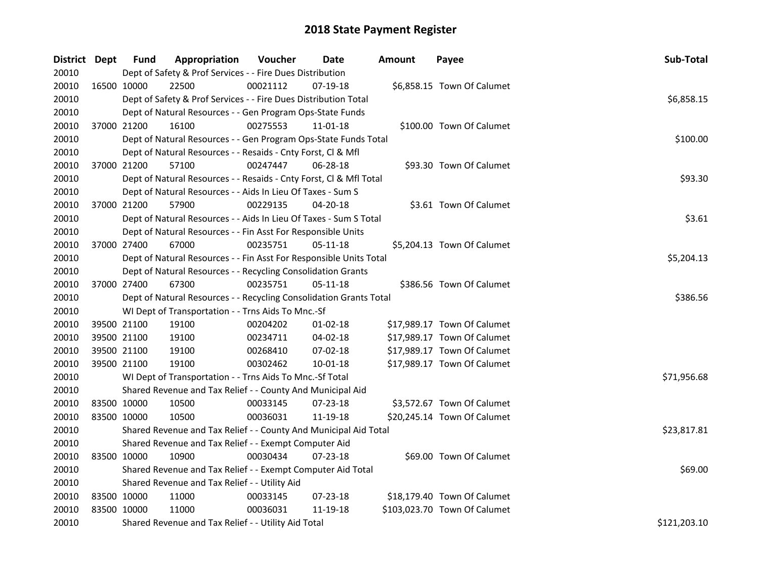| District Dept |             | Fund                                                        | Appropriation                                                      | Voucher  | Date           | <b>Amount</b> | Payee                        | Sub-Total    |  |  |
|---------------|-------------|-------------------------------------------------------------|--------------------------------------------------------------------|----------|----------------|---------------|------------------------------|--------------|--|--|
| 20010         |             |                                                             | Dept of Safety & Prof Services - - Fire Dues Distribution          |          |                |               |                              |              |  |  |
| 20010         | 16500 10000 |                                                             | 22500                                                              | 00021112 | 07-19-18       |               | \$6,858.15 Town Of Calumet   |              |  |  |
| 20010         |             |                                                             | Dept of Safety & Prof Services - - Fire Dues Distribution Total    |          |                |               |                              | \$6,858.15   |  |  |
| 20010         |             |                                                             | Dept of Natural Resources - - Gen Program Ops-State Funds          |          |                |               |                              |              |  |  |
| 20010         | 37000 21200 |                                                             | 16100                                                              | 00275553 | 11-01-18       |               | \$100.00 Town Of Calumet     |              |  |  |
| 20010         |             |                                                             | Dept of Natural Resources - - Gen Program Ops-State Funds Total    |          |                |               |                              | \$100.00     |  |  |
| 20010         |             |                                                             | Dept of Natural Resources - - Resaids - Cnty Forst, Cl & Mfl       |          |                |               |                              |              |  |  |
| 20010         |             | 37000 21200                                                 | 57100                                                              | 00247447 | 06-28-18       |               | \$93.30 Town Of Calumet      |              |  |  |
| 20010         |             |                                                             | Dept of Natural Resources - - Resaids - Cnty Forst, Cl & Mfl Total |          |                |               |                              | \$93.30      |  |  |
| 20010         |             | Dept of Natural Resources - - Aids In Lieu Of Taxes - Sum S |                                                                    |          |                |               |                              |              |  |  |
| 20010         | 37000 21200 |                                                             | 57900                                                              | 00229135 | 04-20-18       |               | \$3.61 Town Of Calumet       |              |  |  |
| 20010         |             |                                                             | Dept of Natural Resources - - Aids In Lieu Of Taxes - Sum S Total  |          |                |               |                              | \$3.61       |  |  |
| 20010         |             |                                                             | Dept of Natural Resources - - Fin Asst For Responsible Units       |          |                |               |                              |              |  |  |
| 20010         | 37000 27400 |                                                             | 67000                                                              | 00235751 | 05-11-18       |               | \$5,204.13 Town Of Calumet   |              |  |  |
| 20010         |             |                                                             | Dept of Natural Resources - - Fin Asst For Responsible Units Total |          |                |               |                              | \$5,204.13   |  |  |
| 20010         |             |                                                             | Dept of Natural Resources - - Recycling Consolidation Grants       |          |                |               |                              |              |  |  |
| 20010         | 37000 27400 |                                                             | 67300                                                              | 00235751 | 05-11-18       |               | \$386.56 Town Of Calumet     |              |  |  |
| 20010         |             |                                                             | Dept of Natural Resources - - Recycling Consolidation Grants Total |          |                |               |                              | \$386.56     |  |  |
| 20010         |             |                                                             | WI Dept of Transportation - - Trns Aids To Mnc.-Sf                 |          |                |               |                              |              |  |  |
| 20010         | 39500 21100 |                                                             | 19100                                                              | 00204202 | $01 - 02 - 18$ |               | \$17,989.17 Town Of Calumet  |              |  |  |
| 20010         | 39500 21100 |                                                             | 19100                                                              | 00234711 | 04-02-18       |               | \$17,989.17 Town Of Calumet  |              |  |  |
| 20010         | 39500 21100 |                                                             | 19100                                                              | 00268410 | 07-02-18       |               | \$17,989.17 Town Of Calumet  |              |  |  |
| 20010         | 39500 21100 |                                                             | 19100                                                              | 00302462 | $10 - 01 - 18$ |               | \$17,989.17 Town Of Calumet  |              |  |  |
| 20010         |             |                                                             | WI Dept of Transportation - - Trns Aids To Mnc.-Sf Total           |          |                |               |                              | \$71,956.68  |  |  |
| 20010         |             |                                                             | Shared Revenue and Tax Relief - - County And Municipal Aid         |          |                |               |                              |              |  |  |
| 20010         | 83500 10000 |                                                             | 10500                                                              | 00033145 | 07-23-18       |               | \$3,572.67 Town Of Calumet   |              |  |  |
| 20010         | 83500 10000 |                                                             | 10500                                                              | 00036031 | 11-19-18       |               | \$20,245.14 Town Of Calumet  |              |  |  |
| 20010         |             |                                                             | Shared Revenue and Tax Relief - - County And Municipal Aid Total   |          |                |               |                              | \$23,817.81  |  |  |
| 20010         |             |                                                             | Shared Revenue and Tax Relief - - Exempt Computer Aid              |          |                |               |                              |              |  |  |
| 20010         | 83500 10000 |                                                             | 10900                                                              | 00030434 | 07-23-18       |               | \$69.00 Town Of Calumet      |              |  |  |
| 20010         |             |                                                             | Shared Revenue and Tax Relief - - Exempt Computer Aid Total        |          |                |               |                              | \$69.00      |  |  |
| 20010         |             |                                                             | Shared Revenue and Tax Relief - - Utility Aid                      |          |                |               |                              |              |  |  |
| 20010         |             | 83500 10000                                                 | 11000                                                              | 00033145 | 07-23-18       |               | \$18,179.40 Town Of Calumet  |              |  |  |
| 20010         | 83500 10000 |                                                             | 11000                                                              | 00036031 | 11-19-18       |               | \$103,023.70 Town Of Calumet |              |  |  |
| 20010         |             |                                                             | Shared Revenue and Tax Relief - - Utility Aid Total                |          |                |               |                              | \$121,203.10 |  |  |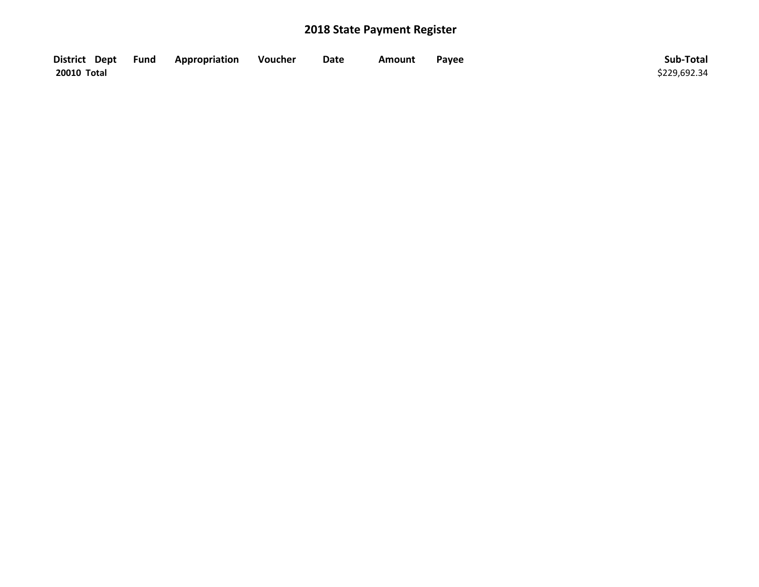| District Dept Fund | Appropriation | Voucher | Date | Amount | Payee | Sub-Total    |
|--------------------|---------------|---------|------|--------|-------|--------------|
| 20010 Total        |               |         |      |        |       | \$229,692.34 |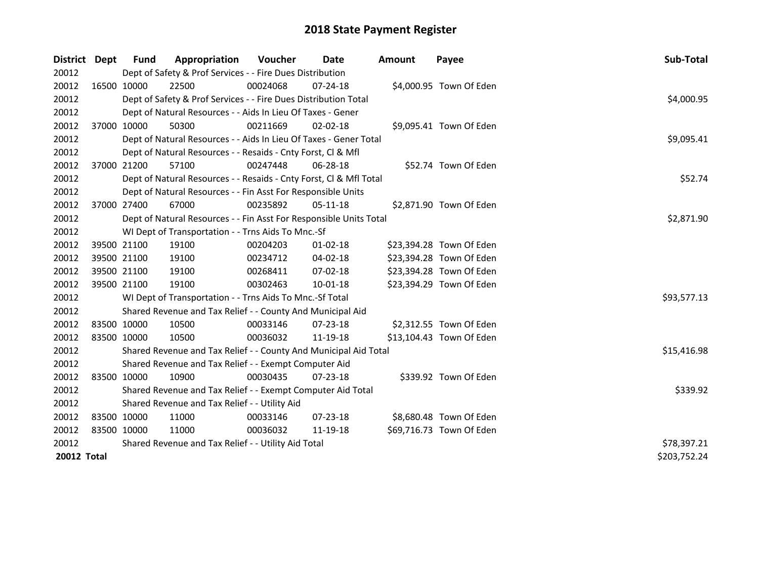| District           | Dept        | Fund                                                         | Appropriation                                                      | Voucher  | Date           | <b>Amount</b> | Payee                    | Sub-Total    |  |  |
|--------------------|-------------|--------------------------------------------------------------|--------------------------------------------------------------------|----------|----------------|---------------|--------------------------|--------------|--|--|
| 20012              |             |                                                              | Dept of Safety & Prof Services - - Fire Dues Distribution          |          |                |               |                          |              |  |  |
| 20012              |             | 16500 10000                                                  | 22500                                                              | 00024068 | 07-24-18       |               | \$4,000.95 Town Of Eden  |              |  |  |
| 20012              |             |                                                              | Dept of Safety & Prof Services - - Fire Dues Distribution Total    |          |                |               |                          | \$4,000.95   |  |  |
| 20012              |             |                                                              | Dept of Natural Resources - - Aids In Lieu Of Taxes - Gener        |          |                |               |                          |              |  |  |
| 20012              | 37000 10000 |                                                              | 50300                                                              | 00211669 | $02 - 02 - 18$ |               | \$9,095.41 Town Of Eden  |              |  |  |
| 20012              |             |                                                              | Dept of Natural Resources - - Aids In Lieu Of Taxes - Gener Total  |          |                |               |                          | \$9,095.41   |  |  |
| 20012              |             | Dept of Natural Resources - - Resaids - Cnty Forst, Cl & Mfl |                                                                    |          |                |               |                          |              |  |  |
| 20012              |             | 37000 21200                                                  | 57100                                                              | 00247448 | 06-28-18       |               | \$52.74 Town Of Eden     |              |  |  |
| 20012              |             |                                                              | Dept of Natural Resources - - Resaids - Cnty Forst, Cl & Mfl Total |          |                |               |                          | \$52.74      |  |  |
| 20012              |             |                                                              | Dept of Natural Resources - - Fin Asst For Responsible Units       |          |                |               |                          |              |  |  |
| 20012              |             | 37000 27400                                                  | 67000                                                              | 00235892 | $05-11-18$     |               | \$2,871.90 Town Of Eden  |              |  |  |
| 20012              |             |                                                              | Dept of Natural Resources - - Fin Asst For Responsible Units Total |          |                |               |                          | \$2,871.90   |  |  |
| 20012              |             |                                                              | WI Dept of Transportation - - Trns Aids To Mnc.-Sf                 |          |                |               |                          |              |  |  |
| 20012              |             | 39500 21100                                                  | 19100                                                              | 00204203 | $01 - 02 - 18$ |               | \$23,394.28 Town Of Eden |              |  |  |
| 20012              |             | 39500 21100                                                  | 19100                                                              | 00234712 | 04-02-18       |               | \$23,394.28 Town Of Eden |              |  |  |
| 20012              |             | 39500 21100                                                  | 19100                                                              | 00268411 | 07-02-18       |               | \$23,394.28 Town Of Eden |              |  |  |
| 20012              | 39500 21100 |                                                              | 19100                                                              | 00302463 | $10 - 01 - 18$ |               | \$23,394.29 Town Of Eden |              |  |  |
| 20012              |             |                                                              | WI Dept of Transportation - - Trns Aids To Mnc.-Sf Total           |          |                |               |                          | \$93,577.13  |  |  |
| 20012              |             |                                                              | Shared Revenue and Tax Relief - - County And Municipal Aid         |          |                |               |                          |              |  |  |
| 20012              |             | 83500 10000                                                  | 10500                                                              | 00033146 | 07-23-18       |               | \$2,312.55 Town Of Eden  |              |  |  |
| 20012              | 83500 10000 |                                                              | 10500                                                              | 00036032 | 11-19-18       |               | \$13,104.43 Town Of Eden |              |  |  |
| 20012              |             |                                                              | Shared Revenue and Tax Relief - - County And Municipal Aid Total   |          |                |               |                          | \$15,416.98  |  |  |
| 20012              |             |                                                              | Shared Revenue and Tax Relief - - Exempt Computer Aid              |          |                |               |                          |              |  |  |
| 20012              | 83500 10000 |                                                              | 10900                                                              | 00030435 | $07 - 23 - 18$ |               | \$339.92 Town Of Eden    |              |  |  |
| 20012              |             |                                                              | Shared Revenue and Tax Relief - - Exempt Computer Aid Total        |          |                |               |                          | \$339.92     |  |  |
| 20012              |             |                                                              | Shared Revenue and Tax Relief - - Utility Aid                      |          |                |               |                          |              |  |  |
| 20012              |             | 83500 10000                                                  | 11000                                                              | 00033146 | 07-23-18       |               | \$8,680.48 Town Of Eden  |              |  |  |
| 20012              | 83500 10000 |                                                              | 11000                                                              | 00036032 | 11-19-18       |               | \$69,716.73 Town Of Eden |              |  |  |
| 20012              |             |                                                              | Shared Revenue and Tax Relief - - Utility Aid Total                |          |                |               |                          | \$78,397.21  |  |  |
| <b>20012 Total</b> |             |                                                              |                                                                    |          |                |               |                          | \$203,752.24 |  |  |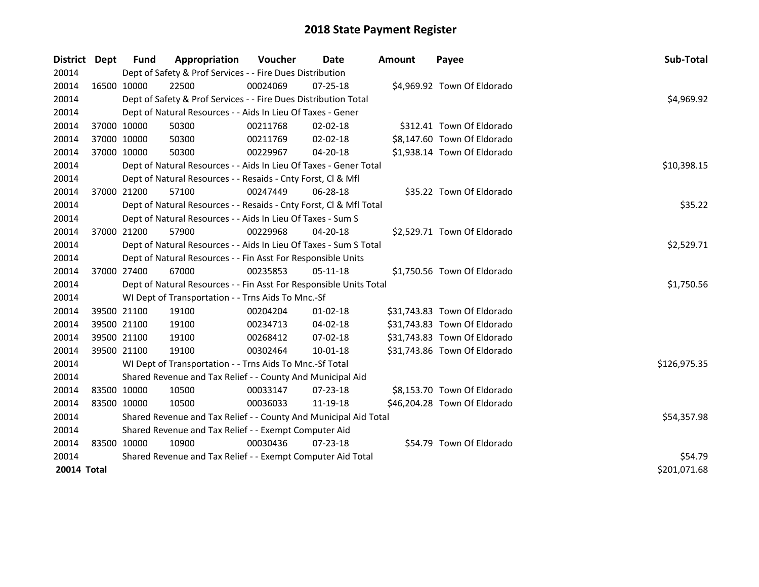| District Dept | <b>Fund</b>                                           | Appropriation                                                      | Voucher  | <b>Date</b>    | <b>Amount</b> | Payee                        | Sub-Total    |  |
|---------------|-------------------------------------------------------|--------------------------------------------------------------------|----------|----------------|---------------|------------------------------|--------------|--|
| 20014         |                                                       | Dept of Safety & Prof Services - - Fire Dues Distribution          |          |                |               |                              |              |  |
| 20014         | 16500 10000                                           | 22500                                                              | 00024069 | $07 - 25 - 18$ |               | \$4,969.92 Town Of Eldorado  |              |  |
| 20014         |                                                       | Dept of Safety & Prof Services - - Fire Dues Distribution Total    |          |                |               |                              | \$4,969.92   |  |
| 20014         |                                                       | Dept of Natural Resources - - Aids In Lieu Of Taxes - Gener        |          |                |               |                              |              |  |
| 20014         | 37000 10000                                           | 50300                                                              | 00211768 | 02-02-18       |               | \$312.41 Town Of Eldorado    |              |  |
| 20014         | 37000 10000                                           | 50300                                                              | 00211769 | $02 - 02 - 18$ |               | \$8,147.60 Town Of Eldorado  |              |  |
| 20014         | 37000 10000                                           | 50300                                                              | 00229967 | 04-20-18       |               | \$1,938.14 Town Of Eldorado  |              |  |
| 20014         |                                                       | Dept of Natural Resources - - Aids In Lieu Of Taxes - Gener Total  |          |                |               |                              | \$10,398.15  |  |
| 20014         |                                                       | Dept of Natural Resources - - Resaids - Cnty Forst, Cl & Mfl       |          |                |               |                              |              |  |
| 20014         | 37000 21200                                           | 57100                                                              | 00247449 | 06-28-18       |               | \$35.22 Town Of Eldorado     |              |  |
| 20014         |                                                       | Dept of Natural Resources - - Resaids - Cnty Forst, Cl & Mfl Total |          |                |               |                              | \$35.22      |  |
| 20014         |                                                       | Dept of Natural Resources - - Aids In Lieu Of Taxes - Sum S        |          |                |               |                              |              |  |
| 20014         | 37000 21200                                           | 57900                                                              | 00229968 | 04-20-18       |               | \$2,529.71 Town Of Eldorado  |              |  |
| 20014         |                                                       | Dept of Natural Resources - - Aids In Lieu Of Taxes - Sum S Total  |          |                |               |                              | \$2,529.71   |  |
| 20014         |                                                       | Dept of Natural Resources - - Fin Asst For Responsible Units       |          |                |               |                              |              |  |
| 20014         | 37000 27400                                           | 67000                                                              | 00235853 | 05-11-18       |               | \$1,750.56 Town Of Eldorado  |              |  |
| 20014         |                                                       | Dept of Natural Resources - - Fin Asst For Responsible Units Total |          |                |               |                              | \$1,750.56   |  |
| 20014         |                                                       | WI Dept of Transportation - - Trns Aids To Mnc.-Sf                 |          |                |               |                              |              |  |
| 20014         | 39500 21100                                           | 19100                                                              | 00204204 | $01 - 02 - 18$ |               | \$31,743.83 Town Of Eldorado |              |  |
| 20014         | 39500 21100                                           | 19100                                                              | 00234713 | 04-02-18       |               | \$31,743.83 Town Of Eldorado |              |  |
| 20014         | 39500 21100                                           | 19100                                                              | 00268412 | 07-02-18       |               | \$31,743.83 Town Of Eldorado |              |  |
| 20014         | 39500 21100                                           | 19100                                                              | 00302464 | 10-01-18       |               | \$31,743.86 Town Of Eldorado |              |  |
| 20014         |                                                       | WI Dept of Transportation - - Trns Aids To Mnc.-Sf Total           |          |                |               |                              | \$126,975.35 |  |
| 20014         |                                                       | Shared Revenue and Tax Relief - - County And Municipal Aid         |          |                |               |                              |              |  |
| 20014         | 83500 10000                                           | 10500                                                              | 00033147 | $07 - 23 - 18$ |               | \$8,153.70 Town Of Eldorado  |              |  |
| 20014         | 83500 10000                                           | 10500                                                              | 00036033 | 11-19-18       |               | \$46,204.28 Town Of Eldorado |              |  |
| 20014         |                                                       | Shared Revenue and Tax Relief - - County And Municipal Aid Total   |          |                |               |                              | \$54,357.98  |  |
| 20014         | Shared Revenue and Tax Relief - - Exempt Computer Aid |                                                                    |          |                |               |                              |              |  |
| 20014         | 83500 10000                                           | 10900                                                              | 00030436 | 07-23-18       |               | \$54.79 Town Of Eldorado     |              |  |
| 20014         |                                                       | Shared Revenue and Tax Relief - - Exempt Computer Aid Total        |          |                |               |                              | \$54.79      |  |
| 20014 Total   |                                                       |                                                                    |          |                |               |                              | \$201,071.68 |  |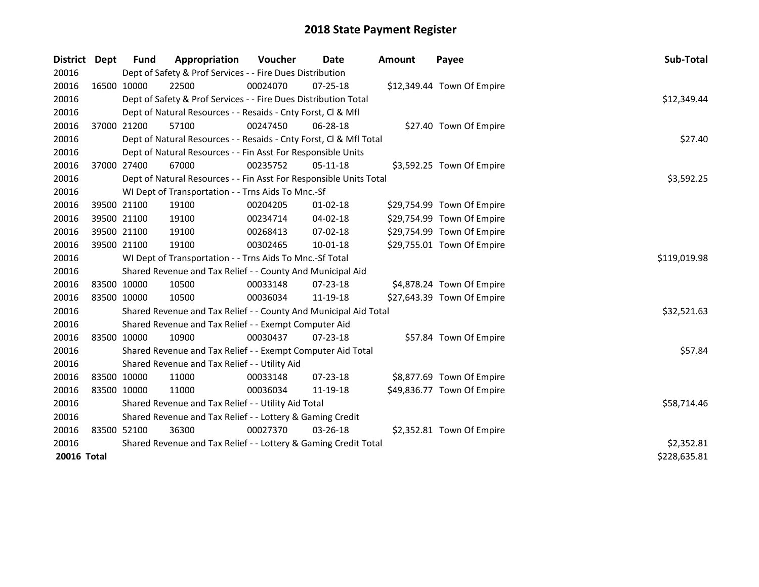| District    | <b>Dept</b> | <b>Fund</b>                                                  | Appropriation                                                      | Voucher     | <b>Date</b>    | <b>Amount</b> | Payee                      | Sub-Total    |
|-------------|-------------|--------------------------------------------------------------|--------------------------------------------------------------------|-------------|----------------|---------------|----------------------------|--------------|
| 20016       |             |                                                              | Dept of Safety & Prof Services - - Fire Dues Distribution          |             |                |               |                            |              |
| 20016       |             | 16500 10000                                                  | 22500                                                              | 00024070    | $07 - 25 - 18$ |               | \$12,349.44 Town Of Empire |              |
| 20016       |             |                                                              | Dept of Safety & Prof Services - - Fire Dues Distribution Total    |             |                |               |                            | \$12,349.44  |
| 20016       |             |                                                              | Dept of Natural Resources - - Resaids - Cnty Forst, Cl & Mfl       |             |                |               |                            |              |
| 20016       |             | 37000 21200                                                  | 57100                                                              | 00247450    | 06-28-18       |               | \$27.40 Town Of Empire     |              |
| 20016       |             |                                                              | Dept of Natural Resources - - Resaids - Cnty Forst, Cl & Mfl Total |             |                |               |                            | \$27.40      |
| 20016       |             | Dept of Natural Resources - - Fin Asst For Responsible Units |                                                                    |             |                |               |                            |              |
| 20016       |             | 37000 27400                                                  | 67000                                                              | 00235752    | $05-11-18$     |               | \$3,592.25 Town Of Empire  |              |
| 20016       |             |                                                              | Dept of Natural Resources - - Fin Asst For Responsible Units Total |             |                |               |                            | \$3,592.25   |
| 20016       |             |                                                              | WI Dept of Transportation - - Trns Aids To Mnc.-Sf                 |             |                |               |                            |              |
| 20016       |             | 39500 21100                                                  | 19100                                                              | 00204205    | $01 - 02 - 18$ |               | \$29,754.99 Town Of Empire |              |
| 20016       | 39500 21100 |                                                              | 19100                                                              | 00234714    | 04-02-18       |               | \$29,754.99 Town Of Empire |              |
| 20016       |             | 39500 21100                                                  | 19100                                                              | 00268413    | 07-02-18       |               | \$29,754.99 Town Of Empire |              |
| 20016       | 39500 21100 |                                                              | 19100                                                              | 00302465    | 10-01-18       |               | \$29,755.01 Town Of Empire |              |
| 20016       |             |                                                              | WI Dept of Transportation - - Trns Aids To Mnc.-Sf Total           |             |                |               |                            | \$119,019.98 |
| 20016       |             |                                                              | Shared Revenue and Tax Relief - - County And Municipal Aid         |             |                |               |                            |              |
| 20016       | 83500 10000 |                                                              | 10500                                                              | 00033148    | 07-23-18       |               | \$4,878.24 Town Of Empire  |              |
| 20016       | 83500 10000 |                                                              | 10500                                                              | 00036034    | 11-19-18       |               | \$27,643.39 Town Of Empire |              |
| 20016       |             |                                                              | Shared Revenue and Tax Relief - - County And Municipal Aid Total   |             |                |               |                            | \$32,521.63  |
| 20016       |             |                                                              | Shared Revenue and Tax Relief - - Exempt Computer Aid              |             |                |               |                            |              |
| 20016       |             | 83500 10000                                                  | 10900                                                              | 00030437    | $07 - 23 - 18$ |               | \$57.84 Town Of Empire     |              |
| 20016       |             |                                                              | Shared Revenue and Tax Relief - - Exempt Computer Aid Total        |             |                |               |                            | \$57.84      |
| 20016       |             |                                                              | Shared Revenue and Tax Relief - - Utility Aid                      |             |                |               |                            |              |
| 20016       | 83500 10000 |                                                              | 11000                                                              | 00033148    | 07-23-18       |               | \$8,877.69 Town Of Empire  |              |
| 20016       | 83500 10000 |                                                              | 11000                                                              | 00036034    | 11-19-18       |               | \$49,836.77 Town Of Empire |              |
| 20016       |             |                                                              | Shared Revenue and Tax Relief - - Utility Aid Total                | \$58,714.46 |                |               |                            |              |
| 20016       |             |                                                              | Shared Revenue and Tax Relief - - Lottery & Gaming Credit          |             |                |               |                            |              |
| 20016       | 83500 52100 |                                                              | 36300                                                              | 00027370    | 03-26-18       |               | \$2,352.81 Town Of Empire  |              |
| 20016       |             |                                                              | Shared Revenue and Tax Relief - - Lottery & Gaming Credit Total    | \$2,352.81  |                |               |                            |              |
| 20016 Total |             |                                                              |                                                                    |             |                |               |                            | \$228,635.81 |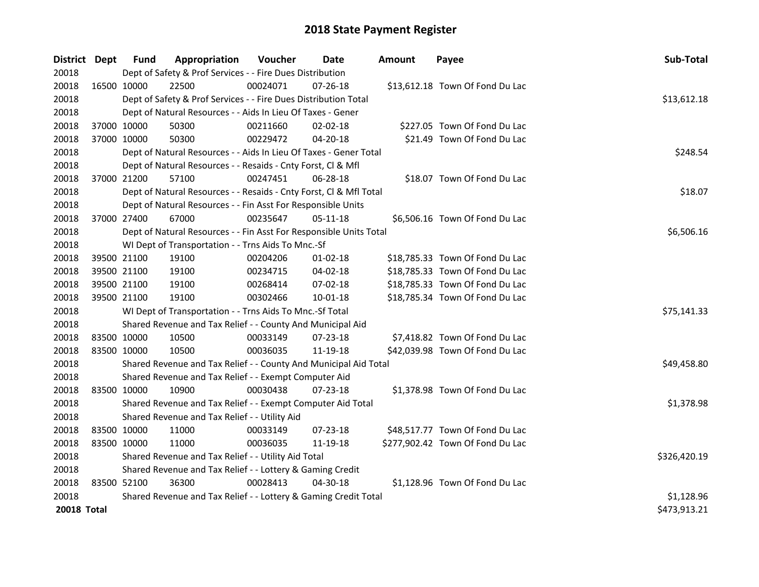| District           | Dept        | <b>Fund</b> | Appropriation                                                      | Voucher    | Date           | <b>Amount</b> | Payee                            | Sub-Total    |
|--------------------|-------------|-------------|--------------------------------------------------------------------|------------|----------------|---------------|----------------------------------|--------------|
| 20018              |             |             | Dept of Safety & Prof Services - - Fire Dues Distribution          |            |                |               |                                  |              |
| 20018              |             | 16500 10000 | 22500                                                              | 00024071   | 07-26-18       |               | \$13,612.18 Town Of Fond Du Lac  |              |
| 20018              |             |             | Dept of Safety & Prof Services - - Fire Dues Distribution Total    |            |                |               |                                  | \$13,612.18  |
| 20018              |             |             | Dept of Natural Resources - - Aids In Lieu Of Taxes - Gener        |            |                |               |                                  |              |
| 20018              |             | 37000 10000 | 50300                                                              | 00211660   | $02 - 02 - 18$ |               | \$227.05 Town Of Fond Du Lac     |              |
| 20018              |             | 37000 10000 | 50300                                                              | 00229472   | 04-20-18       |               | \$21.49 Town Of Fond Du Lac      |              |
| 20018              |             |             | Dept of Natural Resources - - Aids In Lieu Of Taxes - Gener Total  |            | \$248.54       |               |                                  |              |
| 20018              |             |             | Dept of Natural Resources - - Resaids - Cnty Forst, Cl & Mfl       |            |                |               |                                  |              |
| 20018              |             | 37000 21200 | 57100                                                              | 00247451   | 06-28-18       |               | \$18.07 Town Of Fond Du Lac      |              |
| 20018              |             |             | Dept of Natural Resources - - Resaids - Cnty Forst, Cl & Mfl Total |            | \$18.07        |               |                                  |              |
| 20018              |             |             | Dept of Natural Resources - - Fin Asst For Responsible Units       |            |                |               |                                  |              |
| 20018              |             | 37000 27400 | 67000                                                              | 00235647   | 05-11-18       |               | \$6,506.16 Town Of Fond Du Lac   |              |
| 20018              |             |             | Dept of Natural Resources - - Fin Asst For Responsible Units Total |            |                |               |                                  | \$6,506.16   |
| 20018              |             |             | WI Dept of Transportation - - Trns Aids To Mnc.-Sf                 |            |                |               |                                  |              |
| 20018              |             | 39500 21100 | 19100                                                              | 00204206   | $01 - 02 - 18$ |               | \$18,785.33 Town Of Fond Du Lac  |              |
| 20018              |             | 39500 21100 | 19100                                                              | 00234715   | 04-02-18       |               | \$18,785.33 Town Of Fond Du Lac  |              |
| 20018              |             | 39500 21100 | 19100                                                              | 00268414   | 07-02-18       |               | \$18,785.33 Town Of Fond Du Lac  |              |
| 20018              |             | 39500 21100 | 19100                                                              | 00302466   | $10 - 01 - 18$ |               | \$18,785.34 Town Of Fond Du Lac  |              |
| 20018              |             |             | WI Dept of Transportation - - Trns Aids To Mnc.-Sf Total           |            |                |               |                                  | \$75,141.33  |
| 20018              |             |             | Shared Revenue and Tax Relief - - County And Municipal Aid         |            |                |               |                                  |              |
| 20018              |             | 83500 10000 | 10500                                                              | 00033149   | 07-23-18       |               | \$7,418.82 Town Of Fond Du Lac   |              |
| 20018              |             | 83500 10000 | 10500                                                              | 00036035   | 11-19-18       |               | \$42,039.98 Town Of Fond Du Lac  |              |
| 20018              |             |             | Shared Revenue and Tax Relief - - County And Municipal Aid Total   |            |                |               |                                  | \$49,458.80  |
| 20018              |             |             | Shared Revenue and Tax Relief - - Exempt Computer Aid              |            |                |               |                                  |              |
| 20018              |             | 83500 10000 | 10900                                                              | 00030438   | $07 - 23 - 18$ |               | \$1,378.98 Town Of Fond Du Lac   |              |
| 20018              |             |             | Shared Revenue and Tax Relief - - Exempt Computer Aid Total        |            |                |               |                                  | \$1,378.98   |
| 20018              |             |             | Shared Revenue and Tax Relief - - Utility Aid                      |            |                |               |                                  |              |
| 20018              | 83500 10000 |             | 11000                                                              | 00033149   | 07-23-18       |               | \$48,517.77 Town Of Fond Du Lac  |              |
| 20018              |             | 83500 10000 | 11000                                                              | 00036035   | 11-19-18       |               | \$277,902.42 Town Of Fond Du Lac |              |
| 20018              |             |             | Shared Revenue and Tax Relief - - Utility Aid Total                |            |                |               |                                  | \$326,420.19 |
| 20018              |             |             | Shared Revenue and Tax Relief - - Lottery & Gaming Credit          |            |                |               |                                  |              |
| 20018              |             | 83500 52100 | 36300                                                              | 00028413   | 04-30-18       |               | \$1,128.96 Town Of Fond Du Lac   |              |
| 20018              |             |             | Shared Revenue and Tax Relief - - Lottery & Gaming Credit Total    | \$1,128.96 |                |               |                                  |              |
| <b>20018 Total</b> |             |             |                                                                    |            |                |               |                                  | \$473,913.21 |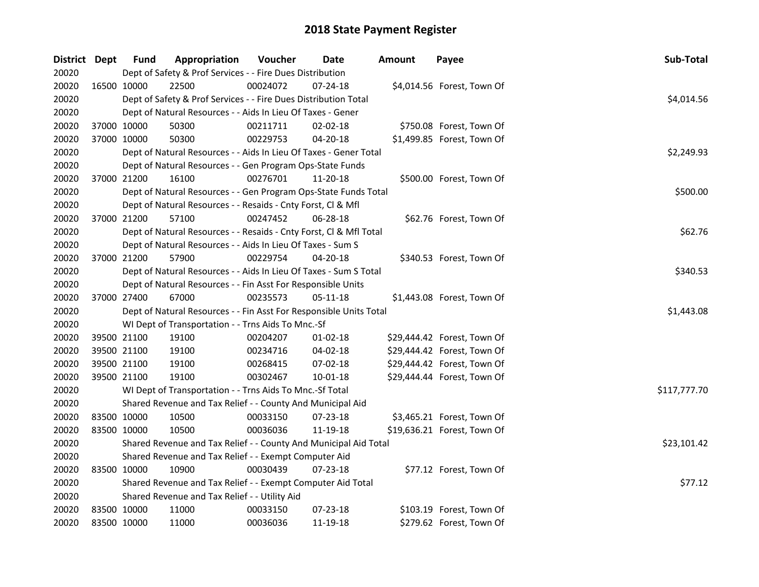| District Dept |             | <b>Fund</b> | Appropriation                                                      | Voucher  | Date           | <b>Amount</b> | Payee                       | Sub-Total    |
|---------------|-------------|-------------|--------------------------------------------------------------------|----------|----------------|---------------|-----------------------------|--------------|
| 20020         |             |             | Dept of Safety & Prof Services - - Fire Dues Distribution          |          |                |               |                             |              |
| 20020         | 16500 10000 |             | 22500                                                              | 00024072 | 07-24-18       |               | \$4,014.56 Forest, Town Of  |              |
| 20020         |             |             | Dept of Safety & Prof Services - - Fire Dues Distribution Total    |          |                |               |                             | \$4,014.56   |
| 20020         |             |             | Dept of Natural Resources - - Aids In Lieu Of Taxes - Gener        |          |                |               |                             |              |
| 20020         | 37000 10000 |             | 50300                                                              | 00211711 | 02-02-18       |               | \$750.08 Forest, Town Of    |              |
| 20020         | 37000 10000 |             | 50300                                                              | 00229753 | 04-20-18       |               | \$1,499.85 Forest, Town Of  |              |
| 20020         |             |             | Dept of Natural Resources - - Aids In Lieu Of Taxes - Gener Total  |          |                |               |                             | \$2,249.93   |
| 20020         |             |             | Dept of Natural Resources - - Gen Program Ops-State Funds          |          |                |               |                             |              |
| 20020         | 37000 21200 |             | 16100                                                              | 00276701 | 11-20-18       |               | \$500.00 Forest, Town Of    |              |
| 20020         |             |             | Dept of Natural Resources - - Gen Program Ops-State Funds Total    |          |                |               |                             | \$500.00     |
| 20020         |             |             | Dept of Natural Resources - - Resaids - Cnty Forst, Cl & Mfl       |          |                |               |                             |              |
| 20020         |             | 37000 21200 | 57100                                                              | 00247452 | 06-28-18       |               | \$62.76 Forest, Town Of     |              |
| 20020         |             |             | Dept of Natural Resources - - Resaids - Cnty Forst, Cl & Mfl Total |          |                |               |                             | \$62.76      |
| 20020         |             |             | Dept of Natural Resources - - Aids In Lieu Of Taxes - Sum S        |          |                |               |                             |              |
| 20020         | 37000 21200 |             | 57900                                                              | 00229754 | 04-20-18       |               | \$340.53 Forest, Town Of    |              |
| 20020         |             |             | Dept of Natural Resources - - Aids In Lieu Of Taxes - Sum S Total  |          |                |               |                             | \$340.53     |
| 20020         |             |             | Dept of Natural Resources - - Fin Asst For Responsible Units       |          |                |               |                             |              |
| 20020         | 37000 27400 |             | 67000                                                              | 00235573 | 05-11-18       |               | \$1,443.08 Forest, Town Of  |              |
| 20020         |             |             | Dept of Natural Resources - - Fin Asst For Responsible Units Total |          |                |               |                             | \$1,443.08   |
| 20020         |             |             | WI Dept of Transportation - - Trns Aids To Mnc.-Sf                 |          |                |               |                             |              |
| 20020         | 39500 21100 |             | 19100                                                              | 00204207 | $01 - 02 - 18$ |               | \$29,444.42 Forest, Town Of |              |
| 20020         | 39500 21100 |             | 19100                                                              | 00234716 | 04-02-18       |               | \$29,444.42 Forest, Town Of |              |
| 20020         | 39500 21100 |             | 19100                                                              | 00268415 | 07-02-18       |               | \$29,444.42 Forest, Town Of |              |
| 20020         | 39500 21100 |             | 19100                                                              | 00302467 | 10-01-18       |               | \$29,444.44 Forest, Town Of |              |
| 20020         |             |             | WI Dept of Transportation - - Trns Aids To Mnc.-Sf Total           |          |                |               |                             | \$117,777.70 |
| 20020         |             |             | Shared Revenue and Tax Relief - - County And Municipal Aid         |          |                |               |                             |              |
| 20020         |             | 83500 10000 | 10500                                                              | 00033150 | 07-23-18       |               | \$3,465.21 Forest, Town Of  |              |
| 20020         | 83500 10000 |             | 10500                                                              | 00036036 | 11-19-18       |               | \$19,636.21 Forest, Town Of |              |
| 20020         |             |             | Shared Revenue and Tax Relief - - County And Municipal Aid Total   |          |                |               |                             | \$23,101.42  |
| 20020         |             |             | Shared Revenue and Tax Relief - - Exempt Computer Aid              |          |                |               |                             |              |
| 20020         | 83500 10000 |             | 10900                                                              | 00030439 | 07-23-18       |               | \$77.12 Forest, Town Of     |              |
| 20020         |             |             | Shared Revenue and Tax Relief - - Exempt Computer Aid Total        | \$77.12  |                |               |                             |              |
| 20020         |             |             | Shared Revenue and Tax Relief - - Utility Aid                      |          |                |               |                             |              |
| 20020         | 83500 10000 |             | 11000                                                              | 00033150 | 07-23-18       |               | \$103.19 Forest, Town Of    |              |
| 20020         | 83500 10000 |             | 11000                                                              | 00036036 | 11-19-18       |               | \$279.62 Forest, Town Of    |              |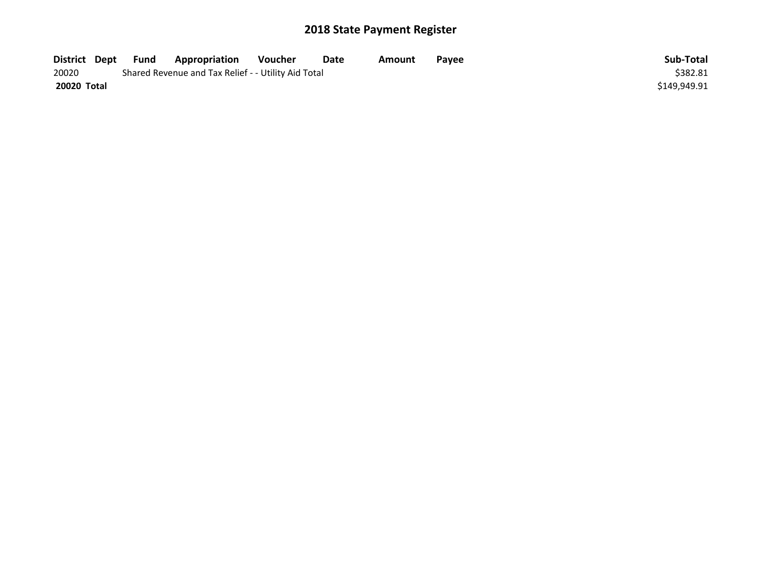| District Dept | Fund | Appropriation                                       | Voucher  | Date | Amount | Payee | Sub-Total    |
|---------------|------|-----------------------------------------------------|----------|------|--------|-------|--------------|
| 20020         |      | Shared Revenue and Tax Relief - - Utility Aid Total | \$382.81 |      |        |       |              |
| 20020 Total   |      |                                                     |          |      |        |       | \$149,949.91 |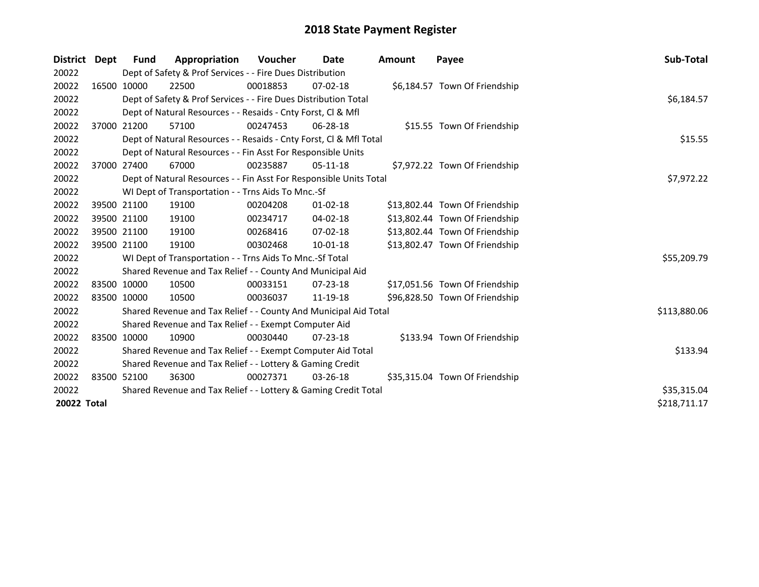| District    | Dept        | Fund        | Appropriation                                                      | Voucher  | Date           | <b>Amount</b> | Payee                          | Sub-Total    |
|-------------|-------------|-------------|--------------------------------------------------------------------|----------|----------------|---------------|--------------------------------|--------------|
| 20022       |             |             | Dept of Safety & Prof Services - - Fire Dues Distribution          |          |                |               |                                |              |
| 20022       |             | 16500 10000 | 22500                                                              | 00018853 | $07-02-18$     |               | \$6,184.57 Town Of Friendship  |              |
| 20022       |             |             | Dept of Safety & Prof Services - - Fire Dues Distribution Total    |          |                |               |                                | \$6,184.57   |
| 20022       |             |             | Dept of Natural Resources - - Resaids - Cnty Forst, CI & Mfl       |          |                |               |                                |              |
| 20022       |             | 37000 21200 | 57100                                                              | 00247453 | 06-28-18       |               | \$15.55 Town Of Friendship     |              |
| 20022       |             |             | Dept of Natural Resources - - Resaids - Cnty Forst, CI & Mfl Total |          |                |               |                                | \$15.55      |
| 20022       |             |             | Dept of Natural Resources - - Fin Asst For Responsible Units       |          |                |               |                                |              |
| 20022       |             | 37000 27400 | 67000                                                              | 00235887 | $05-11-18$     |               | \$7,972.22 Town Of Friendship  |              |
| 20022       |             |             | Dept of Natural Resources - - Fin Asst For Responsible Units Total |          |                |               |                                | \$7,972.22   |
| 20022       |             |             | WI Dept of Transportation - - Trns Aids To Mnc.-Sf                 |          |                |               |                                |              |
| 20022       |             | 39500 21100 | 19100                                                              | 00204208 | $01 - 02 - 18$ |               | \$13,802.44 Town Of Friendship |              |
| 20022       |             | 39500 21100 | 19100                                                              | 00234717 | $04 - 02 - 18$ |               | \$13,802.44 Town Of Friendship |              |
| 20022       |             | 39500 21100 | 19100                                                              | 00268416 | $07 - 02 - 18$ |               | \$13,802.44 Town Of Friendship |              |
| 20022       | 39500 21100 |             | 19100                                                              | 00302468 | $10 - 01 - 18$ |               | \$13,802.47 Town Of Friendship |              |
| 20022       |             |             | WI Dept of Transportation - - Trns Aids To Mnc.-Sf Total           |          |                |               |                                | \$55,209.79  |
| 20022       |             |             | Shared Revenue and Tax Relief - - County And Municipal Aid         |          |                |               |                                |              |
| 20022       |             | 83500 10000 | 10500                                                              | 00033151 | 07-23-18       |               | \$17,051.56 Town Of Friendship |              |
| 20022       | 83500 10000 |             | 10500                                                              | 00036037 | 11-19-18       |               | \$96,828.50 Town Of Friendship |              |
| 20022       |             |             | Shared Revenue and Tax Relief - - County And Municipal Aid Total   |          |                |               |                                | \$113,880.06 |
| 20022       |             |             | Shared Revenue and Tax Relief - - Exempt Computer Aid              |          |                |               |                                |              |
| 20022       |             | 83500 10000 | 10900                                                              | 00030440 | $07 - 23 - 18$ |               | \$133.94 Town Of Friendship    |              |
| 20022       |             |             | Shared Revenue and Tax Relief - - Exempt Computer Aid Total        |          |                |               |                                | \$133.94     |
| 20022       |             |             | Shared Revenue and Tax Relief - - Lottery & Gaming Credit          |          |                |               |                                |              |
| 20022       |             | 83500 52100 | 36300                                                              | 00027371 | $03 - 26 - 18$ |               | \$35,315.04 Town Of Friendship |              |
| 20022       |             |             | Shared Revenue and Tax Relief - - Lottery & Gaming Credit Total    |          |                |               |                                | \$35,315.04  |
| 20022 Total |             |             |                                                                    |          |                |               |                                | \$218,711.17 |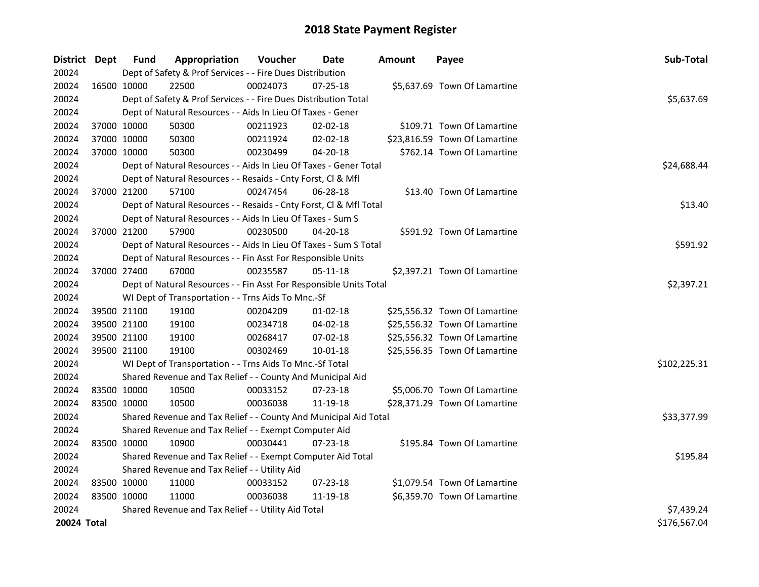| District Dept |             | <b>Fund</b> | Appropriation                                                      | Voucher     | <b>Date</b>    | <b>Amount</b> | Payee                         | Sub-Total    |
|---------------|-------------|-------------|--------------------------------------------------------------------|-------------|----------------|---------------|-------------------------------|--------------|
| 20024         |             |             | Dept of Safety & Prof Services - - Fire Dues Distribution          |             |                |               |                               |              |
| 20024         | 16500 10000 |             | 22500                                                              | 00024073    | 07-25-18       |               | \$5,637.69 Town Of Lamartine  |              |
| 20024         |             |             | Dept of Safety & Prof Services - - Fire Dues Distribution Total    |             |                |               |                               | \$5,637.69   |
| 20024         |             |             | Dept of Natural Resources - - Aids In Lieu Of Taxes - Gener        |             |                |               |                               |              |
| 20024         |             | 37000 10000 | 50300                                                              | 00211923    | $02 - 02 - 18$ |               | \$109.71 Town Of Lamartine    |              |
| 20024         |             | 37000 10000 | 50300                                                              | 00211924    | 02-02-18       |               | \$23,816.59 Town Of Lamartine |              |
| 20024         |             | 37000 10000 | 50300                                                              | 00230499    | 04-20-18       |               | \$762.14 Town Of Lamartine    |              |
| 20024         |             |             | Dept of Natural Resources - - Aids In Lieu Of Taxes - Gener Total  | \$24,688.44 |                |               |                               |              |
| 20024         |             |             | Dept of Natural Resources - - Resaids - Cnty Forst, Cl & Mfl       |             |                |               |                               |              |
| 20024         |             | 37000 21200 | 57100                                                              | 00247454    | 06-28-18       |               | \$13.40 Town Of Lamartine     |              |
| 20024         |             |             | Dept of Natural Resources - - Resaids - Cnty Forst, CI & Mfl Total |             |                |               |                               | \$13.40      |
| 20024         |             |             | Dept of Natural Resources - - Aids In Lieu Of Taxes - Sum S        |             |                |               |                               |              |
| 20024         |             | 37000 21200 | 57900                                                              | 00230500    | 04-20-18       |               | \$591.92 Town Of Lamartine    |              |
| 20024         |             |             | Dept of Natural Resources - - Aids In Lieu Of Taxes - Sum S Total  |             |                |               |                               | \$591.92     |
| 20024         |             |             | Dept of Natural Resources - - Fin Asst For Responsible Units       |             |                |               |                               |              |
| 20024         |             | 37000 27400 | 67000                                                              | 00235587    | 05-11-18       |               | \$2,397.21 Town Of Lamartine  |              |
| 20024         |             |             | Dept of Natural Resources - - Fin Asst For Responsible Units Total |             |                |               |                               | \$2,397.21   |
| 20024         |             |             | WI Dept of Transportation - - Trns Aids To Mnc.-Sf                 |             |                |               |                               |              |
| 20024         |             | 39500 21100 | 19100                                                              | 00204209    | $01-02-18$     |               | \$25,556.32 Town Of Lamartine |              |
| 20024         |             | 39500 21100 | 19100                                                              | 00234718    | 04-02-18       |               | \$25,556.32 Town Of Lamartine |              |
| 20024         | 39500 21100 |             | 19100                                                              | 00268417    | 07-02-18       |               | \$25,556.32 Town Of Lamartine |              |
| 20024         |             | 39500 21100 | 19100                                                              | 00302469    | 10-01-18       |               | \$25,556.35 Town Of Lamartine |              |
| 20024         |             |             | WI Dept of Transportation - - Trns Aids To Mnc.-Sf Total           |             |                |               |                               | \$102,225.31 |
| 20024         |             |             | Shared Revenue and Tax Relief - - County And Municipal Aid         |             |                |               |                               |              |
| 20024         |             | 83500 10000 | 10500                                                              | 00033152    | $07 - 23 - 18$ |               | \$5,006.70 Town Of Lamartine  |              |
| 20024         | 83500 10000 |             | 10500                                                              | 00036038    | 11-19-18       |               | \$28,371.29 Town Of Lamartine |              |
| 20024         |             |             | Shared Revenue and Tax Relief - - County And Municipal Aid Total   |             |                |               |                               | \$33,377.99  |
| 20024         |             |             | Shared Revenue and Tax Relief - - Exempt Computer Aid              |             |                |               |                               |              |
| 20024         | 83500 10000 |             | 10900                                                              | 00030441    | $07 - 23 - 18$ |               | \$195.84 Town Of Lamartine    |              |
| 20024         |             |             | Shared Revenue and Tax Relief - - Exempt Computer Aid Total        |             |                |               |                               | \$195.84     |
| 20024         |             |             | Shared Revenue and Tax Relief - - Utility Aid                      |             |                |               |                               |              |
| 20024         | 83500 10000 |             | 11000                                                              | 00033152    | $07 - 23 - 18$ |               | \$1,079.54 Town Of Lamartine  |              |
| 20024         | 83500 10000 |             | 11000                                                              | 00036038    | 11-19-18       |               | \$6,359.70 Town Of Lamartine  |              |
| 20024         |             |             | Shared Revenue and Tax Relief - - Utility Aid Total                |             |                |               |                               | \$7,439.24   |
| 20024 Total   |             |             |                                                                    |             |                |               |                               | \$176,567.04 |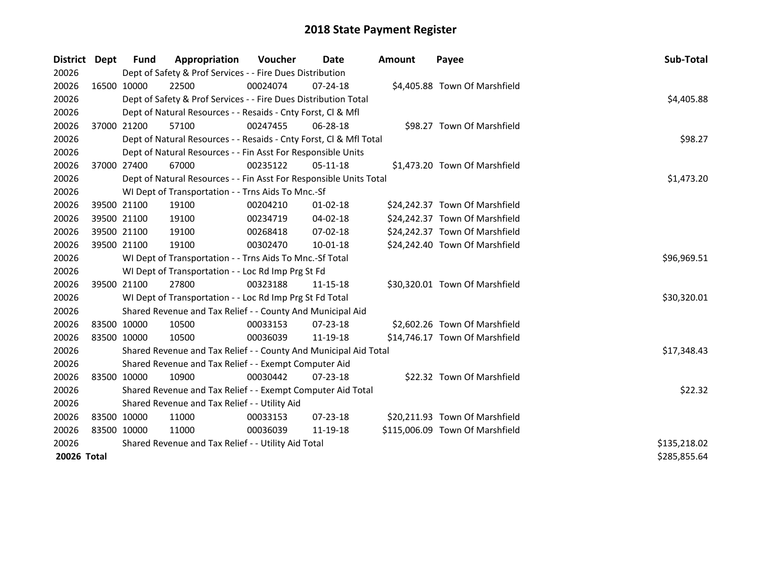| District Dept |             | <b>Fund</b> | Appropriation                                                      | Voucher      | Date           | <b>Amount</b> | Payee                           | Sub-Total    |
|---------------|-------------|-------------|--------------------------------------------------------------------|--------------|----------------|---------------|---------------------------------|--------------|
| 20026         |             |             | Dept of Safety & Prof Services - - Fire Dues Distribution          |              |                |               |                                 |              |
| 20026         |             | 16500 10000 | 22500                                                              | 00024074     | $07 - 24 - 18$ |               | \$4,405.88 Town Of Marshfield   |              |
| 20026         |             |             | Dept of Safety & Prof Services - - Fire Dues Distribution Total    |              |                |               |                                 | \$4,405.88   |
| 20026         |             |             | Dept of Natural Resources - - Resaids - Cnty Forst, CI & Mfl       |              |                |               |                                 |              |
| 20026         |             | 37000 21200 | 57100                                                              | 00247455     | 06-28-18       |               | \$98.27 Town Of Marshfield      |              |
| 20026         |             |             | Dept of Natural Resources - - Resaids - Cnty Forst, Cl & Mfl Total |              |                |               |                                 | \$98.27      |
| 20026         |             |             | Dept of Natural Resources - - Fin Asst For Responsible Units       |              |                |               |                                 |              |
| 20026         |             | 37000 27400 | 67000                                                              | 00235122     | 05-11-18       |               | \$1,473.20 Town Of Marshfield   |              |
| 20026         |             |             | Dept of Natural Resources - - Fin Asst For Responsible Units Total |              |                |               |                                 | \$1,473.20   |
| 20026         |             |             | WI Dept of Transportation - - Trns Aids To Mnc.-Sf                 |              |                |               |                                 |              |
| 20026         |             | 39500 21100 | 19100                                                              | 00204210     | $01 - 02 - 18$ |               | \$24,242.37 Town Of Marshfield  |              |
| 20026         |             | 39500 21100 | 19100                                                              | 00234719     | 04-02-18       |               | \$24,242.37 Town Of Marshfield  |              |
| 20026         |             | 39500 21100 | 19100                                                              | 00268418     | 07-02-18       |               | \$24,242.37 Town Of Marshfield  |              |
| 20026         |             | 39500 21100 | 19100                                                              | 00302470     | 10-01-18       |               | \$24,242.40 Town Of Marshfield  |              |
| 20026         |             |             | WI Dept of Transportation - - Trns Aids To Mnc.-Sf Total           |              |                |               |                                 | \$96,969.51  |
| 20026         |             |             | WI Dept of Transportation - - Loc Rd Imp Prg St Fd                 |              |                |               |                                 |              |
| 20026         |             | 39500 21100 | 27800                                                              | 00323188     | 11-15-18       |               | \$30,320.01 Town Of Marshfield  |              |
| 20026         |             |             | WI Dept of Transportation - - Loc Rd Imp Prg St Fd Total           |              |                |               |                                 | \$30,320.01  |
| 20026         |             |             | Shared Revenue and Tax Relief - - County And Municipal Aid         |              |                |               |                                 |              |
| 20026         |             | 83500 10000 | 10500                                                              | 00033153     | $07 - 23 - 18$ |               | \$2,602.26 Town Of Marshfield   |              |
| 20026         |             | 83500 10000 | 10500                                                              | 00036039     | 11-19-18       |               | \$14,746.17 Town Of Marshfield  |              |
| 20026         |             |             | Shared Revenue and Tax Relief - - County And Municipal Aid Total   |              |                |               |                                 | \$17,348.43  |
| 20026         |             |             | Shared Revenue and Tax Relief - - Exempt Computer Aid              |              |                |               |                                 |              |
| 20026         | 83500 10000 |             | 10900                                                              | 00030442     | $07 - 23 - 18$ |               | \$22.32 Town Of Marshfield      |              |
| 20026         |             |             | Shared Revenue and Tax Relief - - Exempt Computer Aid Total        |              |                |               |                                 | \$22.32      |
| 20026         |             |             | Shared Revenue and Tax Relief - - Utility Aid                      |              |                |               |                                 |              |
| 20026         |             | 83500 10000 | 11000                                                              | 00033153     | $07 - 23 - 18$ |               | \$20,211.93 Town Of Marshfield  |              |
| 20026         |             | 83500 10000 | 11000                                                              | 00036039     | 11-19-18       |               | \$115,006.09 Town Of Marshfield |              |
| 20026         |             |             | Shared Revenue and Tax Relief - - Utility Aid Total                | \$135,218.02 |                |               |                                 |              |
| 20026 Total   |             |             |                                                                    |              |                |               |                                 | \$285,855.64 |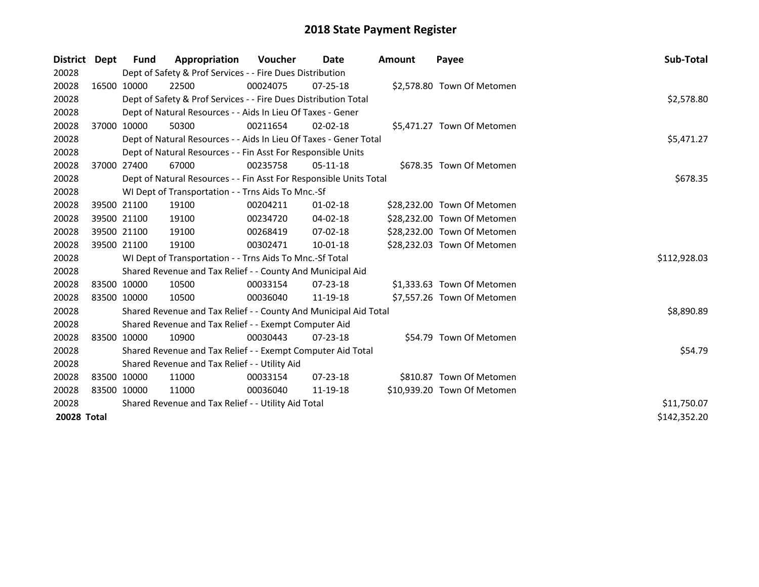| District    | Dept | <b>Fund</b>  | Appropriation                                                      | Voucher     | Date           | <b>Amount</b> | Payee                       | Sub-Total    |
|-------------|------|--------------|--------------------------------------------------------------------|-------------|----------------|---------------|-----------------------------|--------------|
| 20028       |      |              | Dept of Safety & Prof Services - - Fire Dues Distribution          |             |                |               |                             |              |
| 20028       |      | 16500 10000  | 22500                                                              | 00024075    | $07 - 25 - 18$ |               | \$2,578.80 Town Of Metomen  |              |
| 20028       |      |              | Dept of Safety & Prof Services - - Fire Dues Distribution Total    |             |                |               |                             | \$2,578.80   |
| 20028       |      |              | Dept of Natural Resources - - Aids In Lieu Of Taxes - Gener        |             |                |               |                             |              |
| 20028       |      | 37000 10000  | 50300                                                              | 00211654    | $02 - 02 - 18$ |               | \$5,471.27 Town Of Metomen  |              |
| 20028       |      |              | Dept of Natural Resources - - Aids In Lieu Of Taxes - Gener Total  |             |                |               |                             | \$5,471.27   |
| 20028       |      |              | Dept of Natural Resources - - Fin Asst For Responsible Units       |             |                |               |                             |              |
| 20028       |      | 37000 27400  | 67000                                                              | 00235758    | $05-11-18$     |               | \$678.35 Town Of Metomen    |              |
| 20028       |      |              | Dept of Natural Resources - - Fin Asst For Responsible Units Total |             |                |               |                             | \$678.35     |
| 20028       |      |              | WI Dept of Transportation - - Trns Aids To Mnc.-Sf                 |             |                |               |                             |              |
| 20028       |      | 39500 21100  | 19100                                                              | 00204211    | $01 - 02 - 18$ |               | \$28,232.00 Town Of Metomen |              |
| 20028       |      | 39500 21100  | 19100                                                              | 00234720    | $04 - 02 - 18$ |               | \$28,232.00 Town Of Metomen |              |
| 20028       |      | 39500 21100  | 19100                                                              | 00268419    | 07-02-18       |               | \$28,232.00 Town Of Metomen |              |
| 20028       |      | 39500 21100  | 19100                                                              | 00302471    | 10-01-18       |               | \$28,232.03 Town Of Metomen |              |
| 20028       |      |              | WI Dept of Transportation - - Trns Aids To Mnc.-Sf Total           |             |                |               |                             | \$112,928.03 |
| 20028       |      |              | Shared Revenue and Tax Relief - - County And Municipal Aid         |             |                |               |                             |              |
| 20028       |      | 83500 10000  | 10500                                                              | 00033154    | $07 - 23 - 18$ |               | \$1,333.63 Town Of Metomen  |              |
| 20028       |      | 83500 10000  | 10500                                                              | 00036040    | 11-19-18       |               | \$7,557.26 Town Of Metomen  |              |
| 20028       |      |              | Shared Revenue and Tax Relief - - County And Municipal Aid Total   |             |                |               |                             | \$8,890.89   |
| 20028       |      |              | Shared Revenue and Tax Relief - - Exempt Computer Aid              |             |                |               |                             |              |
| 20028       |      | 83500 10000  | 10900                                                              | 00030443    | $07 - 23 - 18$ |               | \$54.79 Town Of Metomen     |              |
| 20028       |      |              | Shared Revenue and Tax Relief - - Exempt Computer Aid Total        |             |                |               |                             | \$54.79      |
| 20028       |      |              | Shared Revenue and Tax Relief - - Utility Aid                      |             |                |               |                             |              |
| 20028       |      | 83500 10000  | 11000                                                              | 00033154    | $07 - 23 - 18$ |               | \$810.87 Town Of Metomen    |              |
| 20028       |      | 83500 10000  | 11000                                                              | 00036040    | 11-19-18       |               | \$10,939.20 Town Of Metomen |              |
| 20028       |      |              | Shared Revenue and Tax Relief - - Utility Aid Total                | \$11,750.07 |                |               |                             |              |
| 20028 Total |      | \$142,352.20 |                                                                    |             |                |               |                             |              |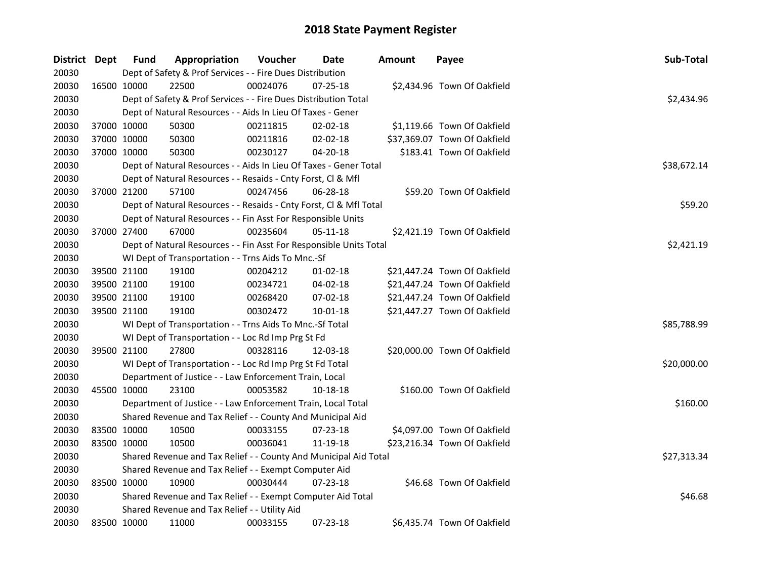| District Dept |             | <b>Fund</b> | Appropriation                                                      | Voucher  | Date           | <b>Amount</b> | Payee                        | Sub-Total   |  |  |
|---------------|-------------|-------------|--------------------------------------------------------------------|----------|----------------|---------------|------------------------------|-------------|--|--|
| 20030         |             |             | Dept of Safety & Prof Services - - Fire Dues Distribution          |          |                |               |                              |             |  |  |
| 20030         | 16500 10000 |             | 22500                                                              | 00024076 | $07 - 25 - 18$ |               | \$2,434.96 Town Of Oakfield  |             |  |  |
| 20030         |             |             | Dept of Safety & Prof Services - - Fire Dues Distribution Total    |          |                |               |                              | \$2,434.96  |  |  |
| 20030         |             |             | Dept of Natural Resources - - Aids In Lieu Of Taxes - Gener        |          |                |               |                              |             |  |  |
| 20030         |             | 37000 10000 | 50300                                                              | 00211815 | $02 - 02 - 18$ |               | \$1,119.66 Town Of Oakfield  |             |  |  |
| 20030         |             | 37000 10000 | 50300                                                              | 00211816 | 02-02-18       |               | \$37,369.07 Town Of Oakfield |             |  |  |
| 20030         |             | 37000 10000 | 50300                                                              | 00230127 | 04-20-18       |               | \$183.41 Town Of Oakfield    |             |  |  |
| 20030         |             |             | Dept of Natural Resources - - Aids In Lieu Of Taxes - Gener Total  |          |                |               |                              | \$38,672.14 |  |  |
| 20030         |             |             | Dept of Natural Resources - - Resaids - Cnty Forst, Cl & Mfl       |          |                |               |                              |             |  |  |
| 20030         |             | 37000 21200 | 57100                                                              | 00247456 | 06-28-18       |               | \$59.20 Town Of Oakfield     |             |  |  |
| 20030         |             |             | Dept of Natural Resources - - Resaids - Cnty Forst, Cl & Mfl Total |          |                |               |                              | \$59.20     |  |  |
| 20030         |             |             | Dept of Natural Resources - - Fin Asst For Responsible Units       |          |                |               |                              |             |  |  |
| 20030         |             | 37000 27400 | 67000                                                              | 00235604 | 05-11-18       |               | \$2,421.19 Town Of Oakfield  |             |  |  |
| 20030         |             |             | Dept of Natural Resources - - Fin Asst For Responsible Units Total |          |                |               |                              | \$2,421.19  |  |  |
| 20030         |             |             | WI Dept of Transportation - - Trns Aids To Mnc.-Sf                 |          |                |               |                              |             |  |  |
| 20030         |             | 39500 21100 | 19100                                                              | 00204212 | $01 - 02 - 18$ |               | \$21,447.24 Town Of Oakfield |             |  |  |
| 20030         |             | 39500 21100 | 19100                                                              | 00234721 | 04-02-18       |               | \$21,447.24 Town Of Oakfield |             |  |  |
| 20030         |             | 39500 21100 | 19100                                                              | 00268420 | 07-02-18       |               | \$21,447.24 Town Of Oakfield |             |  |  |
| 20030         |             | 39500 21100 | 19100                                                              | 00302472 | 10-01-18       |               | \$21,447.27 Town Of Oakfield |             |  |  |
| 20030         |             |             | WI Dept of Transportation - - Trns Aids To Mnc.-Sf Total           |          |                |               |                              | \$85,788.99 |  |  |
| 20030         |             |             | WI Dept of Transportation - - Loc Rd Imp Prg St Fd                 |          |                |               |                              |             |  |  |
| 20030         |             | 39500 21100 | 27800                                                              | 00328116 | 12-03-18       |               | \$20,000.00 Town Of Oakfield |             |  |  |
| 20030         |             |             | WI Dept of Transportation - - Loc Rd Imp Prg St Fd Total           |          |                |               |                              | \$20,000.00 |  |  |
| 20030         |             |             | Department of Justice - - Law Enforcement Train, Local             |          |                |               |                              |             |  |  |
| 20030         |             | 45500 10000 | 23100                                                              | 00053582 | 10-18-18       |               | \$160.00 Town Of Oakfield    |             |  |  |
| 20030         |             |             | Department of Justice - - Law Enforcement Train, Local Total       |          |                |               |                              | \$160.00    |  |  |
| 20030         |             |             | Shared Revenue and Tax Relief - - County And Municipal Aid         |          |                |               |                              |             |  |  |
| 20030         |             | 83500 10000 | 10500                                                              | 00033155 | 07-23-18       |               | \$4,097.00 Town Of Oakfield  |             |  |  |
| 20030         |             | 83500 10000 | 10500                                                              | 00036041 | 11-19-18       |               | \$23,216.34 Town Of Oakfield |             |  |  |
| 20030         |             |             | Shared Revenue and Tax Relief - - County And Municipal Aid Total   |          |                |               |                              | \$27,313.34 |  |  |
| 20030         |             |             | Shared Revenue and Tax Relief - - Exempt Computer Aid              |          |                |               |                              |             |  |  |
| 20030         |             | 83500 10000 | 10900                                                              | 00030444 | 07-23-18       |               | \$46.68 Town Of Oakfield     |             |  |  |
| 20030         |             |             | Shared Revenue and Tax Relief - - Exempt Computer Aid Total        |          |                |               |                              | \$46.68     |  |  |
| 20030         |             |             | Shared Revenue and Tax Relief - - Utility Aid                      |          |                |               |                              |             |  |  |
| 20030         |             | 83500 10000 | 11000                                                              | 00033155 | 07-23-18       |               | \$6,435.74 Town Of Oakfield  |             |  |  |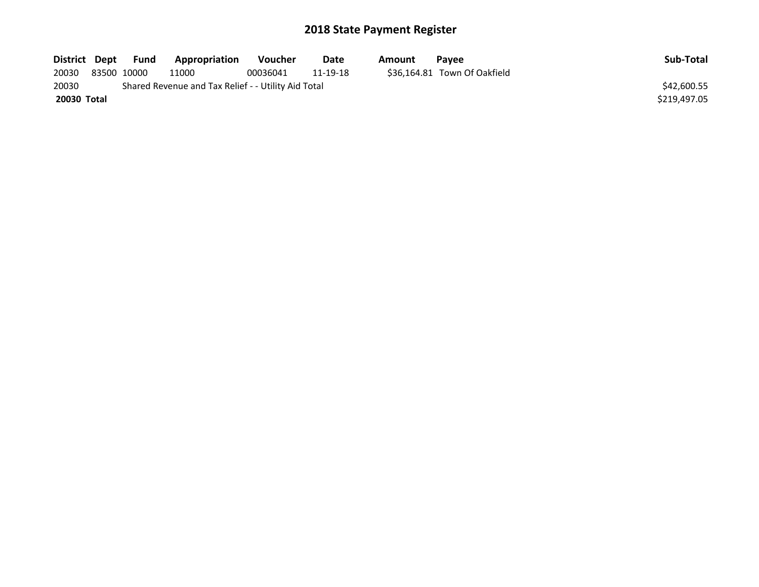| District Dept | Fund        | Appropriation                                       | Voucher  | Date     | Amount | <b>Pavee</b>                 | Sub-Total    |
|---------------|-------------|-----------------------------------------------------|----------|----------|--------|------------------------------|--------------|
| 20030         | 83500 10000 | 11000                                               | 00036041 | 11-19-18 |        | \$36,164.81 Town Of Oakfield |              |
| 20030         |             | Shared Revenue and Tax Relief - - Utility Aid Total |          |          |        |                              | \$42,600.55  |
| 20030 Total   |             |                                                     |          |          |        |                              | \$219,497.05 |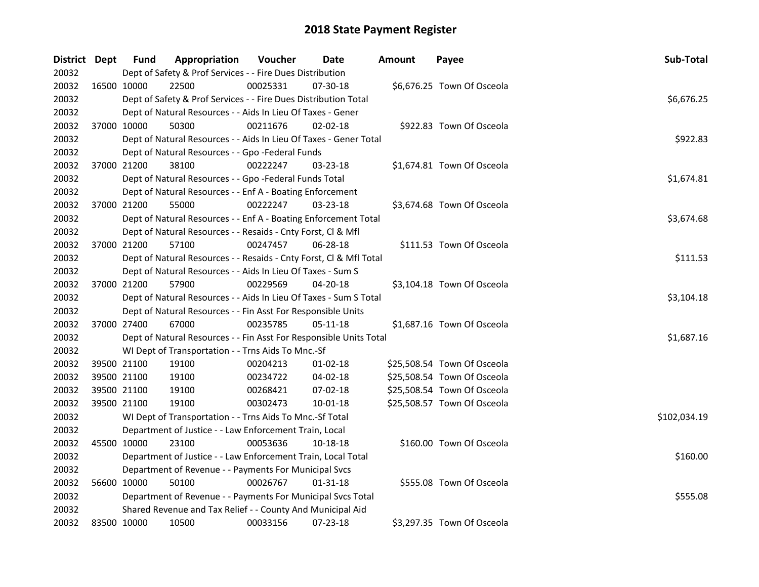| District Dept |             | <b>Fund</b> | Appropriation                                                      | Voucher  | Date           | <b>Amount</b> | Payee                       | Sub-Total    |  |  |  |  |
|---------------|-------------|-------------|--------------------------------------------------------------------|----------|----------------|---------------|-----------------------------|--------------|--|--|--|--|
| 20032         |             |             | Dept of Safety & Prof Services - - Fire Dues Distribution          |          |                |               |                             |              |  |  |  |  |
| 20032         |             | 16500 10000 | 22500                                                              | 00025331 | 07-30-18       |               | \$6,676.25 Town Of Osceola  |              |  |  |  |  |
| 20032         |             |             | Dept of Safety & Prof Services - - Fire Dues Distribution Total    |          |                |               |                             | \$6,676.25   |  |  |  |  |
| 20032         |             |             | Dept of Natural Resources - - Aids In Lieu Of Taxes - Gener        |          |                |               |                             |              |  |  |  |  |
| 20032         | 37000 10000 |             | 50300                                                              | 00211676 | $02 - 02 - 18$ |               | \$922.83 Town Of Osceola    |              |  |  |  |  |
| 20032         |             |             | Dept of Natural Resources - - Aids In Lieu Of Taxes - Gener Total  |          |                |               |                             | \$922.83     |  |  |  |  |
| 20032         |             |             | Dept of Natural Resources - - Gpo -Federal Funds                   |          |                |               |                             |              |  |  |  |  |
| 20032         | 37000 21200 |             | 38100                                                              | 00222247 | 03-23-18       |               | \$1,674.81 Town Of Osceola  |              |  |  |  |  |
| 20032         |             |             | Dept of Natural Resources - - Gpo -Federal Funds Total             |          |                |               |                             | \$1,674.81   |  |  |  |  |
| 20032         |             |             | Dept of Natural Resources - - Enf A - Boating Enforcement          |          |                |               |                             |              |  |  |  |  |
| 20032         | 37000 21200 |             | 55000                                                              | 00222247 | 03-23-18       |               | \$3,674.68 Town Of Osceola  |              |  |  |  |  |
| 20032         |             |             | Dept of Natural Resources - - Enf A - Boating Enforcement Total    |          |                |               |                             | \$3,674.68   |  |  |  |  |
| 20032         |             |             | Dept of Natural Resources - - Resaids - Cnty Forst, Cl & Mfl       |          |                |               |                             |              |  |  |  |  |
| 20032         | 37000 21200 |             | 57100                                                              | 00247457 | 06-28-18       |               | \$111.53 Town Of Osceola    |              |  |  |  |  |
| 20032         |             |             | Dept of Natural Resources - - Resaids - Cnty Forst, CI & Mfl Total |          |                |               |                             | \$111.53     |  |  |  |  |
| 20032         |             |             | Dept of Natural Resources - - Aids In Lieu Of Taxes - Sum S        |          |                |               |                             |              |  |  |  |  |
| 20032         | 37000 21200 |             | 57900                                                              | 00229569 | 04-20-18       |               | \$3,104.18 Town Of Osceola  |              |  |  |  |  |
| 20032         |             |             | Dept of Natural Resources - - Aids In Lieu Of Taxes - Sum S Total  |          |                |               |                             | \$3,104.18   |  |  |  |  |
| 20032         |             |             | Dept of Natural Resources - - Fin Asst For Responsible Units       |          |                |               |                             |              |  |  |  |  |
| 20032         | 37000 27400 |             | 67000                                                              | 00235785 | 05-11-18       |               | \$1,687.16 Town Of Osceola  |              |  |  |  |  |
| 20032         |             |             | Dept of Natural Resources - - Fin Asst For Responsible Units Total |          |                |               |                             | \$1,687.16   |  |  |  |  |
| 20032         |             |             | WI Dept of Transportation - - Trns Aids To Mnc.-Sf                 |          |                |               |                             |              |  |  |  |  |
| 20032         | 39500 21100 |             | 19100                                                              | 00204213 | $01 - 02 - 18$ |               | \$25,508.54 Town Of Osceola |              |  |  |  |  |
| 20032         | 39500 21100 |             | 19100                                                              | 00234722 | 04-02-18       |               | \$25,508.54 Town Of Osceola |              |  |  |  |  |
| 20032         | 39500 21100 |             | 19100                                                              | 00268421 | 07-02-18       |               | \$25,508.54 Town Of Osceola |              |  |  |  |  |
| 20032         | 39500 21100 |             | 19100                                                              | 00302473 | 10-01-18       |               | \$25,508.57 Town Of Osceola |              |  |  |  |  |
| 20032         |             |             | WI Dept of Transportation - - Trns Aids To Mnc.-Sf Total           |          |                |               |                             | \$102,034.19 |  |  |  |  |
| 20032         |             |             | Department of Justice - - Law Enforcement Train, Local             |          |                |               |                             |              |  |  |  |  |
| 20032         | 45500 10000 |             | 23100                                                              | 00053636 | 10-18-18       |               | \$160.00 Town Of Osceola    |              |  |  |  |  |
| 20032         |             |             | Department of Justice - - Law Enforcement Train, Local Total       |          |                |               |                             | \$160.00     |  |  |  |  |
| 20032         |             |             | Department of Revenue - - Payments For Municipal Svcs              |          |                |               |                             |              |  |  |  |  |
| 20032         | 56600 10000 |             | 50100                                                              | 00026767 | $01 - 31 - 18$ |               | \$555.08 Town Of Osceola    |              |  |  |  |  |
| 20032         |             |             | Department of Revenue - - Payments For Municipal Svcs Total        |          |                |               |                             | \$555.08     |  |  |  |  |
| 20032         |             |             | Shared Revenue and Tax Relief - - County And Municipal Aid         |          |                |               |                             |              |  |  |  |  |
| 20032         |             | 83500 10000 | 10500                                                              | 00033156 | 07-23-18       |               | \$3,297.35 Town Of Osceola  |              |  |  |  |  |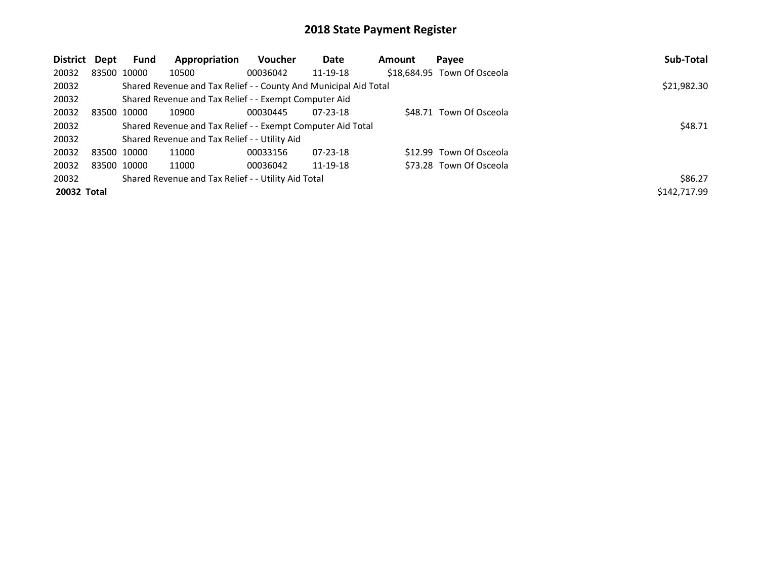| District    | Dept | <b>Fund</b> | Appropriation                                                    | Voucher  | Date           | Amount | Payee                       | Sub-Total    |
|-------------|------|-------------|------------------------------------------------------------------|----------|----------------|--------|-----------------------------|--------------|
| 20032       |      | 83500 10000 | 10500                                                            | 00036042 | 11-19-18       |        | \$18,684.95 Town Of Osceola |              |
| 20032       |      |             | Shared Revenue and Tax Relief - - County And Municipal Aid Total |          |                |        |                             | \$21,982.30  |
| 20032       |      |             | Shared Revenue and Tax Relief - - Exempt Computer Aid            |          |                |        |                             |              |
| 20032       |      | 83500 10000 | 10900                                                            | 00030445 | $07 - 23 - 18$ |        | \$48.71 Town Of Osceola     |              |
| 20032       |      |             | Shared Revenue and Tax Relief - - Exempt Computer Aid Total      |          |                |        |                             | \$48.71      |
| 20032       |      |             | Shared Revenue and Tax Relief - - Utility Aid                    |          |                |        |                             |              |
| 20032       |      | 83500 10000 | 11000                                                            | 00033156 | $07 - 23 - 18$ |        | \$12.99 Town Of Osceola     |              |
| 20032       |      | 83500 10000 | 11000                                                            | 00036042 | 11-19-18       |        | \$73.28 Town Of Osceola     |              |
| 20032       |      |             | Shared Revenue and Tax Relief - - Utility Aid Total              |          |                |        |                             | \$86.27      |
| 20032 Total |      |             |                                                                  |          |                |        |                             | \$142,717.99 |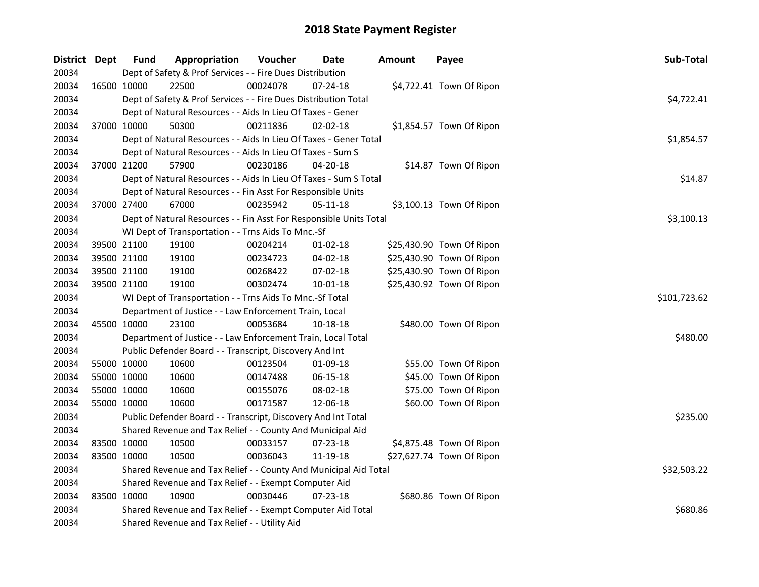| District Dept | <b>Fund</b>                                           | Appropriation                                                      | Voucher  | Date           | <b>Amount</b> | Payee                     | Sub-Total    |
|---------------|-------------------------------------------------------|--------------------------------------------------------------------|----------|----------------|---------------|---------------------------|--------------|
| 20034         |                                                       | Dept of Safety & Prof Services - - Fire Dues Distribution          |          |                |               |                           |              |
| 20034         | 16500 10000                                           | 22500                                                              | 00024078 | 07-24-18       |               | \$4,722.41 Town Of Ripon  |              |
| 20034         |                                                       | Dept of Safety & Prof Services - - Fire Dues Distribution Total    |          |                |               |                           | \$4,722.41   |
| 20034         |                                                       | Dept of Natural Resources - - Aids In Lieu Of Taxes - Gener        |          |                |               |                           |              |
| 20034         | 37000 10000                                           | 50300                                                              | 00211836 | 02-02-18       |               | \$1,854.57 Town Of Ripon  |              |
| 20034         |                                                       | Dept of Natural Resources - - Aids In Lieu Of Taxes - Gener Total  |          |                |               |                           | \$1,854.57   |
| 20034         |                                                       | Dept of Natural Resources - - Aids In Lieu Of Taxes - Sum S        |          |                |               |                           |              |
| 20034         | 37000 21200                                           | 57900                                                              | 00230186 | 04-20-18       |               | \$14.87 Town Of Ripon     |              |
| 20034         |                                                       | Dept of Natural Resources - - Aids In Lieu Of Taxes - Sum S Total  |          |                |               |                           | \$14.87      |
| 20034         |                                                       | Dept of Natural Resources - - Fin Asst For Responsible Units       |          |                |               |                           |              |
| 20034         | 37000 27400                                           | 67000                                                              | 00235942 | 05-11-18       |               | \$3,100.13 Town Of Ripon  |              |
| 20034         |                                                       | Dept of Natural Resources - - Fin Asst For Responsible Units Total |          |                |               |                           | \$3,100.13   |
| 20034         |                                                       | WI Dept of Transportation - - Trns Aids To Mnc.-Sf                 |          |                |               |                           |              |
| 20034         | 39500 21100                                           | 19100                                                              | 00204214 | $01 - 02 - 18$ |               | \$25,430.90 Town Of Ripon |              |
| 20034         | 39500 21100                                           | 19100                                                              | 00234723 | 04-02-18       |               | \$25,430.90 Town Of Ripon |              |
| 20034         | 39500 21100                                           | 19100                                                              | 00268422 | 07-02-18       |               | \$25,430.90 Town Of Ripon |              |
| 20034         | 39500 21100                                           | 19100                                                              | 00302474 | $10 - 01 - 18$ |               | \$25,430.92 Town Of Ripon |              |
| 20034         |                                                       | WI Dept of Transportation - - Trns Aids To Mnc.-Sf Total           |          |                |               |                           | \$101,723.62 |
| 20034         |                                                       | Department of Justice - - Law Enforcement Train, Local             |          |                |               |                           |              |
| 20034         | 45500 10000                                           | 23100                                                              | 00053684 | 10-18-18       |               | \$480.00 Town Of Ripon    |              |
| 20034         |                                                       | Department of Justice - - Law Enforcement Train, Local Total       |          |                |               |                           | \$480.00     |
| 20034         |                                                       | Public Defender Board - - Transcript, Discovery And Int            |          |                |               |                           |              |
| 20034         | 55000 10000                                           | 10600                                                              | 00123504 | 01-09-18       |               | \$55.00 Town Of Ripon     |              |
| 20034         | 55000 10000                                           | 10600                                                              | 00147488 | 06-15-18       |               | \$45.00 Town Of Ripon     |              |
| 20034         | 55000 10000                                           | 10600                                                              | 00155076 | 08-02-18       |               | \$75.00 Town Of Ripon     |              |
| 20034         | 55000 10000                                           | 10600                                                              | 00171587 | 12-06-18       |               | \$60.00 Town Of Ripon     |              |
| 20034         |                                                       | Public Defender Board - - Transcript, Discovery And Int Total      |          |                |               |                           | \$235.00     |
| 20034         |                                                       | Shared Revenue and Tax Relief - - County And Municipal Aid         |          |                |               |                           |              |
| 20034         | 83500 10000                                           | 10500                                                              | 00033157 | 07-23-18       |               | \$4,875.48 Town Of Ripon  |              |
| 20034         | 83500 10000                                           | 10500                                                              | 00036043 | 11-19-18       |               | \$27,627.74 Town Of Ripon |              |
| 20034         |                                                       | Shared Revenue and Tax Relief - - County And Municipal Aid Total   |          |                |               |                           | \$32,503.22  |
| 20034         | Shared Revenue and Tax Relief - - Exempt Computer Aid |                                                                    |          |                |               |                           |              |
| 20034         | 83500 10000                                           | 10900                                                              | 00030446 | 07-23-18       |               | \$680.86 Town Of Ripon    |              |
| 20034         |                                                       | Shared Revenue and Tax Relief - - Exempt Computer Aid Total        |          |                |               |                           | \$680.86     |
| 20034         |                                                       | Shared Revenue and Tax Relief - - Utility Aid                      |          |                |               |                           |              |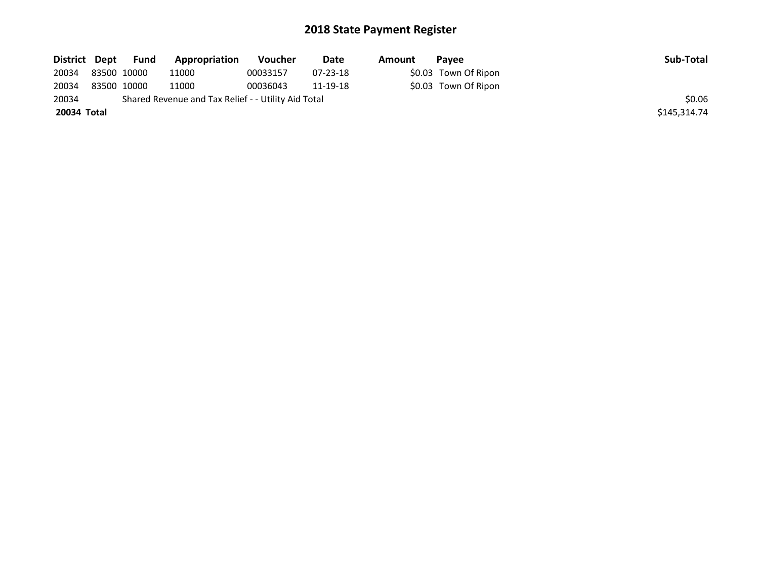| District Dept | Fund        | Appropriation                                       | Voucher  | Date           | Amount | <b>Pavee</b>         | Sub-Total    |
|---------------|-------------|-----------------------------------------------------|----------|----------------|--------|----------------------|--------------|
| 20034         | 83500 10000 | 11000                                               | 00033157 | $07 - 23 - 18$ |        | \$0.03 Town Of Ripon |              |
| 20034         | 83500 10000 | 11000                                               | 00036043 | 11-19-18       |        | \$0.03 Town Of Ripon |              |
| 20034         |             | Shared Revenue and Tax Relief - - Utility Aid Total |          |                |        |                      | \$0.06       |
| 20034 Total   |             |                                                     |          |                |        |                      | \$145,314.74 |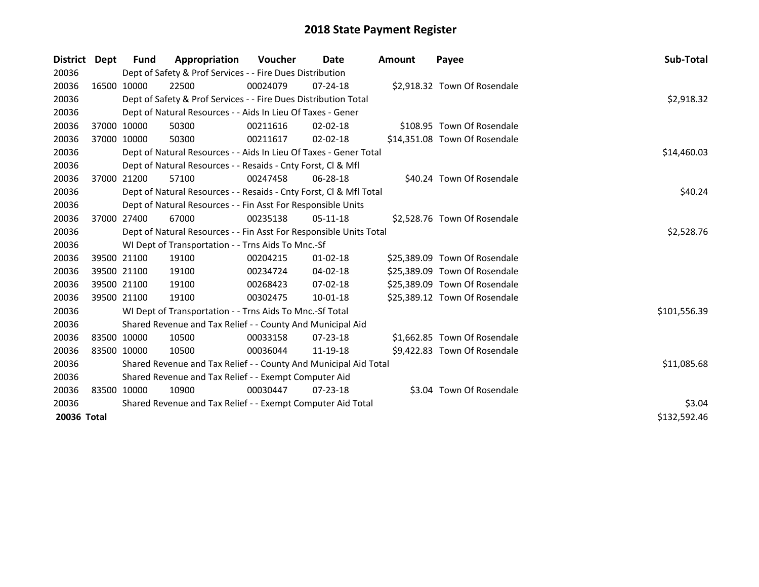| District Dept |             | <b>Fund</b> | Appropriation                                                      | <b>Voucher</b> | Date           | <b>Amount</b> | Payee                         | Sub-Total    |
|---------------|-------------|-------------|--------------------------------------------------------------------|----------------|----------------|---------------|-------------------------------|--------------|
| 20036         |             |             | Dept of Safety & Prof Services - - Fire Dues Distribution          |                |                |               |                               |              |
| 20036         |             | 16500 10000 | 22500                                                              | 00024079       | $07 - 24 - 18$ |               | \$2,918.32 Town Of Rosendale  |              |
| 20036         |             |             | Dept of Safety & Prof Services - - Fire Dues Distribution Total    |                |                |               |                               | \$2,918.32   |
| 20036         |             |             | Dept of Natural Resources - - Aids In Lieu Of Taxes - Gener        |                |                |               |                               |              |
| 20036         |             | 37000 10000 | 50300                                                              | 00211616       | $02 - 02 - 18$ |               | \$108.95 Town Of Rosendale    |              |
| 20036         |             | 37000 10000 | 50300                                                              | 00211617       | $02 - 02 - 18$ |               | \$14,351.08 Town Of Rosendale |              |
| 20036         |             |             | Dept of Natural Resources - - Aids In Lieu Of Taxes - Gener Total  |                |                |               |                               | \$14,460.03  |
| 20036         |             |             | Dept of Natural Resources - - Resaids - Cnty Forst, Cl & Mfl       |                |                |               |                               |              |
| 20036         |             | 37000 21200 | 57100                                                              | 00247458       | $06 - 28 - 18$ |               | \$40.24 Town Of Rosendale     |              |
| 20036         |             |             | Dept of Natural Resources - - Resaids - Cnty Forst, Cl & Mfl Total |                |                |               |                               | \$40.24      |
| 20036         |             |             | Dept of Natural Resources - - Fin Asst For Responsible Units       |                |                |               |                               |              |
| 20036         |             | 37000 27400 | 67000                                                              | 00235138       | $05-11-18$     |               | \$2,528.76 Town Of Rosendale  |              |
| 20036         |             |             | Dept of Natural Resources - - Fin Asst For Responsible Units Total | \$2,528.76     |                |               |                               |              |
| 20036         |             |             | WI Dept of Transportation - - Trns Aids To Mnc.-Sf                 |                |                |               |                               |              |
| 20036         |             | 39500 21100 | 19100                                                              | 00204215       | $01 - 02 - 18$ |               | \$25,389.09 Town Of Rosendale |              |
| 20036         |             | 39500 21100 | 19100                                                              | 00234724       | 04-02-18       |               | \$25,389.09 Town Of Rosendale |              |
| 20036         |             | 39500 21100 | 19100                                                              | 00268423       | $07 - 02 - 18$ |               | \$25,389.09 Town Of Rosendale |              |
| 20036         |             | 39500 21100 | 19100                                                              | 00302475       | $10 - 01 - 18$ |               | \$25,389.12 Town Of Rosendale |              |
| 20036         |             |             | WI Dept of Transportation - - Trns Aids To Mnc.-Sf Total           |                |                |               |                               | \$101,556.39 |
| 20036         |             |             | Shared Revenue and Tax Relief - - County And Municipal Aid         |                |                |               |                               |              |
| 20036         |             | 83500 10000 | 10500                                                              | 00033158       | $07 - 23 - 18$ |               | \$1,662.85 Town Of Rosendale  |              |
| 20036         | 83500 10000 |             | 10500                                                              | 00036044       | 11-19-18       |               | \$9,422.83 Town Of Rosendale  |              |
| 20036         |             |             | Shared Revenue and Tax Relief - - County And Municipal Aid Total   |                |                |               |                               | \$11,085.68  |
| 20036         |             |             | Shared Revenue and Tax Relief - - Exempt Computer Aid              |                |                |               |                               |              |
| 20036         |             | 83500 10000 | 10900                                                              | 00030447       | $07 - 23 - 18$ |               | \$3.04 Town Of Rosendale      |              |
| 20036         |             |             | Shared Revenue and Tax Relief - - Exempt Computer Aid Total        |                |                |               |                               | \$3.04       |
| 20036 Total   |             |             |                                                                    |                |                |               |                               | \$132,592.46 |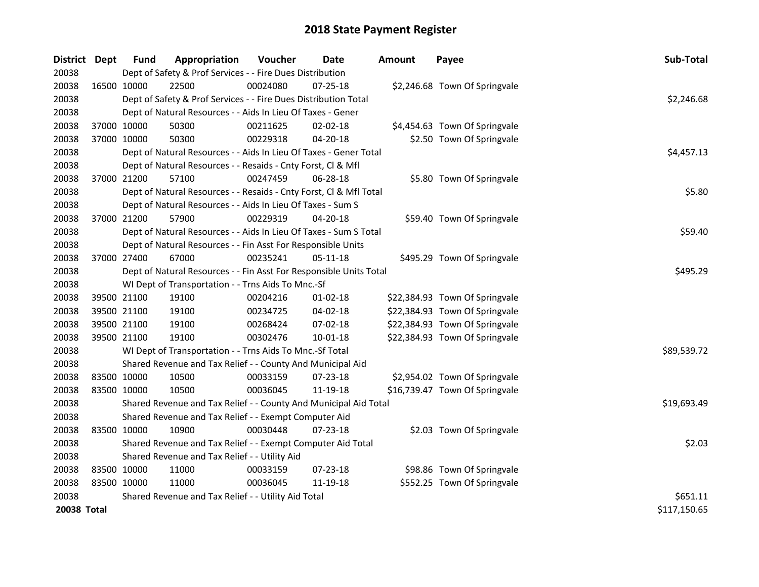| <b>District</b> | <b>Dept</b> | <b>Fund</b> | Appropriation                                                      | Voucher  | Date           | <b>Amount</b> | Payee                          | Sub-Total    |
|-----------------|-------------|-------------|--------------------------------------------------------------------|----------|----------------|---------------|--------------------------------|--------------|
| 20038           |             |             | Dept of Safety & Prof Services - - Fire Dues Distribution          |          |                |               |                                |              |
| 20038           | 16500 10000 |             | 22500                                                              | 00024080 | $07 - 25 - 18$ |               | \$2,246.68 Town Of Springvale  |              |
| 20038           |             |             | Dept of Safety & Prof Services - - Fire Dues Distribution Total    |          |                |               |                                | \$2,246.68   |
| 20038           |             |             | Dept of Natural Resources - - Aids In Lieu Of Taxes - Gener        |          |                |               |                                |              |
| 20038           |             | 37000 10000 | 50300                                                              | 00211625 | $02 - 02 - 18$ |               | \$4,454.63 Town Of Springvale  |              |
| 20038           | 37000 10000 |             | 50300                                                              | 00229318 | 04-20-18       |               | \$2.50 Town Of Springvale      |              |
| 20038           |             |             | Dept of Natural Resources - - Aids In Lieu Of Taxes - Gener Total  |          |                |               |                                | \$4,457.13   |
| 20038           |             |             | Dept of Natural Resources - - Resaids - Cnty Forst, Cl & Mfl       |          |                |               |                                |              |
| 20038           |             | 37000 21200 | 57100                                                              | 00247459 | 06-28-18       |               | \$5.80 Town Of Springvale      |              |
| 20038           |             |             | Dept of Natural Resources - - Resaids - Cnty Forst, Cl & Mfl Total | \$5.80   |                |               |                                |              |
| 20038           |             |             | Dept of Natural Resources - - Aids In Lieu Of Taxes - Sum S        |          |                |               |                                |              |
| 20038           | 37000 21200 |             | 57900                                                              | 00229319 | $04 - 20 - 18$ |               | \$59.40 Town Of Springvale     |              |
| 20038           |             |             | Dept of Natural Resources - - Aids In Lieu Of Taxes - Sum S Total  |          |                |               |                                | \$59.40      |
| 20038           |             |             | Dept of Natural Resources - - Fin Asst For Responsible Units       |          |                |               |                                |              |
| 20038           | 37000 27400 |             | 67000                                                              | 00235241 | $05 - 11 - 18$ |               | \$495.29 Town Of Springvale    |              |
| 20038           |             |             | Dept of Natural Resources - - Fin Asst For Responsible Units Total | \$495.29 |                |               |                                |              |
| 20038           |             |             | WI Dept of Transportation - - Trns Aids To Mnc.-Sf                 |          |                |               |                                |              |
| 20038           |             | 39500 21100 | 19100                                                              | 00204216 | $01 - 02 - 18$ |               | \$22,384.93 Town Of Springvale |              |
| 20038           |             | 39500 21100 | 19100                                                              | 00234725 | 04-02-18       |               | \$22,384.93 Town Of Springvale |              |
| 20038           |             | 39500 21100 | 19100                                                              | 00268424 | 07-02-18       |               | \$22,384.93 Town Of Springvale |              |
| 20038           | 39500 21100 |             | 19100                                                              | 00302476 | 10-01-18       |               | \$22,384.93 Town Of Springvale |              |
| 20038           |             |             | WI Dept of Transportation - - Trns Aids To Mnc.-Sf Total           |          |                |               |                                | \$89,539.72  |
| 20038           |             |             | Shared Revenue and Tax Relief - - County And Municipal Aid         |          |                |               |                                |              |
| 20038           | 83500 10000 |             | 10500                                                              | 00033159 | 07-23-18       |               | \$2,954.02 Town Of Springvale  |              |
| 20038           | 83500 10000 |             | 10500                                                              | 00036045 | 11-19-18       |               | \$16,739.47 Town Of Springvale |              |
| 20038           |             |             | Shared Revenue and Tax Relief - - County And Municipal Aid Total   |          |                |               |                                | \$19,693.49  |
| 20038           |             |             | Shared Revenue and Tax Relief - - Exempt Computer Aid              |          |                |               |                                |              |
| 20038           | 83500 10000 |             | 10900                                                              | 00030448 | 07-23-18       |               | \$2.03 Town Of Springvale      |              |
| 20038           |             |             | Shared Revenue and Tax Relief - - Exempt Computer Aid Total        |          |                |               |                                | \$2.03       |
| 20038           |             |             | Shared Revenue and Tax Relief - - Utility Aid                      |          |                |               |                                |              |
| 20038           | 83500 10000 |             | 11000                                                              | 00033159 | 07-23-18       |               | \$98.86 Town Of Springvale     |              |
| 20038           | 83500 10000 |             | 11000                                                              | 00036045 | 11-19-18       |               | \$552.25 Town Of Springvale    |              |
| 20038           |             |             | Shared Revenue and Tax Relief - - Utility Aid Total                |          |                |               |                                | \$651.11     |
| 20038 Total     |             |             |                                                                    |          |                |               |                                | \$117,150.65 |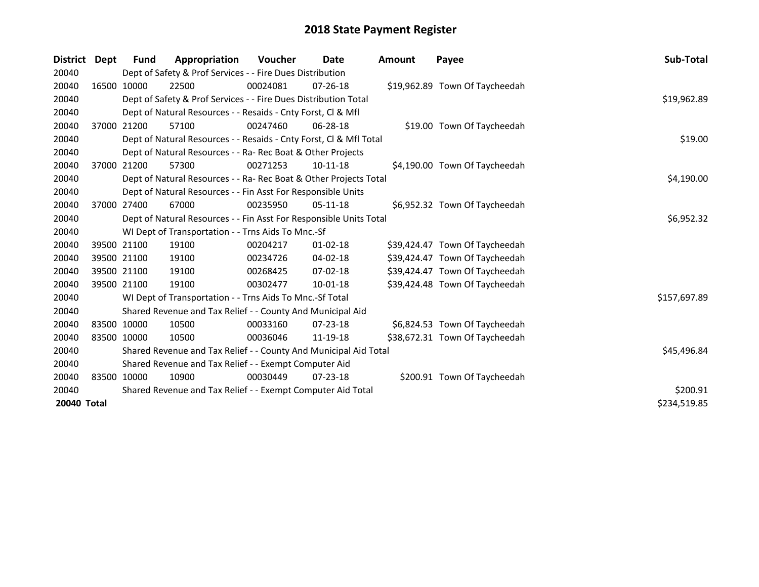| District    | Dept        | Fund        | Appropriation                                                      | <b>Voucher</b> | Date           | <b>Amount</b> | Payee                          | <b>Sub-Total</b> |
|-------------|-------------|-------------|--------------------------------------------------------------------|----------------|----------------|---------------|--------------------------------|------------------|
| 20040       |             |             | Dept of Safety & Prof Services - - Fire Dues Distribution          |                |                |               |                                |                  |
| 20040       | 16500 10000 |             | 22500                                                              | 00024081       | $07 - 26 - 18$ |               | \$19,962.89 Town Of Taycheedah |                  |
| 20040       |             |             | Dept of Safety & Prof Services - - Fire Dues Distribution Total    |                |                |               |                                | \$19,962.89      |
| 20040       |             |             | Dept of Natural Resources - - Resaids - Cnty Forst, CI & Mfl       |                |                |               |                                |                  |
| 20040       |             | 37000 21200 | 57100                                                              | 00247460       | 06-28-18       |               | \$19.00 Town Of Taycheedah     |                  |
| 20040       |             |             | Dept of Natural Resources - - Resaids - Cnty Forst, CI & Mfl Total |                |                |               |                                | \$19.00          |
| 20040       |             |             | Dept of Natural Resources - - Ra- Rec Boat & Other Projects        |                |                |               |                                |                  |
| 20040       |             | 37000 21200 | 57300                                                              | 00271253       | $10-11-18$     |               | \$4,190.00 Town Of Taycheedah  |                  |
| 20040       |             |             | Dept of Natural Resources - - Ra- Rec Boat & Other Projects Total  |                | \$4,190.00     |               |                                |                  |
| 20040       |             |             | Dept of Natural Resources - - Fin Asst For Responsible Units       |                |                |               |                                |                  |
| 20040       |             | 37000 27400 | 67000                                                              | 00235950       | $05-11-18$     |               | \$6,952.32 Town Of Taycheedah  |                  |
| 20040       |             |             | Dept of Natural Resources - - Fin Asst For Responsible Units Total | \$6,952.32     |                |               |                                |                  |
| 20040       |             |             | WI Dept of Transportation - - Trns Aids To Mnc.-Sf                 |                |                |               |                                |                  |
| 20040       |             | 39500 21100 | 19100                                                              | 00204217       | $01 - 02 - 18$ |               | \$39,424.47 Town Of Taycheedah |                  |
| 20040       |             | 39500 21100 | 19100                                                              | 00234726       | $04 - 02 - 18$ |               | \$39,424.47 Town Of Taycheedah |                  |
| 20040       |             | 39500 21100 | 19100                                                              | 00268425       | $07 - 02 - 18$ |               | \$39,424.47 Town Of Taycheedah |                  |
| 20040       | 39500 21100 |             | 19100                                                              | 00302477       | 10-01-18       |               | \$39,424.48 Town Of Taycheedah |                  |
| 20040       |             |             | WI Dept of Transportation - - Trns Aids To Mnc.-Sf Total           |                |                |               |                                | \$157,697.89     |
| 20040       |             |             | Shared Revenue and Tax Relief - - County And Municipal Aid         |                |                |               |                                |                  |
| 20040       | 83500 10000 |             | 10500                                                              | 00033160       | $07 - 23 - 18$ |               | \$6,824.53 Town Of Taycheedah  |                  |
| 20040       | 83500 10000 |             | 10500                                                              | 00036046       | 11-19-18       |               | \$38,672.31 Town Of Taycheedah |                  |
| 20040       |             |             | Shared Revenue and Tax Relief - - County And Municipal Aid Total   | \$45,496.84    |                |               |                                |                  |
| 20040       |             |             | Shared Revenue and Tax Relief - - Exempt Computer Aid              |                |                |               |                                |                  |
| 20040       |             | 83500 10000 | 10900                                                              | 00030449       | 07-23-18       |               | \$200.91 Town Of Taycheedah    |                  |
| 20040       |             |             | Shared Revenue and Tax Relief - - Exempt Computer Aid Total        |                |                |               |                                | \$200.91         |
| 20040 Total |             |             |                                                                    |                |                |               |                                | \$234,519.85     |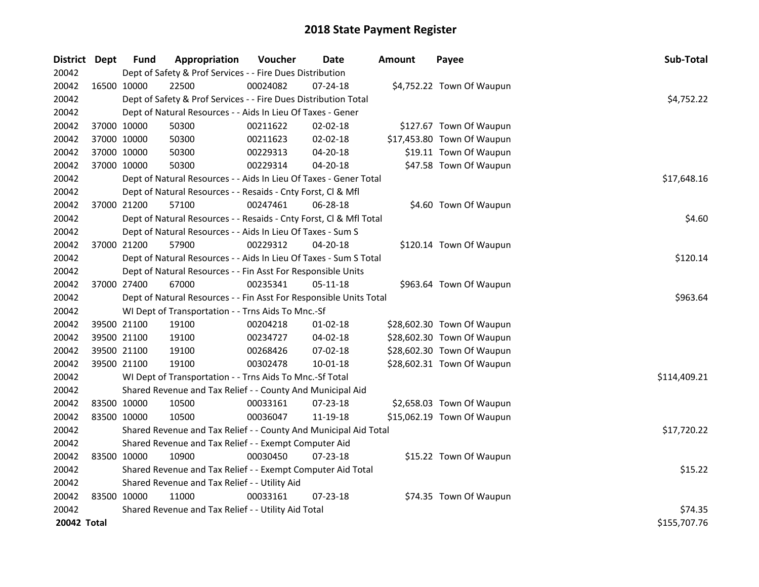| District Dept |             | <b>Fund</b> | Appropriation                                                      | Voucher     | Date           | <b>Amount</b> | Payee                      | Sub-Total    |
|---------------|-------------|-------------|--------------------------------------------------------------------|-------------|----------------|---------------|----------------------------|--------------|
| 20042         |             |             | Dept of Safety & Prof Services - - Fire Dues Distribution          |             |                |               |                            |              |
| 20042         | 16500 10000 |             | 22500                                                              | 00024082    | 07-24-18       |               | \$4,752.22 Town Of Waupun  |              |
| 20042         |             |             | Dept of Safety & Prof Services - - Fire Dues Distribution Total    |             |                |               |                            | \$4,752.22   |
| 20042         |             |             | Dept of Natural Resources - - Aids In Lieu Of Taxes - Gener        |             |                |               |                            |              |
| 20042         |             | 37000 10000 | 50300                                                              | 00211622    | 02-02-18       |               | \$127.67 Town Of Waupun    |              |
| 20042         | 37000 10000 |             | 50300                                                              | 00211623    | 02-02-18       |               | \$17,453.80 Town Of Waupun |              |
| 20042         | 37000 10000 |             | 50300                                                              | 00229313    | 04-20-18       |               | \$19.11 Town Of Waupun     |              |
| 20042         | 37000 10000 |             | 50300                                                              | 00229314    | 04-20-18       |               | \$47.58 Town Of Waupun     |              |
| 20042         |             |             | Dept of Natural Resources - - Aids In Lieu Of Taxes - Gener Total  | \$17,648.16 |                |               |                            |              |
| 20042         |             |             | Dept of Natural Resources - - Resaids - Cnty Forst, Cl & Mfl       |             |                |               |                            |              |
| 20042         |             | 37000 21200 | 57100                                                              | 00247461    | 06-28-18       |               | \$4.60 Town Of Waupun      |              |
| 20042         |             |             | Dept of Natural Resources - - Resaids - Cnty Forst, Cl & Mfl Total |             |                |               |                            | \$4.60       |
| 20042         |             |             | Dept of Natural Resources - - Aids In Lieu Of Taxes - Sum S        |             |                |               |                            |              |
| 20042         |             | 37000 21200 | 57900                                                              | 00229312    | 04-20-18       |               | \$120.14 Town Of Waupun    |              |
| 20042         |             |             | Dept of Natural Resources - - Aids In Lieu Of Taxes - Sum S Total  |             |                |               |                            | \$120.14     |
| 20042         |             |             | Dept of Natural Resources - - Fin Asst For Responsible Units       |             |                |               |                            |              |
| 20042         | 37000 27400 |             | 67000                                                              | 00235341    | 05-11-18       |               | \$963.64 Town Of Waupun    |              |
| 20042         |             |             | Dept of Natural Resources - - Fin Asst For Responsible Units Total |             |                |               |                            | \$963.64     |
| 20042         |             |             | WI Dept of Transportation - - Trns Aids To Mnc.-Sf                 |             |                |               |                            |              |
| 20042         |             | 39500 21100 | 19100                                                              | 00204218    | $01-02-18$     |               | \$28,602.30 Town Of Waupun |              |
| 20042         |             | 39500 21100 | 19100                                                              | 00234727    | 04-02-18       |               | \$28,602.30 Town Of Waupun |              |
| 20042         | 39500 21100 |             | 19100                                                              | 00268426    | 07-02-18       |               | \$28,602.30 Town Of Waupun |              |
| 20042         | 39500 21100 |             | 19100                                                              | 00302478    | $10 - 01 - 18$ |               | \$28,602.31 Town Of Waupun |              |
| 20042         |             |             | WI Dept of Transportation - - Trns Aids To Mnc.-Sf Total           |             |                |               |                            | \$114,409.21 |
| 20042         |             |             | Shared Revenue and Tax Relief - - County And Municipal Aid         |             |                |               |                            |              |
| 20042         |             | 83500 10000 | 10500                                                              | 00033161    | 07-23-18       |               | \$2,658.03 Town Of Waupun  |              |
| 20042         | 83500 10000 |             | 10500                                                              | 00036047    | 11-19-18       |               | \$15,062.19 Town Of Waupun |              |
| 20042         |             |             | Shared Revenue and Tax Relief - - County And Municipal Aid Total   |             |                |               |                            | \$17,720.22  |
| 20042         |             |             | Shared Revenue and Tax Relief - - Exempt Computer Aid              |             |                |               |                            |              |
| 20042         | 83500 10000 |             | 10900                                                              | 00030450    | 07-23-18       |               | \$15.22 Town Of Waupun     |              |
| 20042         |             |             | Shared Revenue and Tax Relief - - Exempt Computer Aid Total        |             |                |               |                            | \$15.22      |
| 20042         |             |             | Shared Revenue and Tax Relief - - Utility Aid                      |             |                |               |                            |              |
| 20042         | 83500 10000 |             | 11000                                                              | 00033161    | $07 - 23 - 18$ |               | \$74.35 Town Of Waupun     |              |
| 20042         |             |             | Shared Revenue and Tax Relief - - Utility Aid Total                |             |                |               |                            | \$74.35      |
| 20042 Total   |             |             |                                                                    |             |                |               |                            | \$155,707.76 |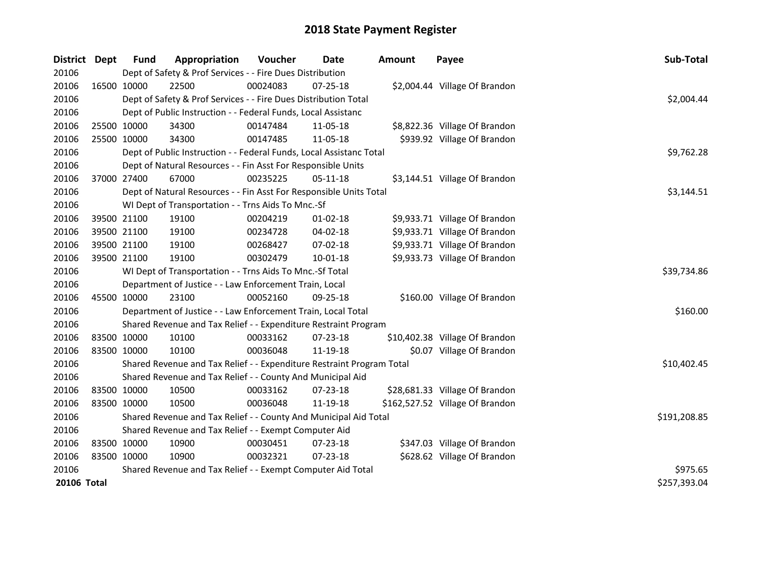| <b>District</b>    | <b>Dept</b>  | <b>Fund</b> | Appropriation                                                         | Voucher     | Date           | <b>Amount</b> | Payee                           | Sub-Total    |
|--------------------|--------------|-------------|-----------------------------------------------------------------------|-------------|----------------|---------------|---------------------------------|--------------|
| 20106              |              |             | Dept of Safety & Prof Services - - Fire Dues Distribution             |             |                |               |                                 |              |
| 20106              | 16500 10000  |             | 22500                                                                 | 00024083    | 07-25-18       |               | \$2,004.44 Village Of Brandon   |              |
| 20106              |              |             | Dept of Safety & Prof Services - - Fire Dues Distribution Total       |             |                |               |                                 | \$2,004.44   |
| 20106              |              |             | Dept of Public Instruction - - Federal Funds, Local Assistanc         |             |                |               |                                 |              |
| 20106              | 25500 10000  |             | 34300                                                                 | 00147484    | 11-05-18       |               | \$8,822.36 Village Of Brandon   |              |
| 20106              | 25500 10000  |             | 34300                                                                 | 00147485    | 11-05-18       |               | \$939.92 Village Of Brandon     |              |
| 20106              |              |             | Dept of Public Instruction - - Federal Funds, Local Assistanc Total   |             |                |               |                                 | \$9,762.28   |
| 20106              |              |             | Dept of Natural Resources - - Fin Asst For Responsible Units          |             |                |               |                                 |              |
| 20106              | 37000 27400  |             | 67000                                                                 | 00235225    | 05-11-18       |               | \$3,144.51 Village Of Brandon   |              |
| 20106              |              |             | Dept of Natural Resources - - Fin Asst For Responsible Units Total    |             |                |               |                                 | \$3,144.51   |
| 20106              |              |             | WI Dept of Transportation - - Trns Aids To Mnc.-Sf                    |             |                |               |                                 |              |
| 20106              | 39500 21100  |             | 19100                                                                 | 00204219    | 01-02-18       |               | \$9,933.71 Village Of Brandon   |              |
| 20106              | 39500 21100  |             | 19100                                                                 | 00234728    | $04 - 02 - 18$ |               | \$9,933.71 Village Of Brandon   |              |
| 20106              | 39500 21100  |             | 19100                                                                 | 00268427    | 07-02-18       |               | \$9,933.71 Village Of Brandon   |              |
| 20106              | 39500 21100  |             | 19100                                                                 | 00302479    | $10 - 01 - 18$ |               | \$9,933.73 Village Of Brandon   |              |
| 20106              |              |             | WI Dept of Transportation - - Trns Aids To Mnc.-Sf Total              | \$39,734.86 |                |               |                                 |              |
| 20106              |              |             | Department of Justice - - Law Enforcement Train, Local                |             |                |               |                                 |              |
| 20106              |              | 45500 10000 | 23100                                                                 | 00052160    | $09 - 25 - 18$ |               | \$160.00 Village Of Brandon     |              |
| 20106              |              |             | Department of Justice - - Law Enforcement Train, Local Total          |             |                |               |                                 | \$160.00     |
| 20106              |              |             | Shared Revenue and Tax Relief - - Expenditure Restraint Program       |             |                |               |                                 |              |
| 20106              | 83500 10000  |             | 10100                                                                 | 00033162    | 07-23-18       |               | \$10,402.38 Village Of Brandon  |              |
| 20106              | 83500 10000  |             | 10100                                                                 | 00036048    | 11-19-18       |               | \$0.07 Village Of Brandon       |              |
| 20106              |              |             | Shared Revenue and Tax Relief - - Expenditure Restraint Program Total |             |                |               |                                 | \$10,402.45  |
| 20106              |              |             | Shared Revenue and Tax Relief - - County And Municipal Aid            |             |                |               |                                 |              |
| 20106              | 83500 10000  |             | 10500                                                                 | 00033162    | $07 - 23 - 18$ |               | \$28,681.33 Village Of Brandon  |              |
| 20106              | 83500 10000  |             | 10500                                                                 | 00036048    | 11-19-18       |               | \$162,527.52 Village Of Brandon |              |
| 20106              |              |             | Shared Revenue and Tax Relief - - County And Municipal Aid Total      |             |                |               |                                 | \$191,208.85 |
| 20106              |              |             | Shared Revenue and Tax Relief - - Exempt Computer Aid                 |             |                |               |                                 |              |
| 20106              | 83500 10000  |             | 10900                                                                 | 00030451    | 07-23-18       |               | \$347.03 Village Of Brandon     |              |
| 20106              | 83500 10000  |             | 10900                                                                 | 00032321    | 07-23-18       |               | \$628.62 Village Of Brandon     |              |
| 20106              |              |             | Shared Revenue and Tax Relief - - Exempt Computer Aid Total           |             |                |               |                                 | \$975.65     |
| <b>20106 Total</b> | \$257,393.04 |             |                                                                       |             |                |               |                                 |              |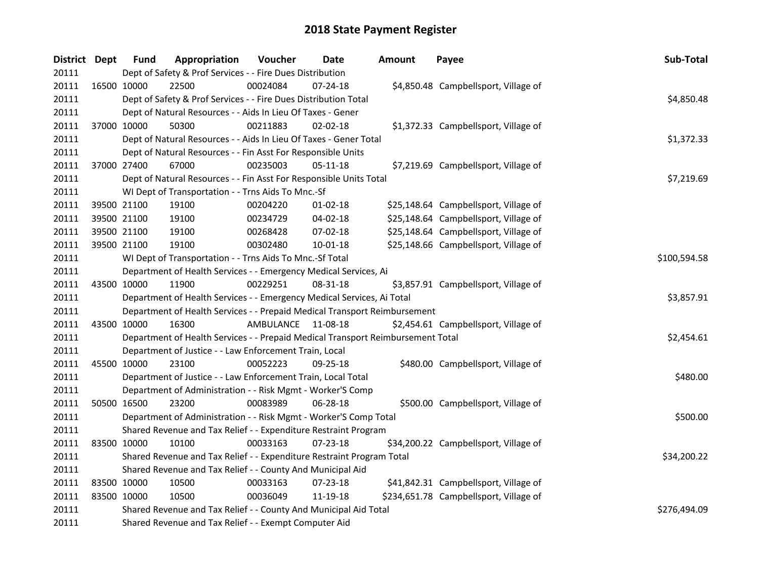| District Dept |             | <b>Fund</b> | Appropriation                                                                   | Voucher   | Date           | <b>Amount</b> | Payee                                  | Sub-Total    |
|---------------|-------------|-------------|---------------------------------------------------------------------------------|-----------|----------------|---------------|----------------------------------------|--------------|
| 20111         |             |             | Dept of Safety & Prof Services - - Fire Dues Distribution                       |           |                |               |                                        |              |
| 20111         | 16500 10000 |             | 22500                                                                           | 00024084  | $07 - 24 - 18$ |               | \$4,850.48 Campbellsport, Village of   |              |
| 20111         |             |             | Dept of Safety & Prof Services - - Fire Dues Distribution Total                 |           |                |               |                                        | \$4,850.48   |
| 20111         |             |             | Dept of Natural Resources - - Aids In Lieu Of Taxes - Gener                     |           |                |               |                                        |              |
| 20111         |             | 37000 10000 | 50300                                                                           | 00211883  | $02 - 02 - 18$ |               | \$1,372.33 Campbellsport, Village of   |              |
| 20111         |             |             | Dept of Natural Resources - - Aids In Lieu Of Taxes - Gener Total               |           |                |               |                                        | \$1,372.33   |
| 20111         |             |             | Dept of Natural Resources - - Fin Asst For Responsible Units                    |           |                |               |                                        |              |
| 20111         |             | 37000 27400 | 67000                                                                           | 00235003  | 05-11-18       |               | \$7,219.69 Campbellsport, Village of   |              |
| 20111         |             |             | Dept of Natural Resources - - Fin Asst For Responsible Units Total              |           |                |               |                                        | \$7,219.69   |
| 20111         |             |             | WI Dept of Transportation - - Trns Aids To Mnc.-Sf                              |           |                |               |                                        |              |
| 20111         |             | 39500 21100 | 19100                                                                           | 00204220  | $01 - 02 - 18$ |               | \$25,148.64 Campbellsport, Village of  |              |
| 20111         |             | 39500 21100 | 19100                                                                           | 00234729  | 04-02-18       |               | \$25,148.64 Campbellsport, Village of  |              |
| 20111         |             | 39500 21100 | 19100                                                                           | 00268428  | 07-02-18       |               | \$25,148.64 Campbellsport, Village of  |              |
| 20111         |             | 39500 21100 | 19100                                                                           | 00302480  | 10-01-18       |               | \$25,148.66 Campbellsport, Village of  |              |
| 20111         |             |             | WI Dept of Transportation - - Trns Aids To Mnc.-Sf Total                        |           |                |               |                                        | \$100,594.58 |
| 20111         |             |             | Department of Health Services - - Emergency Medical Services, Ai                |           |                |               |                                        |              |
| 20111         |             | 43500 10000 | 11900                                                                           | 00229251  | 08-31-18       |               | \$3,857.91 Campbellsport, Village of   |              |
| 20111         |             |             | Department of Health Services - - Emergency Medical Services, Ai Total          |           |                |               |                                        | \$3,857.91   |
| 20111         |             |             | Department of Health Services - - Prepaid Medical Transport Reimbursement       |           |                |               |                                        |              |
| 20111         |             | 43500 10000 | 16300                                                                           | AMBULANCE | 11-08-18       |               | \$2,454.61 Campbellsport, Village of   |              |
| 20111         |             |             | Department of Health Services - - Prepaid Medical Transport Reimbursement Total |           |                |               |                                        | \$2,454.61   |
| 20111         |             |             | Department of Justice - - Law Enforcement Train, Local                          |           |                |               |                                        |              |
| 20111         |             | 45500 10000 | 23100                                                                           | 00052223  | 09-25-18       |               | \$480.00 Campbellsport, Village of     |              |
| 20111         |             |             | Department of Justice - - Law Enforcement Train, Local Total                    |           |                |               |                                        | \$480.00     |
| 20111         |             |             | Department of Administration - - Risk Mgmt - Worker'S Comp                      |           |                |               |                                        |              |
| 20111         |             | 50500 16500 | 23200                                                                           | 00083989  | 06-28-18       |               | \$500.00 Campbellsport, Village of     |              |
| 20111         |             |             | Department of Administration - - Risk Mgmt - Worker'S Comp Total                |           |                |               |                                        | \$500.00     |
| 20111         |             |             | Shared Revenue and Tax Relief - - Expenditure Restraint Program                 |           |                |               |                                        |              |
| 20111         |             | 83500 10000 | 10100                                                                           | 00033163  | $07 - 23 - 18$ |               | \$34,200.22 Campbellsport, Village of  |              |
| 20111         |             |             | Shared Revenue and Tax Relief - - Expenditure Restraint Program Total           |           |                |               |                                        | \$34,200.22  |
| 20111         |             |             | Shared Revenue and Tax Relief - - County And Municipal Aid                      |           |                |               |                                        |              |
| 20111         | 83500 10000 |             | 10500                                                                           | 00033163  | 07-23-18       |               | \$41,842.31 Campbellsport, Village of  |              |
| 20111         |             | 83500 10000 | 10500                                                                           | 00036049  | 11-19-18       |               | \$234,651.78 Campbellsport, Village of |              |
| 20111         |             |             | Shared Revenue and Tax Relief - - County And Municipal Aid Total                |           |                |               |                                        | \$276,494.09 |
| 20111         |             |             | Shared Revenue and Tax Relief - - Exempt Computer Aid                           |           |                |               |                                        |              |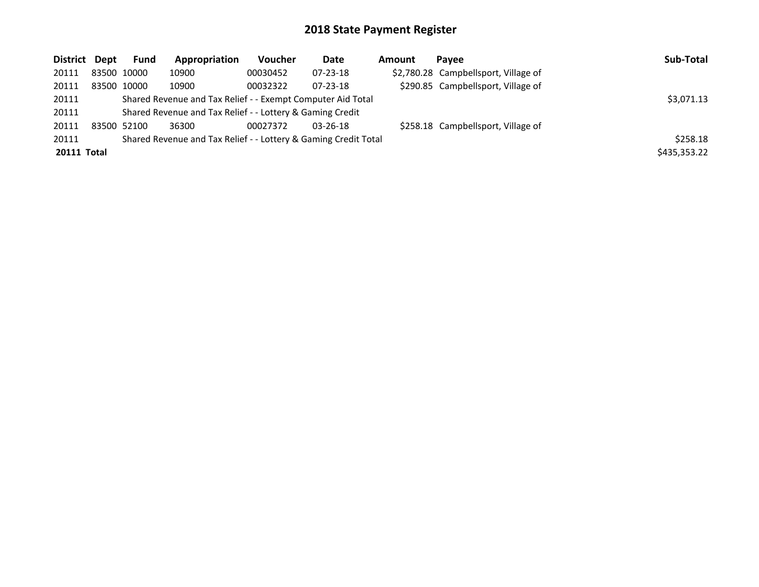| District Dept      |             | <b>Fund</b> | Appropriation                                                   | Voucher  | Date           | Amount | Pavee                                | Sub-Total    |
|--------------------|-------------|-------------|-----------------------------------------------------------------|----------|----------------|--------|--------------------------------------|--------------|
| 20111              | 83500 10000 |             | 10900                                                           | 00030452 | 07-23-18       |        | \$2,780.28 Campbellsport, Village of |              |
| 20111              | 83500 10000 |             | 10900                                                           | 00032322 | $07 - 23 - 18$ |        | \$290.85 Campbellsport, Village of   |              |
| 20111              |             |             | Shared Revenue and Tax Relief - - Exempt Computer Aid Total     |          |                |        |                                      | \$3,071.13   |
| 20111              |             |             | Shared Revenue and Tax Relief - - Lottery & Gaming Credit       |          |                |        |                                      |              |
| 20111              | 83500 52100 |             | 36300                                                           | 00027372 | $03 - 26 - 18$ |        | \$258.18 Campbellsport, Village of   |              |
| 20111              |             |             | Shared Revenue and Tax Relief - - Lottery & Gaming Credit Total |          |                |        |                                      | \$258.18     |
| <b>20111 Total</b> |             |             |                                                                 |          |                |        |                                      | \$435,353.22 |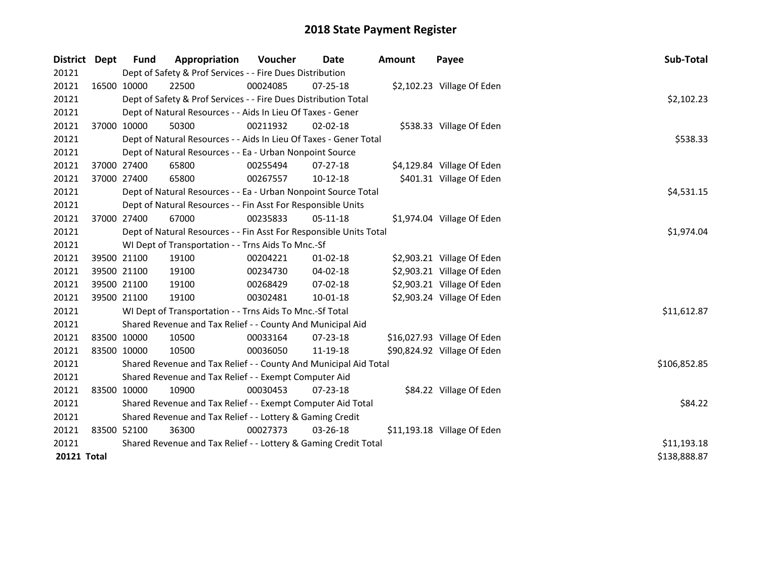| District    | Dept | <b>Fund</b> | Appropriation                                                      | <b>Voucher</b> | Date           | <b>Amount</b> | Payee                       | Sub-Total    |
|-------------|------|-------------|--------------------------------------------------------------------|----------------|----------------|---------------|-----------------------------|--------------|
| 20121       |      |             | Dept of Safety & Prof Services - - Fire Dues Distribution          |                |                |               |                             |              |
| 20121       |      | 16500 10000 | 22500                                                              | 00024085       | 07-25-18       |               | \$2,102.23 Village Of Eden  |              |
| 20121       |      |             | Dept of Safety & Prof Services - - Fire Dues Distribution Total    |                |                |               |                             | \$2,102.23   |
| 20121       |      |             | Dept of Natural Resources - - Aids In Lieu Of Taxes - Gener        |                |                |               |                             |              |
| 20121       |      | 37000 10000 | 50300                                                              | 00211932       | $02 - 02 - 18$ |               | \$538.33 Village Of Eden    |              |
| 20121       |      |             | Dept of Natural Resources - - Aids In Lieu Of Taxes - Gener Total  |                |                |               |                             | \$538.33     |
| 20121       |      |             | Dept of Natural Resources - - Ea - Urban Nonpoint Source           |                |                |               |                             |              |
| 20121       |      | 37000 27400 | 65800                                                              | 00255494       | $07-27-18$     |               | \$4,129.84 Village Of Eden  |              |
| 20121       |      | 37000 27400 | 65800                                                              | 00267557       | 10-12-18       |               | \$401.31 Village Of Eden    |              |
| 20121       |      |             | Dept of Natural Resources - - Ea - Urban Nonpoint Source Total     |                |                |               |                             | \$4,531.15   |
| 20121       |      |             | Dept of Natural Resources - - Fin Asst For Responsible Units       |                |                |               |                             |              |
| 20121       |      | 37000 27400 | 67000                                                              | 00235833       | 05-11-18       |               | \$1,974.04 Village Of Eden  |              |
| 20121       |      |             | Dept of Natural Resources - - Fin Asst For Responsible Units Total |                |                |               |                             | \$1,974.04   |
| 20121       |      |             | WI Dept of Transportation - - Trns Aids To Mnc.-Sf                 |                |                |               |                             |              |
| 20121       |      | 39500 21100 | 19100                                                              | 00204221       | $01 - 02 - 18$ |               | \$2,903.21 Village Of Eden  |              |
| 20121       |      | 39500 21100 | 19100                                                              | 00234730       | 04-02-18       |               | \$2,903.21 Village Of Eden  |              |
| 20121       |      | 39500 21100 | 19100                                                              | 00268429       | 07-02-18       |               | \$2,903.21 Village Of Eden  |              |
| 20121       |      | 39500 21100 | 19100                                                              | 00302481       | $10 - 01 - 18$ |               | \$2,903.24 Village Of Eden  |              |
| 20121       |      |             | WI Dept of Transportation - - Trns Aids To Mnc.-Sf Total           |                |                |               |                             | \$11,612.87  |
| 20121       |      |             | Shared Revenue and Tax Relief - - County And Municipal Aid         |                |                |               |                             |              |
| 20121       |      | 83500 10000 | 10500                                                              | 00033164       | $07 - 23 - 18$ |               | \$16,027.93 Village Of Eden |              |
| 20121       |      | 83500 10000 | 10500                                                              | 00036050       | 11-19-18       |               | \$90,824.92 Village Of Eden |              |
| 20121       |      |             | Shared Revenue and Tax Relief - - County And Municipal Aid Total   |                |                |               |                             | \$106,852.85 |
| 20121       |      |             | Shared Revenue and Tax Relief - - Exempt Computer Aid              |                |                |               |                             |              |
| 20121       |      | 83500 10000 | 10900                                                              | 00030453       | $07 - 23 - 18$ |               | \$84.22 Village Of Eden     |              |
| 20121       |      |             | Shared Revenue and Tax Relief - - Exempt Computer Aid Total        |                |                |               |                             | \$84.22      |
| 20121       |      |             | Shared Revenue and Tax Relief - - Lottery & Gaming Credit          |                |                |               |                             |              |
| 20121       |      | 83500 52100 | 36300                                                              | 00027373       | 03-26-18       |               | \$11,193.18 Village Of Eden |              |
| 20121       |      |             | Shared Revenue and Tax Relief - - Lottery & Gaming Credit Total    |                |                |               |                             | \$11,193.18  |
| 20121 Total |      |             |                                                                    |                |                |               |                             | \$138,888.87 |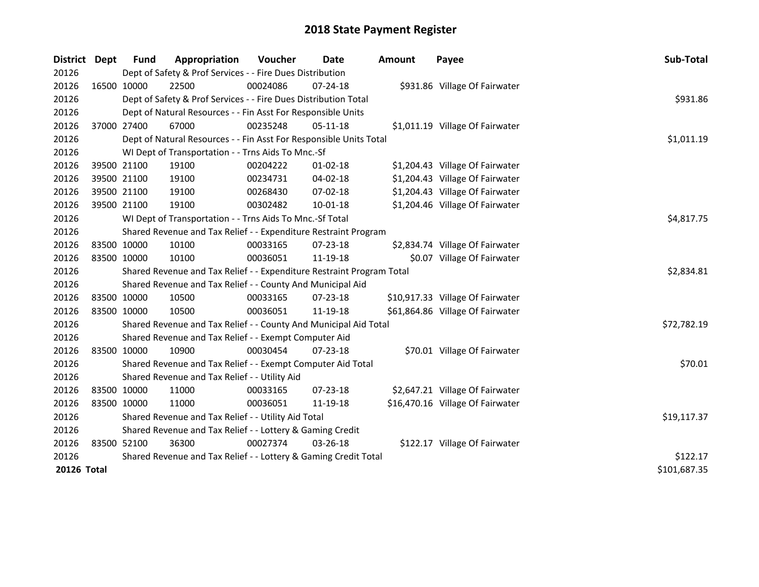| <b>District</b> | <b>Dept</b> | <b>Fund</b>  | Appropriation                                                         | Voucher  | <b>Date</b>    | <b>Amount</b> | Payee                            | Sub-Total   |
|-----------------|-------------|--------------|-----------------------------------------------------------------------|----------|----------------|---------------|----------------------------------|-------------|
| 20126           |             |              | Dept of Safety & Prof Services - - Fire Dues Distribution             |          |                |               |                                  |             |
| 20126           |             | 16500 10000  | 22500                                                                 | 00024086 | 07-24-18       |               | \$931.86 Village Of Fairwater    |             |
| 20126           |             |              | Dept of Safety & Prof Services - - Fire Dues Distribution Total       |          |                |               |                                  | \$931.86    |
| 20126           |             |              | Dept of Natural Resources - - Fin Asst For Responsible Units          |          |                |               |                                  |             |
| 20126           |             | 37000 27400  | 67000                                                                 | 00235248 | $05-11-18$     |               | \$1,011.19 Village Of Fairwater  |             |
| 20126           |             |              | Dept of Natural Resources - - Fin Asst For Responsible Units Total    |          |                |               |                                  | \$1,011.19  |
| 20126           |             |              | WI Dept of Transportation - - Trns Aids To Mnc.-Sf                    |          |                |               |                                  |             |
| 20126           |             | 39500 21100  | 19100                                                                 | 00204222 | $01 - 02 - 18$ |               | \$1,204.43 Village Of Fairwater  |             |
| 20126           |             | 39500 21100  | 19100                                                                 | 00234731 | 04-02-18       |               | \$1,204.43 Village Of Fairwater  |             |
| 20126           |             | 39500 21100  | 19100                                                                 | 00268430 | 07-02-18       |               | \$1,204.43 Village Of Fairwater  |             |
| 20126           |             | 39500 21100  | 19100                                                                 | 00302482 | $10-01-18$     |               | \$1,204.46 Village Of Fairwater  |             |
| 20126           |             |              | WI Dept of Transportation - - Trns Aids To Mnc.-Sf Total              |          |                |               |                                  | \$4,817.75  |
| 20126           |             |              | Shared Revenue and Tax Relief - - Expenditure Restraint Program       |          |                |               |                                  |             |
| 20126           |             | 83500 10000  | 10100                                                                 | 00033165 | $07 - 23 - 18$ |               | \$2,834.74 Village Of Fairwater  |             |
| 20126           |             | 83500 10000  | 10100                                                                 | 00036051 | 11-19-18       |               | \$0.07 Village Of Fairwater      |             |
| 20126           |             |              | Shared Revenue and Tax Relief - - Expenditure Restraint Program Total |          |                |               |                                  | \$2,834.81  |
| 20126           |             |              | Shared Revenue and Tax Relief - - County And Municipal Aid            |          |                |               |                                  |             |
| 20126           |             | 83500 10000  | 10500                                                                 | 00033165 | 07-23-18       |               | \$10,917.33 Village Of Fairwater |             |
| 20126           |             | 83500 10000  | 10500                                                                 | 00036051 | 11-19-18       |               | \$61,864.86 Village Of Fairwater |             |
| 20126           |             |              | Shared Revenue and Tax Relief - - County And Municipal Aid Total      |          |                |               |                                  | \$72,782.19 |
| 20126           |             |              | Shared Revenue and Tax Relief - - Exempt Computer Aid                 |          |                |               |                                  |             |
| 20126           |             | 83500 10000  | 10900                                                                 | 00030454 | 07-23-18       |               | \$70.01 Village Of Fairwater     |             |
| 20126           |             |              | Shared Revenue and Tax Relief - - Exempt Computer Aid Total           |          |                |               |                                  | \$70.01     |
| 20126           |             |              | Shared Revenue and Tax Relief - - Utility Aid                         |          |                |               |                                  |             |
| 20126           |             | 83500 10000  | 11000                                                                 | 00033165 | 07-23-18       |               | \$2,647.21 Village Of Fairwater  |             |
| 20126           |             | 83500 10000  | 11000                                                                 | 00036051 | 11-19-18       |               | \$16,470.16 Village Of Fairwater |             |
| 20126           |             |              | Shared Revenue and Tax Relief - - Utility Aid Total                   |          |                |               |                                  | \$19,117.37 |
| 20126           |             |              | Shared Revenue and Tax Relief - - Lottery & Gaming Credit             |          |                |               |                                  |             |
| 20126           |             | 83500 52100  | 36300                                                                 | 00027374 | 03-26-18       |               | \$122.17 Village Of Fairwater    |             |
| 20126           |             |              | Shared Revenue and Tax Relief - - Lottery & Gaming Credit Total       | \$122.17 |                |               |                                  |             |
| 20126 Total     |             | \$101,687.35 |                                                                       |          |                |               |                                  |             |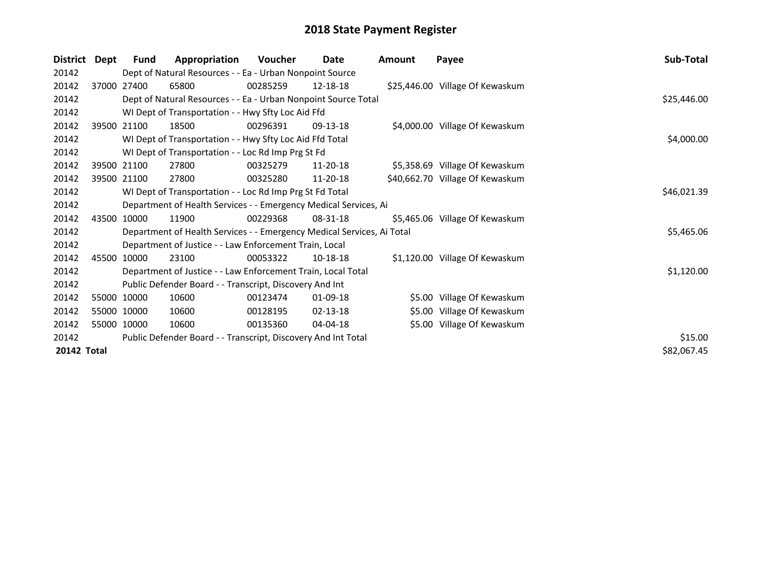| <b>District</b>    | Dept        | Fund        | Appropriation                                                          | <b>Voucher</b> | Date           | <b>Amount</b> | Payee                           | Sub-Total   |
|--------------------|-------------|-------------|------------------------------------------------------------------------|----------------|----------------|---------------|---------------------------------|-------------|
| 20142              |             |             | Dept of Natural Resources - - Ea - Urban Nonpoint Source               |                |                |               |                                 |             |
| 20142              |             | 37000 27400 | 65800                                                                  | 00285259       | 12-18-18       |               | \$25,446.00 Village Of Kewaskum |             |
| 20142              |             |             | Dept of Natural Resources - - Ea - Urban Nonpoint Source Total         |                |                |               |                                 | \$25,446.00 |
| 20142              |             |             | WI Dept of Transportation - - Hwy Sfty Loc Aid Ffd                     |                |                |               |                                 |             |
| 20142              |             | 39500 21100 | 18500                                                                  | 00296391       | 09-13-18       |               | \$4,000.00 Village Of Kewaskum  |             |
| 20142              |             |             | WI Dept of Transportation - - Hwy Sfty Loc Aid Ffd Total               | \$4,000.00     |                |               |                                 |             |
| 20142              |             |             | WI Dept of Transportation - - Loc Rd Imp Prg St Fd                     |                |                |               |                                 |             |
| 20142              |             | 39500 21100 | 27800                                                                  | 00325279       | 11-20-18       |               | \$5,358.69 Village Of Kewaskum  |             |
| 20142              |             | 39500 21100 | 27800                                                                  | 00325280       | 11-20-18       |               | \$40,662.70 Village Of Kewaskum |             |
| 20142              |             |             | WI Dept of Transportation - - Loc Rd Imp Prg St Fd Total               |                |                |               |                                 | \$46,021.39 |
| 20142              |             |             | Department of Health Services - - Emergency Medical Services, Ai       |                |                |               |                                 |             |
| 20142              | 43500 10000 |             | 11900                                                                  | 00229368       | $08 - 31 - 18$ |               | \$5,465.06 Village Of Kewaskum  |             |
| 20142              |             |             | Department of Health Services - - Emergency Medical Services, Ai Total |                |                |               |                                 | \$5,465.06  |
| 20142              |             |             | Department of Justice - - Law Enforcement Train, Local                 |                |                |               |                                 |             |
| 20142              |             | 45500 10000 | 23100                                                                  | 00053322       | 10-18-18       |               | \$1,120.00 Village Of Kewaskum  |             |
| 20142              |             |             | Department of Justice - - Law Enforcement Train, Local Total           |                |                |               |                                 | \$1,120.00  |
| 20142              |             |             | Public Defender Board - - Transcript, Discovery And Int                |                |                |               |                                 |             |
| 20142              |             | 55000 10000 | 10600                                                                  | 00123474       | $01-09-18$     |               | \$5.00 Village Of Kewaskum      |             |
| 20142              |             | 55000 10000 | 10600                                                                  | 00128195       | 02-13-18       |               | \$5.00 Village Of Kewaskum      |             |
| 20142              |             | 55000 10000 | 10600                                                                  | 00135360       | 04-04-18       |               | \$5.00 Village Of Kewaskum      |             |
| 20142              |             |             | Public Defender Board - - Transcript, Discovery And Int Total          |                |                |               |                                 | \$15.00     |
| <b>20142 Total</b> |             |             |                                                                        |                |                |               |                                 | \$82,067.45 |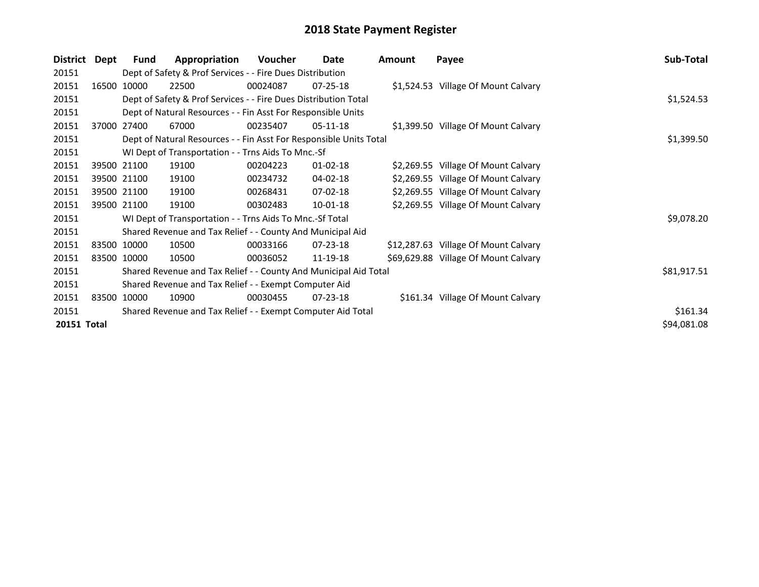| District    | Dept | <b>Fund</b> | Appropriation                                                      | Voucher  | Date           | <b>Amount</b> | Payee                                | Sub-Total   |
|-------------|------|-------------|--------------------------------------------------------------------|----------|----------------|---------------|--------------------------------------|-------------|
| 20151       |      |             | Dept of Safety & Prof Services - - Fire Dues Distribution          |          |                |               |                                      |             |
| 20151       |      | 16500 10000 | 22500                                                              | 00024087 | $07 - 25 - 18$ |               | \$1,524.53 Village Of Mount Calvary  |             |
| 20151       |      |             | Dept of Safety & Prof Services - - Fire Dues Distribution Total    |          |                |               |                                      | \$1,524.53  |
| 20151       |      |             | Dept of Natural Resources - - Fin Asst For Responsible Units       |          |                |               |                                      |             |
| 20151       |      | 37000 27400 | 67000                                                              | 00235407 | $05-11-18$     |               | \$1,399.50 Village Of Mount Calvary  |             |
| 20151       |      |             | Dept of Natural Resources - - Fin Asst For Responsible Units Total |          |                |               |                                      | \$1,399.50  |
| 20151       |      |             | WI Dept of Transportation - - Trns Aids To Mnc.-Sf                 |          |                |               |                                      |             |
| 20151       |      | 39500 21100 | 19100                                                              | 00204223 | $01 - 02 - 18$ |               | \$2,269.55 Village Of Mount Calvary  |             |
| 20151       |      | 39500 21100 | 19100                                                              | 00234732 | $04 - 02 - 18$ |               | \$2,269.55 Village Of Mount Calvary  |             |
| 20151       |      | 39500 21100 | 19100                                                              | 00268431 | $07 - 02 - 18$ |               | \$2,269.55 Village Of Mount Calvary  |             |
| 20151       |      | 39500 21100 | 19100                                                              | 00302483 | $10-01-18$     |               | \$2,269.55 Village Of Mount Calvary  |             |
| 20151       |      |             | WI Dept of Transportation - - Trns Aids To Mnc.-Sf Total           |          |                |               |                                      | \$9,078.20  |
| 20151       |      |             | Shared Revenue and Tax Relief - - County And Municipal Aid         |          |                |               |                                      |             |
| 20151       |      | 83500 10000 | 10500                                                              | 00033166 | $07 - 23 - 18$ |               | \$12,287.63 Village Of Mount Calvary |             |
| 20151       |      | 83500 10000 | 10500                                                              | 00036052 | 11-19-18       |               | \$69,629.88 Village Of Mount Calvary |             |
| 20151       |      |             | Shared Revenue and Tax Relief - - County And Municipal Aid Total   |          |                |               |                                      | \$81,917.51 |
| 20151       |      |             | Shared Revenue and Tax Relief - - Exempt Computer Aid              |          |                |               |                                      |             |
| 20151       |      | 83500 10000 | 10900                                                              | 00030455 | $07 - 23 - 18$ |               | \$161.34 Village Of Mount Calvary    |             |
| 20151       |      |             | Shared Revenue and Tax Relief - - Exempt Computer Aid Total        | \$161.34 |                |               |                                      |             |
| 20151 Total |      |             |                                                                    |          |                |               |                                      | \$94,081.08 |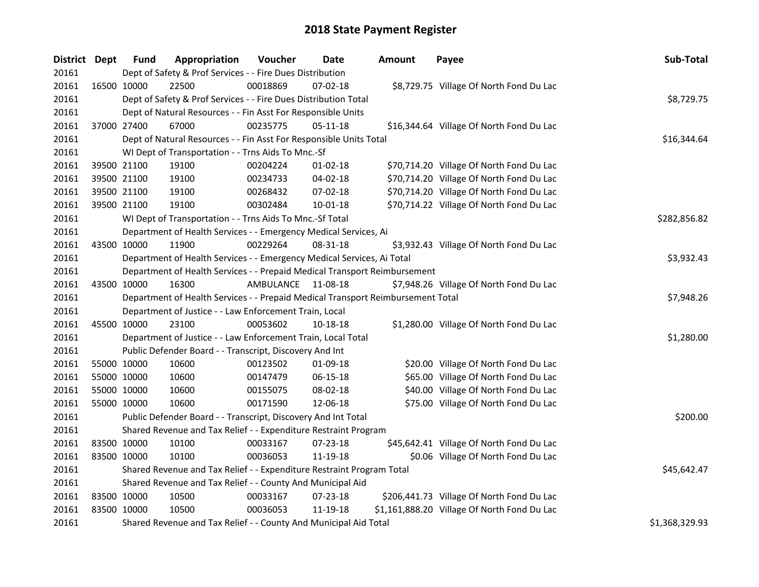| District Dept |             | <b>Fund</b> | Appropriation                                                                   | Voucher   | Date           | <b>Amount</b> | Payee                                       | Sub-Total      |
|---------------|-------------|-------------|---------------------------------------------------------------------------------|-----------|----------------|---------------|---------------------------------------------|----------------|
| 20161         |             |             | Dept of Safety & Prof Services - - Fire Dues Distribution                       |           |                |               |                                             |                |
| 20161         |             | 16500 10000 | 22500                                                                           | 00018869  | $07 - 02 - 18$ |               | \$8,729.75 Village Of North Fond Du Lac     |                |
| 20161         |             |             | Dept of Safety & Prof Services - - Fire Dues Distribution Total                 |           |                |               |                                             | \$8,729.75     |
| 20161         |             |             | Dept of Natural Resources - - Fin Asst For Responsible Units                    |           |                |               |                                             |                |
| 20161         |             | 37000 27400 | 67000                                                                           | 00235775  | $05-11-18$     |               | \$16,344.64 Village Of North Fond Du Lac    |                |
| 20161         |             |             | Dept of Natural Resources - - Fin Asst For Responsible Units Total              |           |                |               |                                             | \$16,344.64    |
| 20161         |             |             | WI Dept of Transportation - - Trns Aids To Mnc.-Sf                              |           |                |               |                                             |                |
| 20161         | 39500 21100 |             | 19100                                                                           | 00204224  | $01 - 02 - 18$ |               | \$70,714.20 Village Of North Fond Du Lac    |                |
| 20161         | 39500 21100 |             | 19100                                                                           | 00234733  | 04-02-18       |               | \$70,714.20 Village Of North Fond Du Lac    |                |
| 20161         | 39500 21100 |             | 19100                                                                           | 00268432  | 07-02-18       |               | \$70,714.20 Village Of North Fond Du Lac    |                |
| 20161         | 39500 21100 |             | 19100                                                                           | 00302484  | 10-01-18       |               | \$70,714.22 Village Of North Fond Du Lac    |                |
| 20161         |             |             | WI Dept of Transportation - - Trns Aids To Mnc.-Sf Total                        |           |                |               |                                             | \$282,856.82   |
| 20161         |             |             | Department of Health Services - - Emergency Medical Services, Ai                |           |                |               |                                             |                |
| 20161         | 43500 10000 |             | 11900                                                                           | 00229264  | 08-31-18       |               | \$3,932.43 Village Of North Fond Du Lac     |                |
| 20161         |             |             | Department of Health Services - - Emergency Medical Services, Ai Total          |           |                |               |                                             | \$3,932.43     |
| 20161         |             |             | Department of Health Services - - Prepaid Medical Transport Reimbursement       |           |                |               |                                             |                |
| 20161         | 43500 10000 |             | 16300                                                                           | AMBULANCE | 11-08-18       |               | \$7,948.26 Village Of North Fond Du Lac     |                |
| 20161         |             |             | Department of Health Services - - Prepaid Medical Transport Reimbursement Total |           |                |               |                                             | \$7,948.26     |
| 20161         |             |             | Department of Justice - - Law Enforcement Train, Local                          |           |                |               |                                             |                |
| 20161         | 45500 10000 |             | 23100                                                                           | 00053602  | 10-18-18       |               | \$1,280.00 Village Of North Fond Du Lac     |                |
| 20161         |             |             | Department of Justice - - Law Enforcement Train, Local Total                    |           |                |               |                                             | \$1,280.00     |
| 20161         |             |             | Public Defender Board - - Transcript, Discovery And Int                         |           |                |               |                                             |                |
| 20161         | 55000 10000 |             | 10600                                                                           | 00123502  | 01-09-18       |               | \$20.00 Village Of North Fond Du Lac        |                |
| 20161         | 55000 10000 |             | 10600                                                                           | 00147479  | 06-15-18       |               | \$65.00 Village Of North Fond Du Lac        |                |
| 20161         | 55000 10000 |             | 10600                                                                           | 00155075  | 08-02-18       |               | \$40.00 Village Of North Fond Du Lac        |                |
| 20161         | 55000 10000 |             | 10600                                                                           | 00171590  | 12-06-18       |               | \$75.00 Village Of North Fond Du Lac        |                |
| 20161         |             |             | Public Defender Board - - Transcript, Discovery And Int Total                   |           |                |               |                                             | \$200.00       |
| 20161         |             |             | Shared Revenue and Tax Relief - - Expenditure Restraint Program                 |           |                |               |                                             |                |
| 20161         | 83500 10000 |             | 10100                                                                           | 00033167  | 07-23-18       |               | \$45,642.41 Village Of North Fond Du Lac    |                |
| 20161         | 83500 10000 |             | 10100                                                                           | 00036053  | 11-19-18       |               | \$0.06 Village Of North Fond Du Lac         |                |
| 20161         |             |             | Shared Revenue and Tax Relief - - Expenditure Restraint Program Total           |           |                |               |                                             | \$45,642.47    |
| 20161         |             |             | Shared Revenue and Tax Relief - - County And Municipal Aid                      |           |                |               |                                             |                |
| 20161         | 83500 10000 |             | 10500                                                                           | 00033167  | 07-23-18       |               | \$206,441.73 Village Of North Fond Du Lac   |                |
| 20161         | 83500 10000 |             | 10500                                                                           | 00036053  | 11-19-18       |               | \$1,161,888.20 Village Of North Fond Du Lac |                |
| 20161         |             |             | Shared Revenue and Tax Relief - - County And Municipal Aid Total                |           |                |               |                                             | \$1,368,329.93 |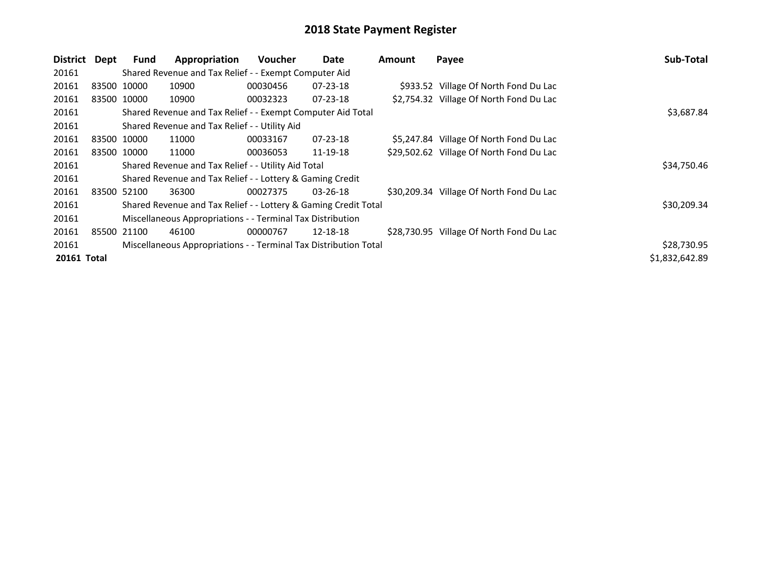| District Dept      |       | <b>Fund</b> | Appropriation                                                    | Voucher  | Date           | <b>Amount</b> | Payee                                    | Sub-Total      |
|--------------------|-------|-------------|------------------------------------------------------------------|----------|----------------|---------------|------------------------------------------|----------------|
| 20161              |       |             | Shared Revenue and Tax Relief - - Exempt Computer Aid            |          |                |               |                                          |                |
| 20161              |       | 83500 10000 | 10900                                                            | 00030456 | $07 - 23 - 18$ |               | \$933.52 Village Of North Fond Du Lac    |                |
| 20161              |       | 83500 10000 | 10900                                                            | 00032323 | 07-23-18       |               | \$2,754.32 Village Of North Fond Du Lac  |                |
| 20161              |       |             | Shared Revenue and Tax Relief - - Exempt Computer Aid Total      |          |                |               |                                          | \$3,687.84     |
| 20161              |       |             | Shared Revenue and Tax Relief - - Utility Aid                    |          |                |               |                                          |                |
| 20161              |       | 83500 10000 | 11000                                                            | 00033167 | 07-23-18       |               | \$5,247.84 Village Of North Fond Du Lac  |                |
| 20161              |       | 83500 10000 | 11000                                                            | 00036053 | 11-19-18       |               | \$29,502.62 Village Of North Fond Du Lac |                |
| 20161              |       |             | Shared Revenue and Tax Relief - - Utility Aid Total              |          |                |               |                                          | \$34,750.46    |
| 20161              |       |             | Shared Revenue and Tax Relief - - Lottery & Gaming Credit        |          |                |               |                                          |                |
| 20161              |       | 83500 52100 | 36300                                                            | 00027375 | 03-26-18       |               | \$30,209.34 Village Of North Fond Du Lac |                |
| 20161              |       |             | Shared Revenue and Tax Relief - - Lottery & Gaming Credit Total  |          |                |               |                                          | \$30,209.34    |
| 20161              |       |             | Miscellaneous Appropriations - - Terminal Tax Distribution       |          |                |               |                                          |                |
| 20161              | 85500 | 21100       | 46100                                                            | 00000767 | 12-18-18       |               | \$28,730.95 Village Of North Fond Du Lac |                |
| 20161              |       |             | Miscellaneous Appropriations - - Terminal Tax Distribution Total |          |                |               |                                          | \$28,730.95    |
| <b>20161 Total</b> |       |             |                                                                  |          |                |               |                                          | \$1,832,642.89 |
|                    |       |             |                                                                  |          |                |               |                                          |                |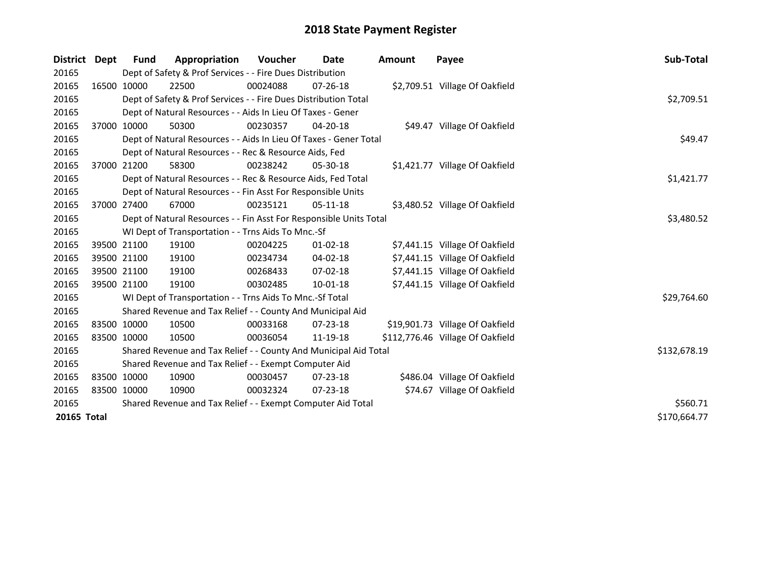| District Dept | Fund        | Appropriation                                                      | <b>Voucher</b> | Date           | <b>Amount</b> | Payee                            | Sub-Total    |
|---------------|-------------|--------------------------------------------------------------------|----------------|----------------|---------------|----------------------------------|--------------|
| 20165         |             | Dept of Safety & Prof Services - - Fire Dues Distribution          |                |                |               |                                  |              |
| 20165         | 16500 10000 | 22500                                                              | 00024088       | $07 - 26 - 18$ |               | \$2,709.51 Village Of Oakfield   |              |
| 20165         |             | Dept of Safety & Prof Services - - Fire Dues Distribution Total    |                |                |               |                                  | \$2,709.51   |
| 20165         |             | Dept of Natural Resources - - Aids In Lieu Of Taxes - Gener        |                |                |               |                                  |              |
| 20165         | 37000 10000 | 50300                                                              | 00230357       | 04-20-18       |               | \$49.47 Village Of Oakfield      |              |
| 20165         |             | Dept of Natural Resources - - Aids In Lieu Of Taxes - Gener Total  |                |                |               |                                  | \$49.47      |
| 20165         |             | Dept of Natural Resources - - Rec & Resource Aids, Fed             |                |                |               |                                  |              |
| 20165         | 37000 21200 | 58300                                                              | 00238242       | $05-30-18$     |               | \$1,421.77 Village Of Oakfield   |              |
| 20165         |             | Dept of Natural Resources - - Rec & Resource Aids, Fed Total       |                |                |               |                                  | \$1,421.77   |
| 20165         |             | Dept of Natural Resources - - Fin Asst For Responsible Units       |                |                |               |                                  |              |
| 20165         | 37000 27400 | 67000                                                              | 00235121       | $05-11-18$     |               | \$3,480.52 Village Of Oakfield   |              |
| 20165         |             | Dept of Natural Resources - - Fin Asst For Responsible Units Total |                |                |               |                                  | \$3,480.52   |
| 20165         |             | WI Dept of Transportation - - Trns Aids To Mnc.-Sf                 |                |                |               |                                  |              |
| 20165         | 39500 21100 | 19100                                                              | 00204225       | $01 - 02 - 18$ |               | \$7,441.15 Village Of Oakfield   |              |
| 20165         | 39500 21100 | 19100                                                              | 00234734       | 04-02-18       |               | \$7,441.15 Village Of Oakfield   |              |
| 20165         | 39500 21100 | 19100                                                              | 00268433       | 07-02-18       |               | \$7,441.15 Village Of Oakfield   |              |
| 20165         | 39500 21100 | 19100                                                              | 00302485       | $10 - 01 - 18$ |               | \$7,441.15 Village Of Oakfield   |              |
| 20165         |             | WI Dept of Transportation - - Trns Aids To Mnc.-Sf Total           |                |                |               |                                  | \$29,764.60  |
| 20165         |             | Shared Revenue and Tax Relief - - County And Municipal Aid         |                |                |               |                                  |              |
| 20165         | 83500 10000 | 10500                                                              | 00033168       | $07 - 23 - 18$ |               | \$19,901.73 Village Of Oakfield  |              |
| 20165         | 83500 10000 | 10500                                                              | 00036054       | 11-19-18       |               | \$112,776.46 Village Of Oakfield |              |
| 20165         |             | Shared Revenue and Tax Relief - - County And Municipal Aid Total   |                |                |               |                                  | \$132,678.19 |
| 20165         |             | Shared Revenue and Tax Relief - - Exempt Computer Aid              |                |                |               |                                  |              |
| 20165         | 83500 10000 | 10900                                                              | 00030457       | $07 - 23 - 18$ |               | \$486.04 Village Of Oakfield     |              |
| 20165         | 83500 10000 | 10900                                                              | 00032324       | 07-23-18       |               | \$74.67 Village Of Oakfield      |              |
| 20165         |             | Shared Revenue and Tax Relief - - Exempt Computer Aid Total        |                |                |               |                                  | \$560.71     |
| 20165 Total   |             |                                                                    |                |                |               |                                  | \$170,664.77 |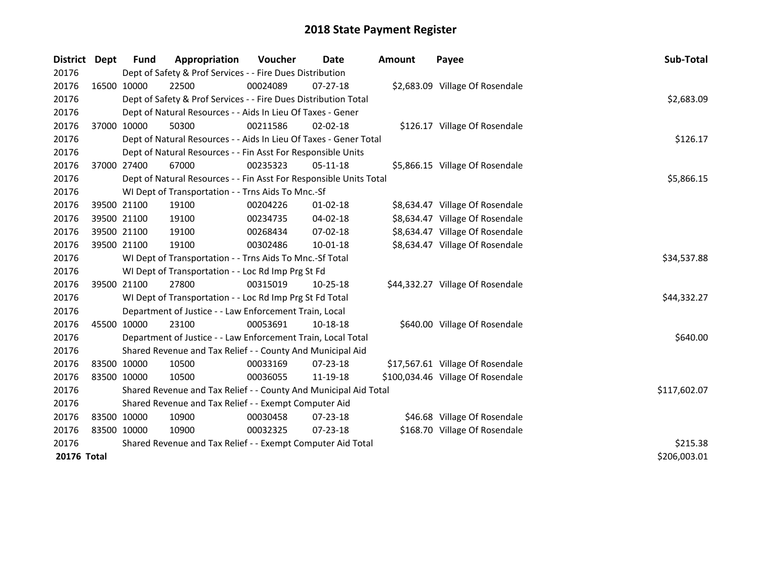| <b>District</b> | Dept        | <b>Fund</b> | Appropriation                                                      | Voucher  | <b>Date</b>    | <b>Amount</b> | Payee                             | Sub-Total    |
|-----------------|-------------|-------------|--------------------------------------------------------------------|----------|----------------|---------------|-----------------------------------|--------------|
| 20176           |             |             | Dept of Safety & Prof Services - - Fire Dues Distribution          |          |                |               |                                   |              |
| 20176           | 16500 10000 |             | 22500                                                              | 00024089 | 07-27-18       |               | \$2,683.09 Village Of Rosendale   |              |
| 20176           |             |             | Dept of Safety & Prof Services - - Fire Dues Distribution Total    |          |                |               |                                   | \$2,683.09   |
| 20176           |             |             | Dept of Natural Resources - - Aids In Lieu Of Taxes - Gener        |          |                |               |                                   |              |
| 20176           | 37000 10000 |             | 50300                                                              | 00211586 | $02 - 02 - 18$ |               | \$126.17 Village Of Rosendale     |              |
| 20176           |             |             | Dept of Natural Resources - - Aids In Lieu Of Taxes - Gener Total  | \$126.17 |                |               |                                   |              |
| 20176           |             |             | Dept of Natural Resources - - Fin Asst For Responsible Units       |          |                |               |                                   |              |
| 20176           | 37000 27400 |             | 67000                                                              | 00235323 | 05-11-18       |               | \$5,866.15 Village Of Rosendale   |              |
| 20176           |             |             | Dept of Natural Resources - - Fin Asst For Responsible Units Total |          |                |               |                                   | \$5,866.15   |
| 20176           |             |             | WI Dept of Transportation - - Trns Aids To Mnc.-Sf                 |          |                |               |                                   |              |
| 20176           |             | 39500 21100 | 19100                                                              | 00204226 | 01-02-18       |               | \$8,634.47 Village Of Rosendale   |              |
| 20176           | 39500 21100 |             | 19100                                                              | 00234735 | 04-02-18       |               | \$8,634.47 Village Of Rosendale   |              |
| 20176           | 39500 21100 |             | 19100                                                              | 00268434 | 07-02-18       |               | \$8,634.47 Village Of Rosendale   |              |
| 20176           | 39500 21100 |             | 19100                                                              | 00302486 | 10-01-18       |               | \$8,634.47 Village Of Rosendale   |              |
| 20176           |             |             | WI Dept of Transportation - - Trns Aids To Mnc.-Sf Total           |          |                |               |                                   | \$34,537.88  |
| 20176           |             |             | WI Dept of Transportation - - Loc Rd Imp Prg St Fd                 |          |                |               |                                   |              |
| 20176           | 39500 21100 |             | 27800                                                              | 00315019 | 10-25-18       |               | \$44,332.27 Village Of Rosendale  |              |
| 20176           |             |             | WI Dept of Transportation - - Loc Rd Imp Prg St Fd Total           |          |                |               |                                   | \$44,332.27  |
| 20176           |             |             | Department of Justice - - Law Enforcement Train, Local             |          |                |               |                                   |              |
| 20176           |             | 45500 10000 | 23100                                                              | 00053691 | 10-18-18       |               | \$640.00 Village Of Rosendale     |              |
| 20176           |             |             | Department of Justice - - Law Enforcement Train, Local Total       |          |                |               |                                   | \$640.00     |
| 20176           |             |             | Shared Revenue and Tax Relief - - County And Municipal Aid         |          |                |               |                                   |              |
| 20176           | 83500 10000 |             | 10500                                                              | 00033169 | 07-23-18       |               | \$17,567.61 Village Of Rosendale  |              |
| 20176           | 83500 10000 |             | 10500                                                              | 00036055 | 11-19-18       |               | \$100,034.46 Village Of Rosendale |              |
| 20176           |             |             | Shared Revenue and Tax Relief - - County And Municipal Aid Total   |          |                |               |                                   | \$117,602.07 |
| 20176           |             |             | Shared Revenue and Tax Relief - - Exempt Computer Aid              |          |                |               |                                   |              |
| 20176           | 83500 10000 |             | 10900                                                              | 00030458 | 07-23-18       |               | \$46.68 Village Of Rosendale      |              |
| 20176           | 83500 10000 |             | 10900                                                              | 00032325 | $07 - 23 - 18$ |               | \$168.70 Village Of Rosendale     |              |
| 20176           |             |             | Shared Revenue and Tax Relief - - Exempt Computer Aid Total        |          |                |               |                                   | \$215.38     |
| 20176 Total     |             |             |                                                                    |          |                |               |                                   | \$206,003.01 |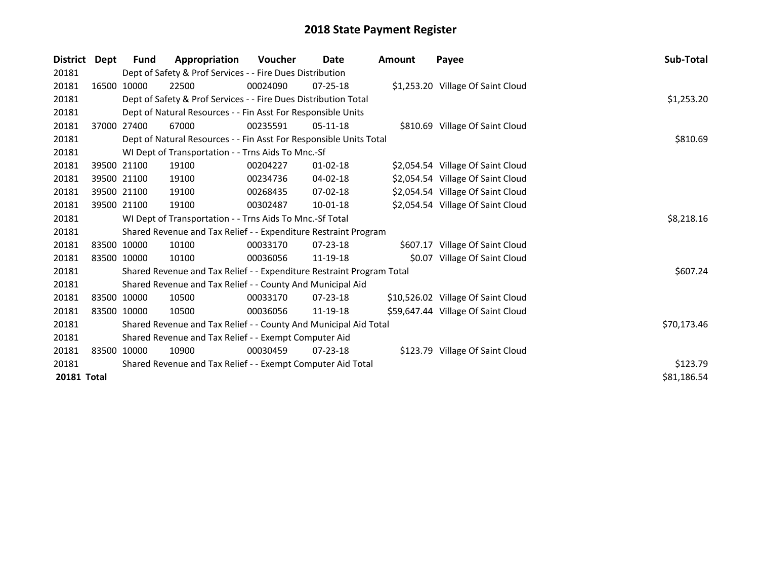| <b>District</b>    | Dept | Fund        | Appropriation                                                         | <b>Voucher</b> | Date           | Amount | Payee                              | Sub-Total   |
|--------------------|------|-------------|-----------------------------------------------------------------------|----------------|----------------|--------|------------------------------------|-------------|
| 20181              |      |             | Dept of Safety & Prof Services - - Fire Dues Distribution             |                |                |        |                                    |             |
| 20181              |      | 16500 10000 | 22500                                                                 | 00024090       | $07 - 25 - 18$ |        | \$1,253.20 Village Of Saint Cloud  |             |
| 20181              |      |             | Dept of Safety & Prof Services - - Fire Dues Distribution Total       |                |                |        |                                    | \$1,253.20  |
| 20181              |      |             | Dept of Natural Resources - - Fin Asst For Responsible Units          |                |                |        |                                    |             |
| 20181              |      | 37000 27400 | 67000                                                                 | 00235591       | $05-11-18$     |        | \$810.69 Village Of Saint Cloud    |             |
| 20181              |      |             | Dept of Natural Resources - - Fin Asst For Responsible Units Total    | \$810.69       |                |        |                                    |             |
| 20181              |      |             | WI Dept of Transportation - - Trns Aids To Mnc.-Sf                    |                |                |        |                                    |             |
| 20181              |      | 39500 21100 | 19100                                                                 | 00204227       | $01 - 02 - 18$ |        | \$2,054.54 Village Of Saint Cloud  |             |
| 20181              |      | 39500 21100 | 19100                                                                 | 00234736       | 04-02-18       |        | \$2,054.54 Village Of Saint Cloud  |             |
| 20181              |      | 39500 21100 | 19100                                                                 | 00268435       | $07 - 02 - 18$ |        | \$2,054.54 Village Of Saint Cloud  |             |
| 20181              |      | 39500 21100 | 19100                                                                 | 00302487       | $10 - 01 - 18$ |        | \$2,054.54 Village Of Saint Cloud  |             |
| 20181              |      |             | WI Dept of Transportation - - Trns Aids To Mnc.-Sf Total              |                |                |        |                                    | \$8,218.16  |
| 20181              |      |             | Shared Revenue and Tax Relief - - Expenditure Restraint Program       |                |                |        |                                    |             |
| 20181              |      | 83500 10000 | 10100                                                                 | 00033170       | $07 - 23 - 18$ |        | \$607.17 Village Of Saint Cloud    |             |
| 20181              |      | 83500 10000 | 10100                                                                 | 00036056       | 11-19-18       |        | \$0.07 Village Of Saint Cloud      |             |
| 20181              |      |             | Shared Revenue and Tax Relief - - Expenditure Restraint Program Total |                |                |        |                                    | \$607.24    |
| 20181              |      |             | Shared Revenue and Tax Relief - - County And Municipal Aid            |                |                |        |                                    |             |
| 20181              |      | 83500 10000 | 10500                                                                 | 00033170       | $07 - 23 - 18$ |        | \$10,526.02 Village Of Saint Cloud |             |
| 20181              |      | 83500 10000 | 10500                                                                 | 00036056       | 11-19-18       |        | \$59,647.44 Village Of Saint Cloud |             |
| 20181              |      |             | Shared Revenue and Tax Relief - - County And Municipal Aid Total      |                |                |        |                                    | \$70,173.46 |
| 20181              |      |             | Shared Revenue and Tax Relief - - Exempt Computer Aid                 |                |                |        |                                    |             |
| 20181              |      | 83500 10000 | 10900                                                                 | 00030459       | $07 - 23 - 18$ |        | \$123.79 Village Of Saint Cloud    |             |
| 20181              |      |             | Shared Revenue and Tax Relief - - Exempt Computer Aid Total           |                |                |        |                                    | \$123.79    |
| <b>20181 Total</b> |      |             |                                                                       |                |                |        |                                    | \$81,186.54 |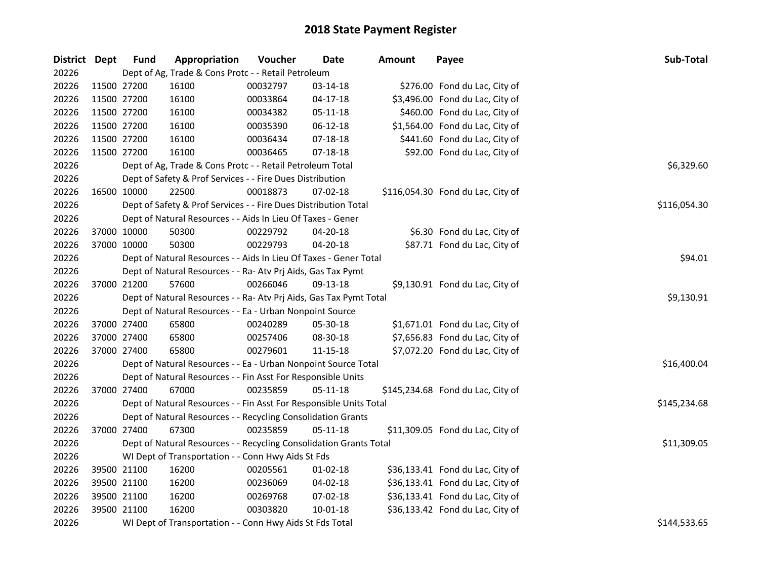| District Dept |             | <b>Fund</b> | Appropriation                                                      | Voucher  | <b>Date</b>    | <b>Amount</b> | Payee                             | Sub-Total    |
|---------------|-------------|-------------|--------------------------------------------------------------------|----------|----------------|---------------|-----------------------------------|--------------|
| 20226         |             |             | Dept of Ag, Trade & Cons Protc - - Retail Petroleum                |          |                |               |                                   |              |
| 20226         | 11500 27200 |             | 16100                                                              | 00032797 | 03-14-18       |               | \$276.00 Fond du Lac, City of     |              |
| 20226         | 11500 27200 |             | 16100                                                              | 00033864 | $04 - 17 - 18$ |               | \$3,496.00 Fond du Lac, City of   |              |
| 20226         | 11500 27200 |             | 16100                                                              | 00034382 | 05-11-18       |               | \$460.00 Fond du Lac, City of     |              |
| 20226         | 11500 27200 |             | 16100                                                              | 00035390 | 06-12-18       |               | \$1,564.00 Fond du Lac, City of   |              |
| 20226         | 11500 27200 |             | 16100                                                              | 00036434 | $07 - 18 - 18$ |               | \$441.60 Fond du Lac, City of     |              |
| 20226         | 11500 27200 |             | 16100                                                              | 00036465 | $07 - 18 - 18$ |               | \$92.00 Fond du Lac, City of      |              |
| 20226         |             |             | Dept of Ag, Trade & Cons Protc - - Retail Petroleum Total          |          |                |               |                                   | \$6,329.60   |
| 20226         |             |             | Dept of Safety & Prof Services - - Fire Dues Distribution          |          |                |               |                                   |              |
| 20226         | 16500 10000 |             | 22500                                                              | 00018873 | 07-02-18       |               | \$116,054.30 Fond du Lac, City of |              |
| 20226         |             |             | Dept of Safety & Prof Services - - Fire Dues Distribution Total    |          |                |               |                                   | \$116,054.30 |
| 20226         |             |             | Dept of Natural Resources - - Aids In Lieu Of Taxes - Gener        |          |                |               |                                   |              |
| 20226         | 37000 10000 |             | 50300                                                              | 00229792 | 04-20-18       |               | \$6.30 Fond du Lac, City of       |              |
| 20226         |             | 37000 10000 | 50300                                                              | 00229793 | 04-20-18       |               | \$87.71 Fond du Lac, City of      |              |
| 20226         |             |             | Dept of Natural Resources - - Aids In Lieu Of Taxes - Gener Total  |          |                |               |                                   | \$94.01      |
| 20226         |             |             | Dept of Natural Resources - - Ra- Atv Prj Aids, Gas Tax Pymt       |          |                |               |                                   |              |
| 20226         | 37000 21200 |             | 57600                                                              | 00266046 | 09-13-18       |               | \$9,130.91 Fond du Lac, City of   |              |
| 20226         |             |             | Dept of Natural Resources - - Ra- Atv Prj Aids, Gas Tax Pymt Total |          |                |               |                                   | \$9,130.91   |
| 20226         |             |             | Dept of Natural Resources - - Ea - Urban Nonpoint Source           |          |                |               |                                   |              |
| 20226         | 37000 27400 |             | 65800                                                              | 00240289 | 05-30-18       |               | \$1,671.01 Fond du Lac, City of   |              |
| 20226         | 37000 27400 |             | 65800                                                              | 00257406 | 08-30-18       |               | \$7,656.83 Fond du Lac, City of   |              |
| 20226         | 37000 27400 |             | 65800                                                              | 00279601 | 11-15-18       |               | \$7,072.20 Fond du Lac, City of   |              |
| 20226         |             |             | Dept of Natural Resources - - Ea - Urban Nonpoint Source Total     |          |                |               |                                   | \$16,400.04  |
| 20226         |             |             | Dept of Natural Resources - - Fin Asst For Responsible Units       |          |                |               |                                   |              |
| 20226         | 37000 27400 |             | 67000                                                              | 00235859 | $05-11-18$     |               | \$145,234.68 Fond du Lac, City of |              |
| 20226         |             |             | Dept of Natural Resources - - Fin Asst For Responsible Units Total |          |                |               |                                   | \$145,234.68 |
| 20226         |             |             | Dept of Natural Resources - - Recycling Consolidation Grants       |          |                |               |                                   |              |
| 20226         | 37000 27400 |             | 67300                                                              | 00235859 | 05-11-18       |               | \$11,309.05 Fond du Lac, City of  |              |
| 20226         |             |             | Dept of Natural Resources - - Recycling Consolidation Grants Total |          |                |               |                                   | \$11,309.05  |
| 20226         |             |             | WI Dept of Transportation - - Conn Hwy Aids St Fds                 |          |                |               |                                   |              |
| 20226         |             | 39500 21100 | 16200                                                              | 00205561 | 01-02-18       |               | \$36,133.41 Fond du Lac, City of  |              |
| 20226         | 39500 21100 |             | 16200                                                              | 00236069 | 04-02-18       |               | \$36,133.41 Fond du Lac, City of  |              |
| 20226         | 39500 21100 |             | 16200                                                              | 00269768 | $07 - 02 - 18$ |               | \$36,133.41 Fond du Lac, City of  |              |
| 20226         | 39500 21100 |             | 16200                                                              | 00303820 | 10-01-18       |               | \$36,133.42 Fond du Lac, City of  |              |
| 20226         |             |             | WI Dept of Transportation - - Conn Hwy Aids St Fds Total           |          |                |               |                                   | \$144,533.65 |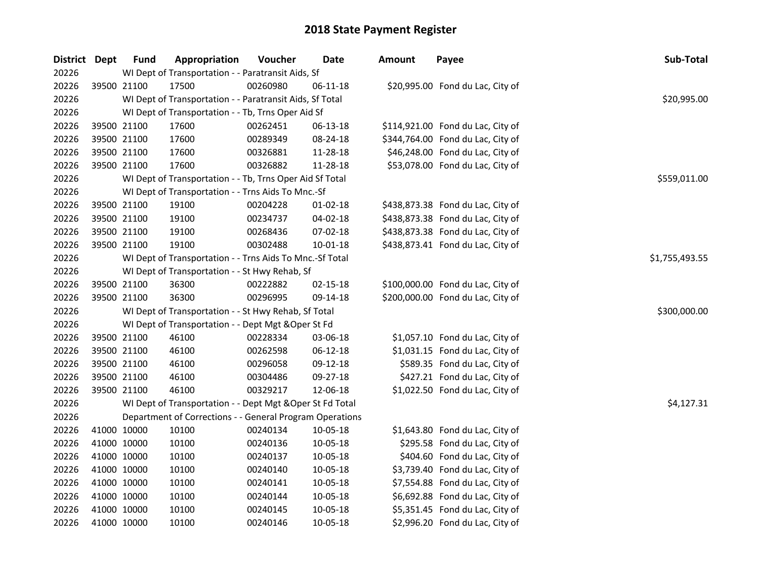| District Dept |             | <b>Fund</b> | Appropriation                                             | Voucher  | Date           | Amount | Payee                             | Sub-Total      |
|---------------|-------------|-------------|-----------------------------------------------------------|----------|----------------|--------|-----------------------------------|----------------|
| 20226         |             |             | WI Dept of Transportation - - Paratransit Aids, Sf        |          |                |        |                                   |                |
| 20226         | 39500 21100 |             | 17500                                                     | 00260980 | 06-11-18       |        | \$20,995.00 Fond du Lac, City of  |                |
| 20226         |             |             | WI Dept of Transportation - - Paratransit Aids, Sf Total  |          |                |        |                                   | \$20,995.00    |
| 20226         |             |             | WI Dept of Transportation - - Tb, Trns Oper Aid Sf        |          |                |        |                                   |                |
| 20226         |             | 39500 21100 | 17600                                                     | 00262451 | 06-13-18       |        | \$114,921.00 Fond du Lac, City of |                |
| 20226         |             | 39500 21100 | 17600                                                     | 00289349 | 08-24-18       |        | \$344,764.00 Fond du Lac, City of |                |
| 20226         | 39500 21100 |             | 17600                                                     | 00326881 | 11-28-18       |        | \$46,248.00 Fond du Lac, City of  |                |
| 20226         | 39500 21100 |             | 17600                                                     | 00326882 | 11-28-18       |        | \$53,078.00 Fond du Lac, City of  |                |
| 20226         |             |             | WI Dept of Transportation - - Tb, Trns Oper Aid Sf Total  |          |                |        |                                   | \$559,011.00   |
| 20226         |             |             | WI Dept of Transportation - - Trns Aids To Mnc.-Sf        |          |                |        |                                   |                |
| 20226         |             | 39500 21100 | 19100                                                     | 00204228 | $01 - 02 - 18$ |        | \$438,873.38 Fond du Lac, City of |                |
| 20226         | 39500 21100 |             | 19100                                                     | 00234737 | 04-02-18       |        | \$438,873.38 Fond du Lac, City of |                |
| 20226         | 39500 21100 |             | 19100                                                     | 00268436 | 07-02-18       |        | \$438,873.38 Fond du Lac, City of |                |
| 20226         | 39500 21100 |             | 19100                                                     | 00302488 | 10-01-18       |        | \$438,873.41 Fond du Lac, City of |                |
| 20226         |             |             | WI Dept of Transportation - - Trns Aids To Mnc.-Sf Total  |          |                |        |                                   | \$1,755,493.55 |
| 20226         |             |             | WI Dept of Transportation - - St Hwy Rehab, Sf            |          |                |        |                                   |                |
| 20226         | 39500 21100 |             | 36300                                                     | 00222882 | $02 - 15 - 18$ |        | \$100,000.00 Fond du Lac, City of |                |
| 20226         | 39500 21100 |             | 36300                                                     | 00296995 | 09-14-18       |        | \$200,000.00 Fond du Lac, City of |                |
| 20226         |             |             | WI Dept of Transportation - - St Hwy Rehab, Sf Total      |          |                |        |                                   | \$300,000.00   |
| 20226         |             |             | WI Dept of Transportation - - Dept Mgt & Oper St Fd       |          |                |        |                                   |                |
| 20226         | 39500 21100 |             | 46100                                                     | 00228334 | 03-06-18       |        | \$1,057.10 Fond du Lac, City of   |                |
| 20226         |             | 39500 21100 | 46100                                                     | 00262598 | $06 - 12 - 18$ |        | \$1,031.15 Fond du Lac, City of   |                |
| 20226         | 39500 21100 |             | 46100                                                     | 00296058 | 09-12-18       |        | \$589.35 Fond du Lac, City of     |                |
| 20226         | 39500 21100 |             | 46100                                                     | 00304486 | 09-27-18       |        | \$427.21 Fond du Lac, City of     |                |
| 20226         | 39500 21100 |             | 46100                                                     | 00329217 | 12-06-18       |        | \$1,022.50 Fond du Lac, City of   |                |
| 20226         |             |             | WI Dept of Transportation - - Dept Mgt & Oper St Fd Total |          |                |        |                                   | \$4,127.31     |
| 20226         |             |             | Department of Corrections - - General Program Operations  |          |                |        |                                   |                |
| 20226         | 41000 10000 |             | 10100                                                     | 00240134 | 10-05-18       |        | \$1,643.80 Fond du Lac, City of   |                |
| 20226         | 41000 10000 |             | 10100                                                     | 00240136 | 10-05-18       |        | \$295.58 Fond du Lac, City of     |                |
| 20226         | 41000 10000 |             | 10100                                                     | 00240137 | 10-05-18       |        | \$404.60 Fond du Lac, City of     |                |
| 20226         | 41000 10000 |             | 10100                                                     | 00240140 | 10-05-18       |        | \$3,739.40 Fond du Lac, City of   |                |
| 20226         | 41000 10000 |             | 10100                                                     | 00240141 | 10-05-18       |        | \$7,554.88 Fond du Lac, City of   |                |
| 20226         | 41000 10000 |             | 10100                                                     | 00240144 | 10-05-18       |        | \$6,692.88 Fond du Lac, City of   |                |
| 20226         | 41000 10000 |             | 10100                                                     | 00240145 | 10-05-18       |        | \$5,351.45 Fond du Lac, City of   |                |
| 20226         | 41000 10000 |             | 10100                                                     | 00240146 | 10-05-18       |        | \$2,996.20 Fond du Lac, City of   |                |
|               |             |             |                                                           |          |                |        |                                   |                |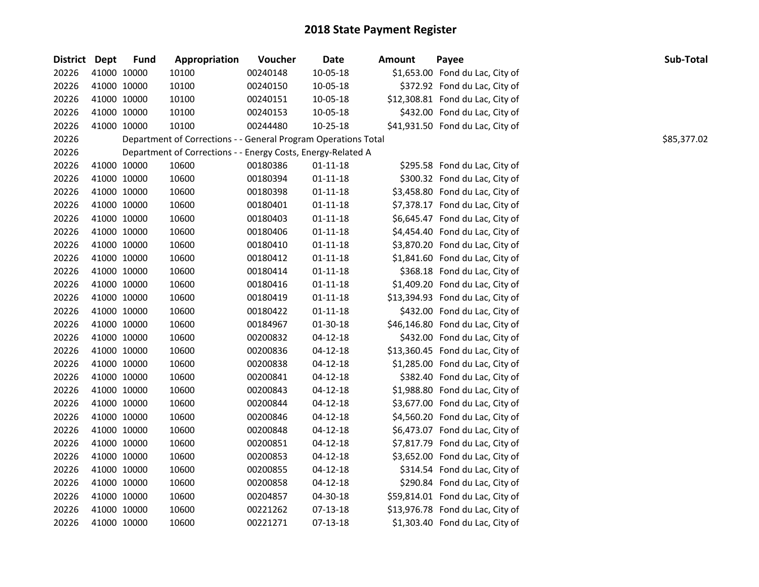| District Dept |             | <b>Fund</b> | Appropriation                                                  | Voucher  | <b>Date</b>    | <b>Amount</b> | Payee                            | Sub-Total   |
|---------------|-------------|-------------|----------------------------------------------------------------|----------|----------------|---------------|----------------------------------|-------------|
| 20226         | 41000 10000 |             | 10100                                                          | 00240148 | 10-05-18       |               | \$1,653.00 Fond du Lac, City of  |             |
| 20226         | 41000 10000 |             | 10100                                                          | 00240150 | 10-05-18       |               | \$372.92 Fond du Lac, City of    |             |
| 20226         | 41000 10000 |             | 10100                                                          | 00240151 | 10-05-18       |               | \$12,308.81 Fond du Lac, City of |             |
| 20226         | 41000 10000 |             | 10100                                                          | 00240153 | 10-05-18       |               | \$432.00 Fond du Lac, City of    |             |
| 20226         | 41000 10000 |             | 10100                                                          | 00244480 | $10 - 25 - 18$ |               | \$41,931.50 Fond du Lac, City of |             |
| 20226         |             |             | Department of Corrections - - General Program Operations Total |          |                |               |                                  | \$85,377.02 |
| 20226         |             |             | Department of Corrections - - Energy Costs, Energy-Related A   |          |                |               |                                  |             |
| 20226         | 41000 10000 |             | 10600                                                          | 00180386 | $01 - 11 - 18$ |               | \$295.58 Fond du Lac, City of    |             |
| 20226         | 41000 10000 |             | 10600                                                          | 00180394 | $01 - 11 - 18$ |               | \$300.32 Fond du Lac, City of    |             |
| 20226         | 41000 10000 |             | 10600                                                          | 00180398 | 01-11-18       |               | \$3,458.80 Fond du Lac, City of  |             |
| 20226         | 41000 10000 |             | 10600                                                          | 00180401 | $01 - 11 - 18$ |               | \$7,378.17 Fond du Lac, City of  |             |
| 20226         | 41000 10000 |             | 10600                                                          | 00180403 | $01 - 11 - 18$ |               | \$6,645.47 Fond du Lac, City of  |             |
| 20226         | 41000 10000 |             | 10600                                                          | 00180406 | $01 - 11 - 18$ |               | \$4,454.40 Fond du Lac, City of  |             |
| 20226         | 41000 10000 |             | 10600                                                          | 00180410 | $01 - 11 - 18$ |               | \$3,870.20 Fond du Lac, City of  |             |
| 20226         | 41000 10000 |             | 10600                                                          | 00180412 | $01 - 11 - 18$ |               | \$1,841.60 Fond du Lac, City of  |             |
| 20226         | 41000 10000 |             | 10600                                                          | 00180414 | $01 - 11 - 18$ |               | \$368.18 Fond du Lac, City of    |             |
| 20226         | 41000 10000 |             | 10600                                                          | 00180416 | $01 - 11 - 18$ |               | \$1,409.20 Fond du Lac, City of  |             |
| 20226         | 41000 10000 |             | 10600                                                          | 00180419 | $01 - 11 - 18$ |               | \$13,394.93 Fond du Lac, City of |             |
| 20226         | 41000 10000 |             | 10600                                                          | 00180422 | $01 - 11 - 18$ |               | \$432.00 Fond du Lac, City of    |             |
| 20226         | 41000 10000 |             | 10600                                                          | 00184967 | 01-30-18       |               | \$46,146.80 Fond du Lac, City of |             |
| 20226         | 41000 10000 |             | 10600                                                          | 00200832 | $04-12-18$     |               | \$432.00 Fond du Lac, City of    |             |
| 20226         | 41000 10000 |             | 10600                                                          | 00200836 | $04-12-18$     |               | \$13,360.45 Fond du Lac, City of |             |
| 20226         | 41000 10000 |             | 10600                                                          | 00200838 | $04-12-18$     |               | \$1,285.00 Fond du Lac, City of  |             |
| 20226         | 41000 10000 |             | 10600                                                          | 00200841 | $04-12-18$     |               | \$382.40 Fond du Lac, City of    |             |
| 20226         | 41000 10000 |             | 10600                                                          | 00200843 | $04-12-18$     |               | \$1,988.80 Fond du Lac, City of  |             |
| 20226         | 41000 10000 |             | 10600                                                          | 00200844 | $04-12-18$     |               | \$3,677.00 Fond du Lac, City of  |             |
| 20226         | 41000 10000 |             | 10600                                                          | 00200846 | $04 - 12 - 18$ |               | \$4,560.20 Fond du Lac, City of  |             |
| 20226         | 41000 10000 |             | 10600                                                          | 00200848 | $04-12-18$     |               | \$6,473.07 Fond du Lac, City of  |             |
| 20226         | 41000 10000 |             | 10600                                                          | 00200851 | $04 - 12 - 18$ |               | \$7,817.79 Fond du Lac, City of  |             |
| 20226         | 41000 10000 |             | 10600                                                          | 00200853 | $04-12-18$     |               | \$3,652.00 Fond du Lac, City of  |             |
| 20226         | 41000 10000 |             | 10600                                                          | 00200855 | 04-12-18       |               | \$314.54 Fond du Lac, City of    |             |
| 20226         | 41000 10000 |             | 10600                                                          | 00200858 | $04-12-18$     |               | \$290.84 Fond du Lac, City of    |             |
| 20226         | 41000 10000 |             | 10600                                                          | 00204857 | 04-30-18       |               | \$59,814.01 Fond du Lac, City of |             |
| 20226         | 41000 10000 |             | 10600                                                          | 00221262 | 07-13-18       |               | \$13,976.78 Fond du Lac, City of |             |
| 20226         | 41000 10000 |             | 10600                                                          | 00221271 | 07-13-18       |               | \$1,303.40 Fond du Lac, City of  |             |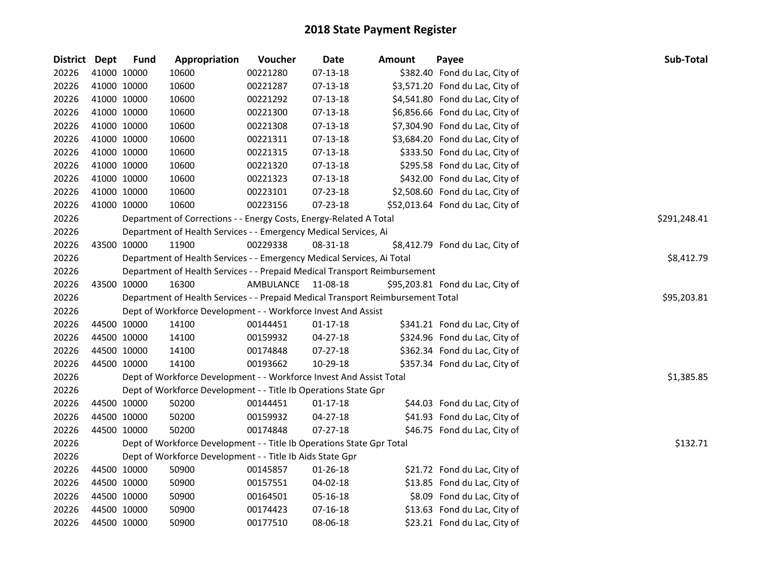| District Dept |             | <b>Fund</b> | Appropriation                                                                   | Voucher   | <b>Date</b>    | <b>Amount</b> | Payee                            | Sub-Total    |
|---------------|-------------|-------------|---------------------------------------------------------------------------------|-----------|----------------|---------------|----------------------------------|--------------|
| 20226         |             | 41000 10000 | 10600                                                                           | 00221280  | $07-13-18$     |               | \$382.40 Fond du Lac, City of    |              |
| 20226         |             | 41000 10000 | 10600                                                                           | 00221287  | $07-13-18$     |               | \$3,571.20 Fond du Lac, City of  |              |
| 20226         |             | 41000 10000 | 10600                                                                           | 00221292  | 07-13-18       |               | \$4,541.80 Fond du Lac, City of  |              |
| 20226         |             | 41000 10000 | 10600                                                                           | 00221300  | 07-13-18       |               | \$6,856.66 Fond du Lac, City of  |              |
| 20226         |             | 41000 10000 | 10600                                                                           | 00221308  | 07-13-18       |               | \$7,304.90 Fond du Lac, City of  |              |
| 20226         |             | 41000 10000 | 10600                                                                           | 00221311  | 07-13-18       |               | \$3,684.20 Fond du Lac, City of  |              |
| 20226         |             | 41000 10000 | 10600                                                                           | 00221315  | 07-13-18       |               | \$333.50 Fond du Lac, City of    |              |
| 20226         |             | 41000 10000 | 10600                                                                           | 00221320  | $07-13-18$     |               | \$295.58 Fond du Lac, City of    |              |
| 20226         |             | 41000 10000 | 10600                                                                           | 00221323  | 07-13-18       |               | \$432.00 Fond du Lac, City of    |              |
| 20226         |             | 41000 10000 | 10600                                                                           | 00223101  | 07-23-18       |               | \$2,508.60 Fond du Lac, City of  |              |
| 20226         |             | 41000 10000 | 10600                                                                           | 00223156  | 07-23-18       |               | \$52,013.64 Fond du Lac, City of |              |
| 20226         |             |             | Department of Corrections - - Energy Costs, Energy-Related A Total              |           |                |               |                                  | \$291,248.41 |
| 20226         |             |             | Department of Health Services - - Emergency Medical Services, Ai                |           |                |               |                                  |              |
| 20226         |             | 43500 10000 | 11900                                                                           | 00229338  | 08-31-18       |               | \$8,412.79 Fond du Lac, City of  |              |
| 20226         |             |             | Department of Health Services - - Emergency Medical Services, Ai Total          |           |                |               |                                  | \$8,412.79   |
| 20226         |             |             | Department of Health Services - - Prepaid Medical Transport Reimbursement       |           |                |               |                                  |              |
| 20226         |             | 43500 10000 | 16300                                                                           | AMBULANCE | 11-08-18       |               | \$95,203.81 Fond du Lac, City of |              |
| 20226         |             |             | Department of Health Services - - Prepaid Medical Transport Reimbursement Total |           |                |               |                                  | \$95,203.81  |
| 20226         |             |             | Dept of Workforce Development - - Workforce Invest And Assist                   |           |                |               |                                  |              |
| 20226         |             | 44500 10000 | 14100                                                                           | 00144451  | $01 - 17 - 18$ |               | \$341.21 Fond du Lac, City of    |              |
| 20226         |             | 44500 10000 | 14100                                                                           | 00159932  | $04 - 27 - 18$ |               | \$324.96 Fond du Lac, City of    |              |
| 20226         |             | 44500 10000 | 14100                                                                           | 00174848  | $07 - 27 - 18$ |               | \$362.34 Fond du Lac, City of    |              |
| 20226         |             | 44500 10000 | 14100                                                                           | 00193662  | 10-29-18       |               | \$357.34 Fond du Lac, City of    |              |
| 20226         |             |             | Dept of Workforce Development - - Workforce Invest And Assist Total             |           |                |               |                                  | \$1,385.85   |
| 20226         |             |             | Dept of Workforce Development - - Title Ib Operations State Gpr                 |           |                |               |                                  |              |
| 20226         |             | 44500 10000 | 50200                                                                           | 00144451  | $01-17-18$     |               | \$44.03 Fond du Lac, City of     |              |
| 20226         |             | 44500 10000 | 50200                                                                           | 00159932  | 04-27-18       |               | \$41.93 Fond du Lac, City of     |              |
| 20226         | 44500 10000 |             | 50200                                                                           | 00174848  | $07 - 27 - 18$ |               | \$46.75 Fond du Lac, City of     |              |
| 20226         |             |             | Dept of Workforce Development - - Title Ib Operations State Gpr Total           |           |                |               |                                  | \$132.71     |
| 20226         |             |             | Dept of Workforce Development - - Title Ib Aids State Gpr                       |           |                |               |                                  |              |
| 20226         |             | 44500 10000 | 50900                                                                           | 00145857  | 01-26-18       |               | \$21.72 Fond du Lac, City of     |              |
| 20226         |             | 44500 10000 | 50900                                                                           | 00157551  | 04-02-18       |               | \$13.85 Fond du Lac, City of     |              |
| 20226         |             | 44500 10000 | 50900                                                                           | 00164501  | 05-16-18       |               | \$8.09 Fond du Lac, City of      |              |
| 20226         |             | 44500 10000 | 50900                                                                           | 00174423  | $07 - 16 - 18$ |               | \$13.63 Fond du Lac, City of     |              |
| 20226         |             | 44500 10000 | 50900                                                                           | 00177510  | 08-06-18       |               | \$23.21 Fond du Lac, City of     |              |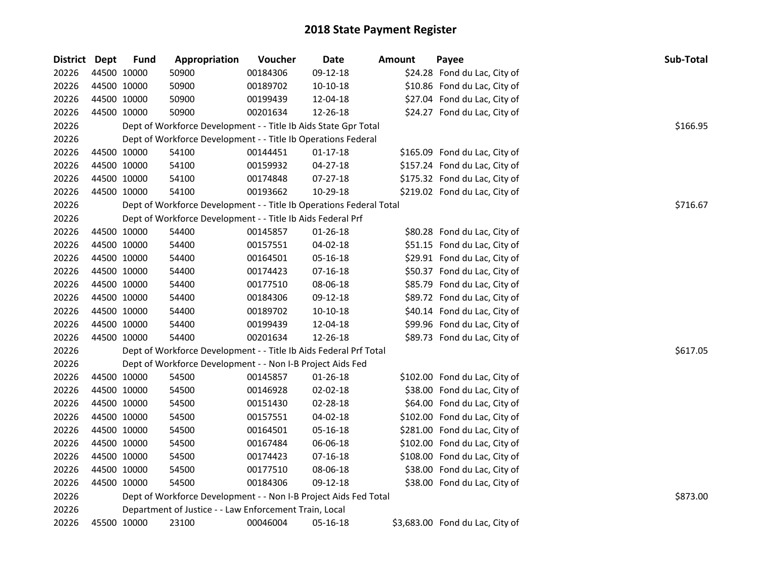| District Dept | <b>Fund</b> | Appropriation                                                       | Voucher  | Date           | <b>Amount</b> | Payee                           | Sub-Total |
|---------------|-------------|---------------------------------------------------------------------|----------|----------------|---------------|---------------------------------|-----------|
| 20226         | 44500 10000 | 50900                                                               | 00184306 | 09-12-18       |               | \$24.28 Fond du Lac, City of    |           |
| 20226         | 44500 10000 | 50900                                                               | 00189702 | 10-10-18       |               | \$10.86 Fond du Lac, City of    |           |
| 20226         | 44500 10000 | 50900                                                               | 00199439 | 12-04-18       |               | \$27.04 Fond du Lac, City of    |           |
| 20226         | 44500 10000 | 50900                                                               | 00201634 | 12-26-18       |               | \$24.27 Fond du Lac, City of    |           |
| 20226         |             | Dept of Workforce Development - - Title Ib Aids State Gpr Total     |          |                |               |                                 | \$166.95  |
| 20226         |             | Dept of Workforce Development - - Title Ib Operations Federal       |          |                |               |                                 |           |
| 20226         | 44500 10000 | 54100                                                               | 00144451 | $01-17-18$     |               | \$165.09 Fond du Lac, City of   |           |
| 20226         | 44500 10000 | 54100                                                               | 00159932 | 04-27-18       |               | \$157.24 Fond du Lac, City of   |           |
| 20226         | 44500 10000 | 54100                                                               | 00174848 | 07-27-18       |               | \$175.32 Fond du Lac, City of   |           |
| 20226         | 44500 10000 | 54100                                                               | 00193662 | 10-29-18       |               | \$219.02 Fond du Lac, City of   |           |
| 20226         |             | Dept of Workforce Development - - Title Ib Operations Federal Total |          |                |               |                                 | \$716.67  |
| 20226         |             | Dept of Workforce Development - - Title Ib Aids Federal Prf         |          |                |               |                                 |           |
| 20226         | 44500 10000 | 54400                                                               | 00145857 | 01-26-18       |               | \$80.28 Fond du Lac, City of    |           |
| 20226         | 44500 10000 | 54400                                                               | 00157551 | 04-02-18       |               | \$51.15 Fond du Lac, City of    |           |
| 20226         | 44500 10000 | 54400                                                               | 00164501 | 05-16-18       |               | \$29.91 Fond du Lac, City of    |           |
| 20226         | 44500 10000 | 54400                                                               | 00174423 | 07-16-18       |               | \$50.37 Fond du Lac, City of    |           |
| 20226         | 44500 10000 | 54400                                                               | 00177510 | 08-06-18       |               | \$85.79 Fond du Lac, City of    |           |
| 20226         | 44500 10000 | 54400                                                               | 00184306 | 09-12-18       |               | \$89.72 Fond du Lac, City of    |           |
| 20226         | 44500 10000 | 54400                                                               | 00189702 | $10-10-18$     |               | \$40.14 Fond du Lac, City of    |           |
| 20226         | 44500 10000 | 54400                                                               | 00199439 | 12-04-18       |               | \$99.96 Fond du Lac, City of    |           |
| 20226         | 44500 10000 | 54400                                                               | 00201634 | 12-26-18       |               | \$89.73 Fond du Lac, City of    |           |
| 20226         |             | Dept of Workforce Development - - Title Ib Aids Federal Prf Total   |          |                |               |                                 | \$617.05  |
| 20226         |             | Dept of Workforce Development - - Non I-B Project Aids Fed          |          |                |               |                                 |           |
| 20226         | 44500 10000 | 54500                                                               | 00145857 | $01 - 26 - 18$ |               | \$102.00 Fond du Lac, City of   |           |
| 20226         | 44500 10000 | 54500                                                               | 00146928 | 02-02-18       |               | \$38.00 Fond du Lac, City of    |           |
| 20226         | 44500 10000 | 54500                                                               | 00151430 | 02-28-18       |               | \$64.00 Fond du Lac, City of    |           |
| 20226         | 44500 10000 | 54500                                                               | 00157551 | 04-02-18       |               | \$102.00 Fond du Lac, City of   |           |
| 20226         | 44500 10000 | 54500                                                               | 00164501 | 05-16-18       |               | \$281.00 Fond du Lac, City of   |           |
| 20226         | 44500 10000 | 54500                                                               | 00167484 | 06-06-18       |               | \$102.00 Fond du Lac, City of   |           |
| 20226         | 44500 10000 | 54500                                                               | 00174423 | 07-16-18       |               | \$108.00 Fond du Lac, City of   |           |
| 20226         | 44500 10000 | 54500                                                               | 00177510 | 08-06-18       |               | \$38.00 Fond du Lac, City of    |           |
| 20226         | 44500 10000 | 54500                                                               | 00184306 | 09-12-18       |               | \$38.00 Fond du Lac, City of    |           |
| 20226         |             | Dept of Workforce Development - - Non I-B Project Aids Fed Total    |          |                |               |                                 | \$873.00  |
| 20226         |             | Department of Justice - - Law Enforcement Train, Local              |          |                |               |                                 |           |
| 20226         | 45500 10000 | 23100                                                               | 00046004 | 05-16-18       |               | \$3,683.00 Fond du Lac, City of |           |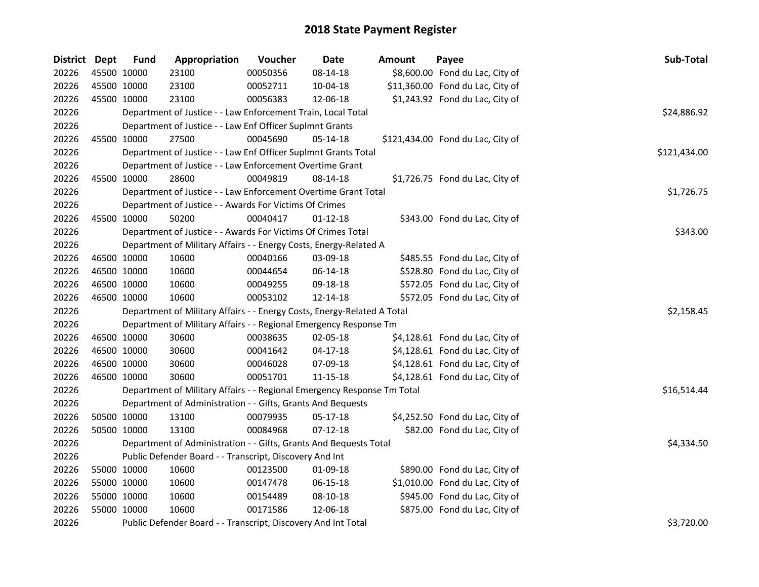| District Dept |             | <b>Fund</b> | Appropriation                                                           | Voucher  | <b>Date</b>    | <b>Amount</b> | Payee                             | Sub-Total    |
|---------------|-------------|-------------|-------------------------------------------------------------------------|----------|----------------|---------------|-----------------------------------|--------------|
| 20226         | 45500 10000 |             | 23100                                                                   | 00050356 | 08-14-18       |               | \$8,600.00 Fond du Lac, City of   |              |
| 20226         | 45500 10000 |             | 23100                                                                   | 00052711 | 10-04-18       |               | \$11,360.00 Fond du Lac, City of  |              |
| 20226         | 45500 10000 |             | 23100                                                                   | 00056383 | 12-06-18       |               | \$1,243.92 Fond du Lac, City of   |              |
| 20226         |             |             | Department of Justice - - Law Enforcement Train, Local Total            |          |                |               |                                   | \$24,886.92  |
| 20226         |             |             | Department of Justice - - Law Enf Officer Suplmnt Grants                |          |                |               |                                   |              |
| 20226         |             | 45500 10000 | 27500                                                                   | 00045690 | $05-14-18$     |               | \$121,434.00 Fond du Lac, City of |              |
| 20226         |             |             | Department of Justice - - Law Enf Officer Suplmnt Grants Total          |          |                |               |                                   | \$121,434.00 |
| 20226         |             |             | Department of Justice - - Law Enforcement Overtime Grant                |          |                |               |                                   |              |
| 20226         | 45500 10000 |             | 28600                                                                   | 00049819 | 08-14-18       |               | \$1,726.75 Fond du Lac, City of   |              |
| 20226         |             |             | Department of Justice - - Law Enforcement Overtime Grant Total          |          |                |               |                                   | \$1,726.75   |
| 20226         |             |             | Department of Justice - - Awards For Victims Of Crimes                  |          |                |               |                                   |              |
| 20226         | 45500 10000 |             | 50200                                                                   | 00040417 | $01 - 12 - 18$ |               | \$343.00 Fond du Lac, City of     |              |
| 20226         |             |             | Department of Justice - - Awards For Victims Of Crimes Total            |          |                |               |                                   | \$343.00     |
| 20226         |             |             | Department of Military Affairs - - Energy Costs, Energy-Related A       |          |                |               |                                   |              |
| 20226         | 46500 10000 |             | 10600                                                                   | 00040166 | 03-09-18       |               | \$485.55 Fond du Lac, City of     |              |
| 20226         | 46500 10000 |             | 10600                                                                   | 00044654 | 06-14-18       |               | \$528.80 Fond du Lac, City of     |              |
| 20226         | 46500 10000 |             | 10600                                                                   | 00049255 | 09-18-18       |               | \$572.05 Fond du Lac, City of     |              |
| 20226         | 46500 10000 |             | 10600                                                                   | 00053102 | 12-14-18       |               | \$572.05 Fond du Lac, City of     |              |
| 20226         |             |             | Department of Military Affairs - - Energy Costs, Energy-Related A Total |          |                |               |                                   | \$2,158.45   |
| 20226         |             |             | Department of Military Affairs - - Regional Emergency Response Tm       |          |                |               |                                   |              |
| 20226         | 46500 10000 |             | 30600                                                                   | 00038635 | 02-05-18       |               | \$4,128.61 Fond du Lac, City of   |              |
| 20226         | 46500 10000 |             | 30600                                                                   | 00041642 | 04-17-18       |               | \$4,128.61 Fond du Lac, City of   |              |
| 20226         | 46500 10000 |             | 30600                                                                   | 00046028 | 07-09-18       |               | \$4,128.61 Fond du Lac, City of   |              |
| 20226         | 46500 10000 |             | 30600                                                                   | 00051701 | 11-15-18       |               | \$4,128.61 Fond du Lac, City of   |              |
| 20226         |             |             | Department of Military Affairs - - Regional Emergency Response Tm Total |          |                |               |                                   | \$16,514.44  |
| 20226         |             |             | Department of Administration - - Gifts, Grants And Bequests             |          |                |               |                                   |              |
| 20226         | 50500 10000 |             | 13100                                                                   | 00079935 | 05-17-18       |               | \$4,252.50 Fond du Lac, City of   |              |
| 20226         | 50500 10000 |             | 13100                                                                   | 00084968 | $07-12-18$     |               | \$82.00 Fond du Lac, City of      |              |
| 20226         |             |             | Department of Administration - - Gifts, Grants And Bequests Total       |          |                |               |                                   | \$4,334.50   |
| 20226         |             |             | Public Defender Board - - Transcript, Discovery And Int                 |          |                |               |                                   |              |
| 20226         | 55000 10000 |             | 10600                                                                   | 00123500 | 01-09-18       |               | \$890.00 Fond du Lac, City of     |              |
| 20226         | 55000 10000 |             | 10600                                                                   | 00147478 | 06-15-18       |               | \$1,010.00 Fond du Lac, City of   |              |
| 20226         | 55000 10000 |             | 10600                                                                   | 00154489 | 08-10-18       |               | \$945.00 Fond du Lac, City of     |              |
| 20226         | 55000 10000 |             | 10600                                                                   | 00171586 | 12-06-18       |               | \$875.00 Fond du Lac, City of     |              |
| 20226         |             |             | Public Defender Board - - Transcript, Discovery And Int Total           |          |                |               |                                   | \$3,720.00   |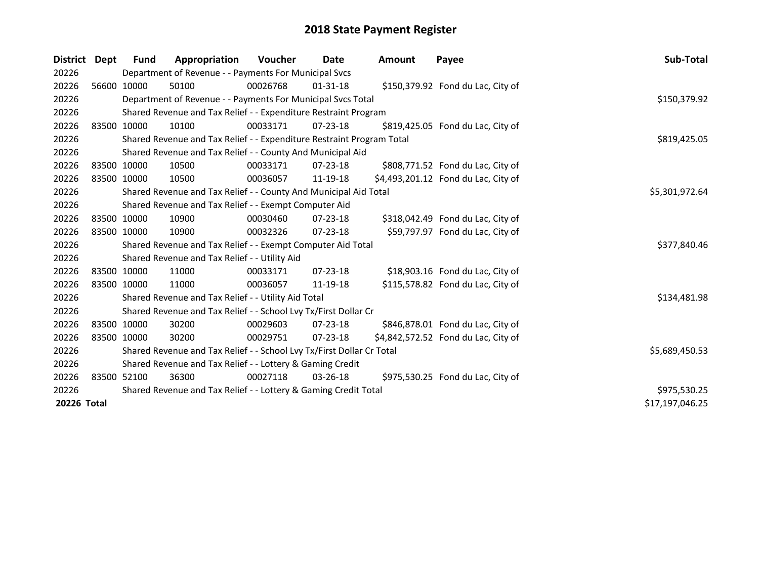| District Dept | Fund        | Appropriation                                                         | <b>Voucher</b> | Date           | <b>Amount</b> | Payee                               | Sub-Total       |
|---------------|-------------|-----------------------------------------------------------------------|----------------|----------------|---------------|-------------------------------------|-----------------|
| 20226         |             | Department of Revenue - - Payments For Municipal Svcs                 |                |                |               |                                     |                 |
| 20226         | 56600 10000 | 50100                                                                 | 00026768       | $01 - 31 - 18$ |               | \$150,379.92 Fond du Lac, City of   |                 |
| 20226         |             | Department of Revenue - - Payments For Municipal Svcs Total           |                |                |               |                                     | \$150,379.92    |
| 20226         |             | Shared Revenue and Tax Relief - - Expenditure Restraint Program       |                |                |               |                                     |                 |
| 20226         | 83500 10000 | 10100                                                                 | 00033171       | $07 - 23 - 18$ |               | \$819,425.05 Fond du Lac, City of   |                 |
| 20226         |             | Shared Revenue and Tax Relief - - Expenditure Restraint Program Total |                |                |               |                                     | \$819,425.05    |
| 20226         |             | Shared Revenue and Tax Relief - - County And Municipal Aid            |                |                |               |                                     |                 |
| 20226         | 83500 10000 | 10500                                                                 | 00033171       | $07 - 23 - 18$ |               | \$808,771.52 Fond du Lac, City of   |                 |
| 20226         | 83500 10000 | 10500                                                                 | 00036057       | 11-19-18       |               | \$4,493,201.12 Fond du Lac, City of |                 |
| 20226         |             | Shared Revenue and Tax Relief - - County And Municipal Aid Total      |                |                |               |                                     | \$5,301,972.64  |
| 20226         |             | Shared Revenue and Tax Relief - - Exempt Computer Aid                 |                |                |               |                                     |                 |
| 20226         | 83500 10000 | 10900                                                                 | 00030460       | $07 - 23 - 18$ |               | \$318,042.49 Fond du Lac, City of   |                 |
| 20226         | 83500 10000 | 10900                                                                 | 00032326       | $07 - 23 - 18$ |               | \$59,797.97 Fond du Lac, City of    |                 |
| 20226         |             | Shared Revenue and Tax Relief - - Exempt Computer Aid Total           |                |                |               |                                     | \$377,840.46    |
| 20226         |             | Shared Revenue and Tax Relief - - Utility Aid                         |                |                |               |                                     |                 |
| 20226         | 83500 10000 | 11000                                                                 | 00033171       | $07 - 23 - 18$ |               | \$18,903.16 Fond du Lac, City of    |                 |
| 20226         | 83500 10000 | 11000                                                                 | 00036057       | 11-19-18       |               | \$115,578.82 Fond du Lac, City of   |                 |
| 20226         |             | Shared Revenue and Tax Relief - - Utility Aid Total                   |                |                |               |                                     | \$134,481.98    |
| 20226         |             | Shared Revenue and Tax Relief - - School Lvy Tx/First Dollar Cr       |                |                |               |                                     |                 |
| 20226         | 83500 10000 | 30200                                                                 | 00029603       | $07 - 23 - 18$ |               | \$846,878.01 Fond du Lac, City of   |                 |
| 20226         | 83500 10000 | 30200                                                                 | 00029751       | $07 - 23 - 18$ |               | \$4,842,572.52 Fond du Lac, City of |                 |
| 20226         |             | Shared Revenue and Tax Relief - - School Lvy Tx/First Dollar Cr Total |                |                |               |                                     | \$5,689,450.53  |
| 20226         |             | Shared Revenue and Tax Relief - - Lottery & Gaming Credit             |                |                |               |                                     |                 |
| 20226         | 83500 52100 | 36300                                                                 | 00027118       | $03 - 26 - 18$ |               | \$975,530.25 Fond du Lac, City of   |                 |
| 20226         |             | Shared Revenue and Tax Relief - - Lottery & Gaming Credit Total       |                |                |               |                                     | \$975,530.25    |
| 20226 Total   |             |                                                                       |                |                |               |                                     | \$17,197,046.25 |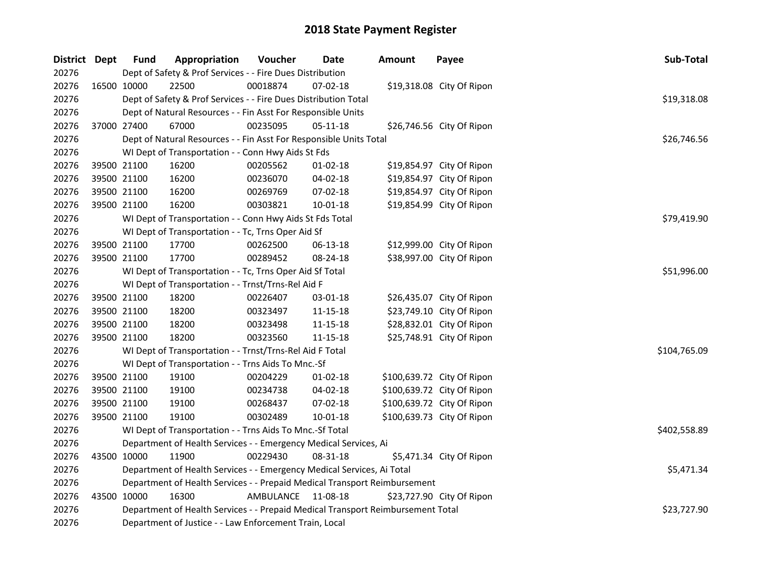| District Dept |             | <b>Fund</b>                                                               | Appropriation                                                                   | Voucher   | Date           | <b>Amount</b> | Payee                      | Sub-Total    |  |  |  |
|---------------|-------------|---------------------------------------------------------------------------|---------------------------------------------------------------------------------|-----------|----------------|---------------|----------------------------|--------------|--|--|--|
| 20276         |             | Dept of Safety & Prof Services - - Fire Dues Distribution                 |                                                                                 |           |                |               |                            |              |  |  |  |
| 20276         | 16500 10000 |                                                                           | 22500                                                                           | 00018874  | 07-02-18       |               | \$19,318.08 City Of Ripon  |              |  |  |  |
| 20276         |             |                                                                           | Dept of Safety & Prof Services - - Fire Dues Distribution Total                 |           |                |               |                            | \$19,318.08  |  |  |  |
| 20276         |             |                                                                           | Dept of Natural Resources - - Fin Asst For Responsible Units                    |           |                |               |                            |              |  |  |  |
| 20276         |             | 37000 27400                                                               | 67000                                                                           | 00235095  | $05 - 11 - 18$ |               | \$26,746.56 City Of Ripon  |              |  |  |  |
| 20276         |             |                                                                           | Dept of Natural Resources - - Fin Asst For Responsible Units Total              |           |                |               |                            | \$26,746.56  |  |  |  |
| 20276         |             |                                                                           | WI Dept of Transportation - - Conn Hwy Aids St Fds                              |           |                |               |                            |              |  |  |  |
| 20276         |             | 39500 21100                                                               | 16200                                                                           | 00205562  | $01-02-18$     |               | \$19,854.97 City Of Ripon  |              |  |  |  |
| 20276         |             | 39500 21100                                                               | 16200                                                                           | 00236070  | 04-02-18       |               | \$19,854.97 City Of Ripon  |              |  |  |  |
| 20276         |             | 39500 21100                                                               | 16200                                                                           | 00269769  | 07-02-18       |               | \$19,854.97 City Of Ripon  |              |  |  |  |
| 20276         |             | 39500 21100                                                               | 16200                                                                           | 00303821  | $10 - 01 - 18$ |               | \$19,854.99 City Of Ripon  |              |  |  |  |
| 20276         |             |                                                                           | WI Dept of Transportation - - Conn Hwy Aids St Fds Total                        |           |                |               |                            | \$79,419.90  |  |  |  |
| 20276         |             |                                                                           | WI Dept of Transportation - - Tc, Trns Oper Aid Sf                              |           |                |               |                            |              |  |  |  |
| 20276         |             | 39500 21100                                                               | 17700                                                                           | 00262500  | 06-13-18       |               | \$12,999.00 City Of Ripon  |              |  |  |  |
| 20276         |             | 39500 21100                                                               | 17700                                                                           | 00289452  | 08-24-18       |               | \$38,997.00 City Of Ripon  |              |  |  |  |
| 20276         |             |                                                                           | WI Dept of Transportation - - Tc, Trns Oper Aid Sf Total                        |           |                |               |                            | \$51,996.00  |  |  |  |
| 20276         |             |                                                                           | WI Dept of Transportation - - Trnst/Trns-Rel Aid F                              |           |                |               |                            |              |  |  |  |
| 20276         |             | 39500 21100                                                               | 18200                                                                           | 00226407  | 03-01-18       |               | \$26,435.07 City Of Ripon  |              |  |  |  |
| 20276         |             | 39500 21100                                                               | 18200                                                                           | 00323497  | 11-15-18       |               | \$23,749.10 City Of Ripon  |              |  |  |  |
| 20276         |             | 39500 21100                                                               | 18200                                                                           | 00323498  | 11-15-18       |               | \$28,832.01 City Of Ripon  |              |  |  |  |
| 20276         |             | 39500 21100                                                               | 18200                                                                           | 00323560  | $11 - 15 - 18$ |               | \$25,748.91 City Of Ripon  |              |  |  |  |
| 20276         |             |                                                                           | WI Dept of Transportation - - Trnst/Trns-Rel Aid F Total                        |           |                |               |                            | \$104,765.09 |  |  |  |
| 20276         |             |                                                                           | WI Dept of Transportation - - Trns Aids To Mnc.-Sf                              |           |                |               |                            |              |  |  |  |
| 20276         |             | 39500 21100                                                               | 19100                                                                           | 00204229  | $01-02-18$     |               | \$100,639.72 City Of Ripon |              |  |  |  |
| 20276         |             | 39500 21100                                                               | 19100                                                                           | 00234738  | 04-02-18       |               | \$100,639.72 City Of Ripon |              |  |  |  |
| 20276         |             | 39500 21100                                                               | 19100                                                                           | 00268437  | 07-02-18       |               | \$100,639.72 City Of Ripon |              |  |  |  |
| 20276         |             | 39500 21100                                                               | 19100                                                                           | 00302489  | $10 - 01 - 18$ |               | \$100,639.73 City Of Ripon |              |  |  |  |
| 20276         |             |                                                                           | WI Dept of Transportation - - Trns Aids To Mnc.-Sf Total                        |           |                |               |                            | \$402,558.89 |  |  |  |
| 20276         |             | Department of Health Services - - Emergency Medical Services, Ai          |                                                                                 |           |                |               |                            |              |  |  |  |
| 20276         |             | 43500 10000                                                               | 11900                                                                           | 00229430  | 08-31-18       |               | \$5,471.34 City Of Ripon   |              |  |  |  |
| 20276         |             |                                                                           | Department of Health Services - - Emergency Medical Services, Ai Total          |           |                |               |                            | \$5,471.34   |  |  |  |
| 20276         |             | Department of Health Services - - Prepaid Medical Transport Reimbursement |                                                                                 |           |                |               |                            |              |  |  |  |
| 20276         |             | 43500 10000                                                               | 16300                                                                           | AMBULANCE | 11-08-18       |               | \$23,727.90 City Of Ripon  |              |  |  |  |
| 20276         |             |                                                                           | Department of Health Services - - Prepaid Medical Transport Reimbursement Total |           |                |               |                            | \$23,727.90  |  |  |  |
| 20276         |             |                                                                           | Department of Justice - - Law Enforcement Train, Local                          |           |                |               |                            |              |  |  |  |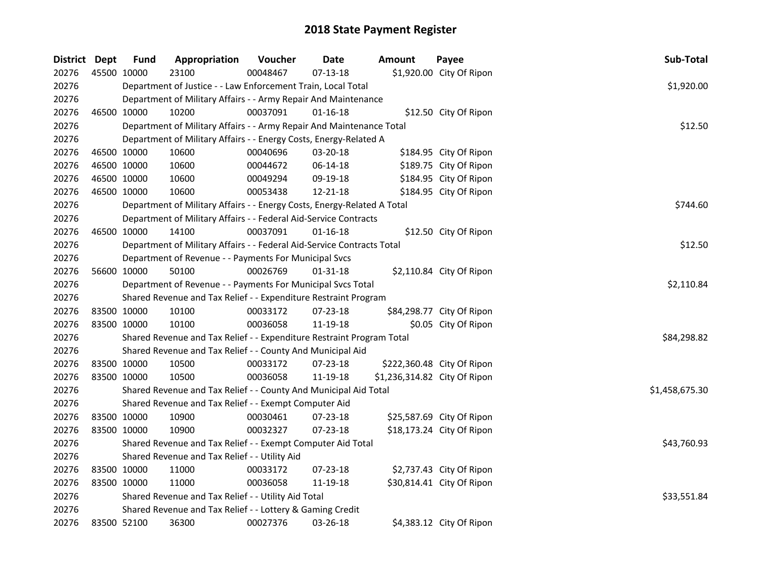| District Dept |             | <b>Fund</b> | Appropriation                                                              | Voucher  | <b>Date</b>    | <b>Amount</b>                | Payee                      | Sub-Total      |  |  |  |
|---------------|-------------|-------------|----------------------------------------------------------------------------|----------|----------------|------------------------------|----------------------------|----------------|--|--|--|
| 20276         | 45500 10000 |             | 23100                                                                      | 00048467 | $07 - 13 - 18$ |                              | \$1,920.00 City Of Ripon   |                |  |  |  |
| 20276         |             |             | Department of Justice - - Law Enforcement Train, Local Total<br>\$1,920.00 |          |                |                              |                            |                |  |  |  |
| 20276         |             |             | Department of Military Affairs - - Army Repair And Maintenance             |          |                |                              |                            |                |  |  |  |
| 20276         | 46500 10000 |             | 10200                                                                      | 00037091 | $01 - 16 - 18$ |                              | \$12.50 City Of Ripon      |                |  |  |  |
| 20276         |             |             | Department of Military Affairs - - Army Repair And Maintenance Total       |          |                |                              |                            | \$12.50        |  |  |  |
| 20276         |             |             | Department of Military Affairs - - Energy Costs, Energy-Related A          |          |                |                              |                            |                |  |  |  |
| 20276         |             | 46500 10000 | 10600                                                                      | 00040696 | 03-20-18       |                              | \$184.95 City Of Ripon     |                |  |  |  |
| 20276         |             | 46500 10000 | 10600                                                                      | 00044672 | 06-14-18       |                              | \$189.75 City Of Ripon     |                |  |  |  |
| 20276         |             | 46500 10000 | 10600                                                                      | 00049294 | 09-19-18       |                              | \$184.95 City Of Ripon     |                |  |  |  |
| 20276         |             | 46500 10000 | 10600                                                                      | 00053438 | 12-21-18       |                              | \$184.95 City Of Ripon     |                |  |  |  |
| 20276         |             |             | Department of Military Affairs - - Energy Costs, Energy-Related A Total    |          |                |                              |                            | \$744.60       |  |  |  |
| 20276         |             |             | Department of Military Affairs - - Federal Aid-Service Contracts           |          |                |                              |                            |                |  |  |  |
| 20276         |             | 46500 10000 | 14100                                                                      | 00037091 | $01 - 16 - 18$ |                              | \$12.50 City Of Ripon      |                |  |  |  |
| 20276         |             |             | Department of Military Affairs - - Federal Aid-Service Contracts Total     |          |                |                              |                            | \$12.50        |  |  |  |
| 20276         |             |             | Department of Revenue - - Payments For Municipal Svcs                      |          |                |                              |                            |                |  |  |  |
| 20276         |             | 56600 10000 | 50100                                                                      | 00026769 | $01 - 31 - 18$ |                              | \$2,110.84 City Of Ripon   |                |  |  |  |
| 20276         |             |             | Department of Revenue - - Payments For Municipal Svcs Total                |          |                |                              |                            | \$2,110.84     |  |  |  |
| 20276         |             |             | Shared Revenue and Tax Relief - - Expenditure Restraint Program            |          |                |                              |                            |                |  |  |  |
| 20276         |             | 83500 10000 | 10100                                                                      | 00033172 | 07-23-18       |                              | \$84,298.77 City Of Ripon  |                |  |  |  |
| 20276         |             | 83500 10000 | 10100                                                                      | 00036058 | 11-19-18       |                              | \$0.05 City Of Ripon       |                |  |  |  |
| 20276         |             |             | Shared Revenue and Tax Relief - - Expenditure Restraint Program Total      |          |                |                              |                            | \$84,298.82    |  |  |  |
| 20276         |             |             | Shared Revenue and Tax Relief - - County And Municipal Aid                 |          |                |                              |                            |                |  |  |  |
| 20276         |             | 83500 10000 | 10500                                                                      | 00033172 | 07-23-18       |                              | \$222,360.48 City Of Ripon |                |  |  |  |
| 20276         |             | 83500 10000 | 10500                                                                      | 00036058 | 11-19-18       | \$1,236,314.82 City Of Ripon |                            |                |  |  |  |
| 20276         |             |             | Shared Revenue and Tax Relief - - County And Municipal Aid Total           |          |                |                              |                            | \$1,458,675.30 |  |  |  |
| 20276         |             |             | Shared Revenue and Tax Relief - - Exempt Computer Aid                      |          |                |                              |                            |                |  |  |  |
| 20276         |             | 83500 10000 | 10900                                                                      | 00030461 | 07-23-18       |                              | \$25,587.69 City Of Ripon  |                |  |  |  |
| 20276         | 83500 10000 |             | 10900                                                                      | 00032327 | 07-23-18       |                              | \$18,173.24 City Of Ripon  |                |  |  |  |
| 20276         |             |             | Shared Revenue and Tax Relief - - Exempt Computer Aid Total                |          |                |                              |                            | \$43,760.93    |  |  |  |
| 20276         |             |             | Shared Revenue and Tax Relief - - Utility Aid                              |          |                |                              |                            |                |  |  |  |
| 20276         |             | 83500 10000 | 11000                                                                      | 00033172 | 07-23-18       |                              | \$2,737.43 City Of Ripon   |                |  |  |  |
| 20276         |             | 83500 10000 | 11000                                                                      | 00036058 | 11-19-18       |                              | \$30,814.41 City Of Ripon  |                |  |  |  |
| 20276         |             |             | Shared Revenue and Tax Relief - - Utility Aid Total                        |          |                |                              |                            | \$33,551.84    |  |  |  |
| 20276         |             |             | Shared Revenue and Tax Relief - - Lottery & Gaming Credit                  |          |                |                              |                            |                |  |  |  |
| 20276         | 83500 52100 |             | 36300                                                                      | 00027376 | 03-26-18       |                              | \$4,383.12 City Of Ripon   |                |  |  |  |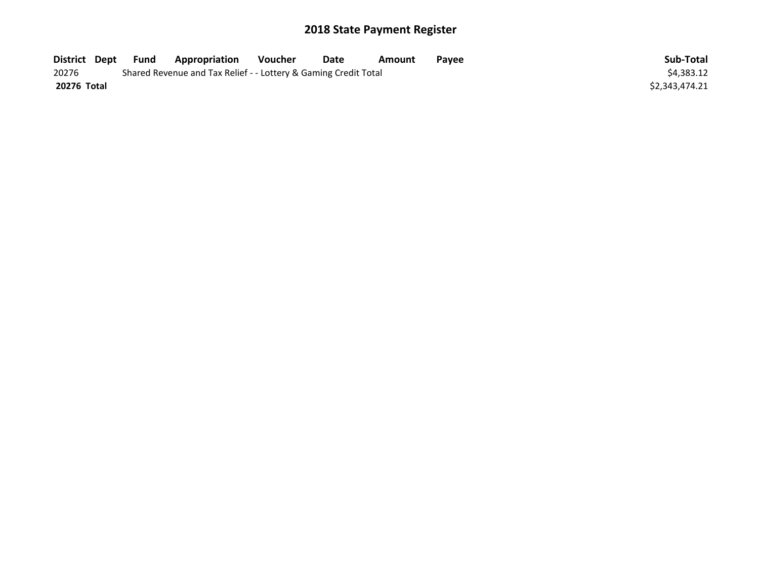| District Dept | Fund                                                            | <b>Appropriation</b> | Voucher | Date | Amount | Payee | Sub-Total      |
|---------------|-----------------------------------------------------------------|----------------------|---------|------|--------|-------|----------------|
| 20276         | Shared Revenue and Tax Relief - - Lottery & Gaming Credit Total | \$4,383.12           |         |      |        |       |                |
| 20276 Total   |                                                                 |                      |         |      |        |       | \$2,343,474.21 |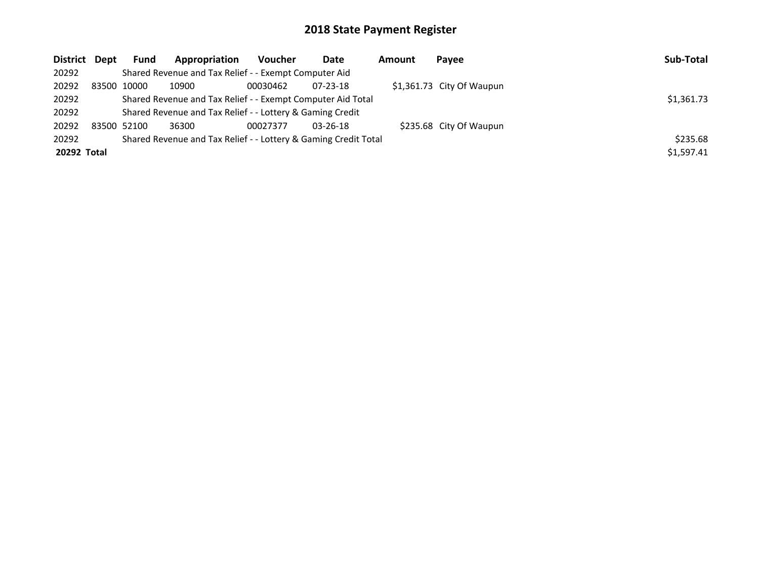| District Dept | <b>Fund</b> | Appropriation                                                             | <b>Voucher</b> | Date           | Amount | Payee                     | Sub-Total  |  |  |  |
|---------------|-------------|---------------------------------------------------------------------------|----------------|----------------|--------|---------------------------|------------|--|--|--|
| 20292         |             | Shared Revenue and Tax Relief - - Exempt Computer Aid                     |                |                |        |                           |            |  |  |  |
| 20292         | 83500 10000 | 10900                                                                     | 00030462       | $07 - 23 - 18$ |        | \$1,361.73 City Of Waupun |            |  |  |  |
| 20292         |             | \$1,361.73<br>Shared Revenue and Tax Relief - - Exempt Computer Aid Total |                |                |        |                           |            |  |  |  |
| 20292         |             | Shared Revenue and Tax Relief - - Lottery & Gaming Credit                 |                |                |        |                           |            |  |  |  |
| 20292         | 83500 52100 | 36300                                                                     | 00027377       | $03 - 26 - 18$ |        | \$235.68 City Of Waupun   |            |  |  |  |
| 20292         |             | Shared Revenue and Tax Relief - - Lottery & Gaming Credit Total           |                |                |        |                           | \$235.68   |  |  |  |
| 20292 Total   |             |                                                                           |                |                |        |                           | \$1,597.41 |  |  |  |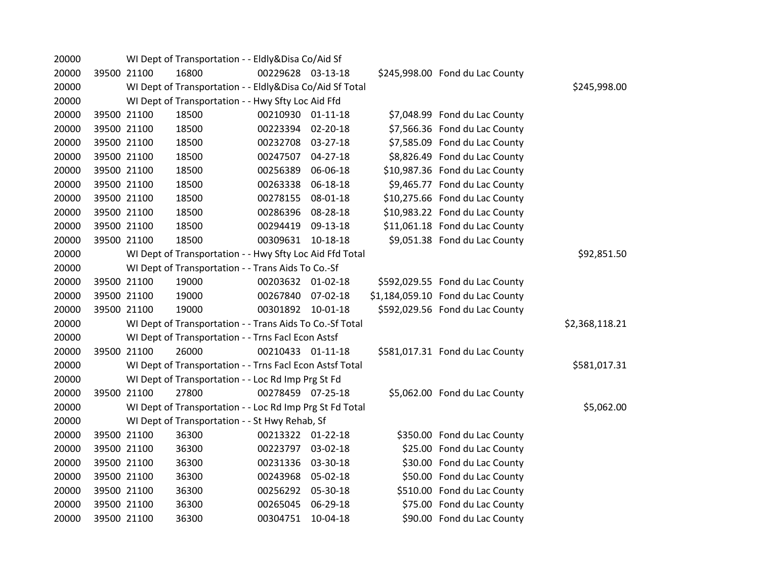| 20000 |             |             | WI Dept of Transportation - - Eldly&Disa Co/Aid Sf       |                   |          |                                   |                |
|-------|-------------|-------------|----------------------------------------------------------|-------------------|----------|-----------------------------------|----------------|
| 20000 |             | 39500 21100 | 16800                                                    | 00229628 03-13-18 |          | \$245,998.00 Fond du Lac County   |                |
| 20000 |             |             | WI Dept of Transportation - - Eldly&Disa Co/Aid Sf Total |                   |          |                                   | \$245,998.00   |
| 20000 |             |             | WI Dept of Transportation - - Hwy Sfty Loc Aid Ffd       |                   |          |                                   |                |
| 20000 |             | 39500 21100 | 18500                                                    | 00210930 01-11-18 |          | \$7,048.99 Fond du Lac County     |                |
| 20000 |             | 39500 21100 | 18500                                                    | 00223394 02-20-18 |          | \$7,566.36 Fond du Lac County     |                |
| 20000 | 39500 21100 |             | 18500                                                    | 00232708 03-27-18 |          | \$7,585.09 Fond du Lac County     |                |
| 20000 | 39500 21100 |             | 18500                                                    | 00247507 04-27-18 |          | \$8,826.49 Fond du Lac County     |                |
| 20000 |             | 39500 21100 | 18500                                                    | 00256389          | 06-06-18 | \$10,987.36 Fond du Lac County    |                |
| 20000 |             | 39500 21100 | 18500                                                    | 00263338          | 06-18-18 | \$9,465.77 Fond du Lac County     |                |
| 20000 | 39500 21100 |             | 18500                                                    | 00278155 08-01-18 |          | \$10,275.66 Fond du Lac County    |                |
| 20000 | 39500 21100 |             | 18500                                                    | 00286396          | 08-28-18 | \$10,983.22 Fond du Lac County    |                |
| 20000 | 39500 21100 |             | 18500                                                    | 00294419          | 09-13-18 | \$11,061.18 Fond du Lac County    |                |
| 20000 | 39500 21100 |             | 18500                                                    | 00309631          | 10-18-18 | \$9,051.38 Fond du Lac County     |                |
| 20000 |             |             | WI Dept of Transportation - - Hwy Sfty Loc Aid Ffd Total |                   |          |                                   | \$92,851.50    |
| 20000 |             |             | WI Dept of Transportation - - Trans Aids To Co.-Sf       |                   |          |                                   |                |
| 20000 |             | 39500 21100 | 19000                                                    | 00203632 01-02-18 |          | \$592,029.55 Fond du Lac County   |                |
| 20000 |             | 39500 21100 | 19000                                                    | 00267840 07-02-18 |          | \$1,184,059.10 Fond du Lac County |                |
| 20000 |             | 39500 21100 | 19000                                                    | 00301892          | 10-01-18 | \$592,029.56 Fond du Lac County   |                |
| 20000 |             |             | WI Dept of Transportation - - Trans Aids To Co.-Sf Total |                   |          |                                   | \$2,368,118.21 |
| 20000 |             |             | WI Dept of Transportation - - Trns Facl Econ Astsf       |                   |          |                                   |                |
| 20000 |             | 39500 21100 | 26000                                                    | 00210433 01-11-18 |          | \$581,017.31 Fond du Lac County   |                |
| 20000 |             |             | WI Dept of Transportation - - Trns Facl Econ Astsf Total |                   |          |                                   | \$581,017.31   |
| 20000 |             |             | WI Dept of Transportation - - Loc Rd Imp Prg St Fd       |                   |          |                                   |                |
| 20000 |             | 39500 21100 | 27800                                                    | 00278459 07-25-18 |          | \$5,062.00 Fond du Lac County     |                |
| 20000 |             |             | WI Dept of Transportation - - Loc Rd Imp Prg St Fd Total |                   |          |                                   | \$5,062.00     |
| 20000 |             |             | WI Dept of Transportation - - St Hwy Rehab, Sf           |                   |          |                                   |                |
| 20000 |             | 39500 21100 | 36300                                                    | 00213322 01-22-18 |          | \$350.00 Fond du Lac County       |                |
| 20000 | 39500 21100 |             | 36300                                                    | 00223797 03-02-18 |          | \$25.00 Fond du Lac County        |                |
| 20000 | 39500 21100 |             | 36300                                                    | 00231336          | 03-30-18 | \$30.00 Fond du Lac County        |                |
| 20000 |             | 39500 21100 | 36300                                                    | 00243968          | 05-02-18 | \$50.00 Fond du Lac County        |                |
| 20000 | 39500 21100 |             | 36300                                                    | 00256292          | 05-30-18 | \$510.00 Fond du Lac County       |                |
| 20000 | 39500 21100 |             | 36300                                                    | 00265045          | 06-29-18 | \$75.00 Fond du Lac County        |                |
| 20000 |             | 39500 21100 | 36300                                                    | 00304751          | 10-04-18 | \$90.00 Fond du Lac County        |                |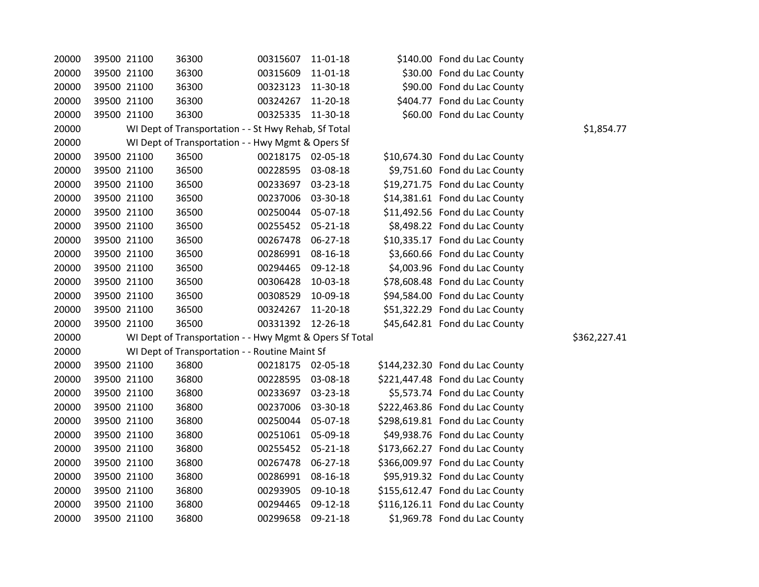| 20000 | 39500 21100 |             | 36300                                                   | 00315607          | 11-01-18       | \$140.00 Fond du Lac County     |              |
|-------|-------------|-------------|---------------------------------------------------------|-------------------|----------------|---------------------------------|--------------|
| 20000 |             | 39500 21100 | 36300                                                   | 00315609          | $11 - 01 - 18$ | \$30.00 Fond du Lac County      |              |
| 20000 |             | 39500 21100 | 36300                                                   | 00323123          | 11-30-18       | \$90.00 Fond du Lac County      |              |
| 20000 | 39500 21100 |             | 36300                                                   | 00324267          | 11-20-18       | \$404.77 Fond du Lac County     |              |
| 20000 | 39500 21100 |             | 36300                                                   | 00325335          | 11-30-18       | \$60.00 Fond du Lac County      |              |
| 20000 |             |             | WI Dept of Transportation - - St Hwy Rehab, Sf Total    |                   |                |                                 | \$1,854.77   |
| 20000 |             |             | WI Dept of Transportation - - Hwy Mgmt & Opers Sf       |                   |                |                                 |              |
| 20000 |             | 39500 21100 | 36500                                                   | 00218175 02-05-18 |                | \$10,674.30 Fond du Lac County  |              |
| 20000 | 39500 21100 |             | 36500                                                   | 00228595          | 03-08-18       | \$9,751.60 Fond du Lac County   |              |
| 20000 | 39500 21100 |             | 36500                                                   | 00233697          | 03-23-18       | \$19,271.75 Fond du Lac County  |              |
| 20000 |             | 39500 21100 | 36500                                                   | 00237006          | 03-30-18       | \$14,381.61 Fond du Lac County  |              |
| 20000 |             | 39500 21100 | 36500                                                   | 00250044          | 05-07-18       | \$11,492.56 Fond du Lac County  |              |
| 20000 |             | 39500 21100 | 36500                                                   | 00255452          | $05 - 21 - 18$ | \$8,498.22 Fond du Lac County   |              |
| 20000 |             | 39500 21100 | 36500                                                   | 00267478          | 06-27-18       | \$10,335.17 Fond du Lac County  |              |
| 20000 | 39500 21100 |             | 36500                                                   | 00286991          | 08-16-18       | \$3,660.66 Fond du Lac County   |              |
| 20000 |             | 39500 21100 | 36500                                                   | 00294465          | 09-12-18       | \$4,003.96 Fond du Lac County   |              |
| 20000 |             | 39500 21100 | 36500                                                   | 00306428          | 10-03-18       | \$78,608.48 Fond du Lac County  |              |
| 20000 | 39500 21100 |             | 36500                                                   | 00308529          | 10-09-18       | \$94,584.00 Fond du Lac County  |              |
| 20000 |             | 39500 21100 | 36500                                                   | 00324267          | 11-20-18       | \$51,322.29 Fond du Lac County  |              |
| 20000 |             | 39500 21100 | 36500                                                   | 00331392 12-26-18 |                | \$45,642.81 Fond du Lac County  |              |
| 20000 |             |             | WI Dept of Transportation - - Hwy Mgmt & Opers Sf Total |                   |                |                                 | \$362,227.41 |
| 20000 |             |             | WI Dept of Transportation - - Routine Maint Sf          |                   |                |                                 |              |
| 20000 | 39500 21100 |             | 36800                                                   | 00218175 02-05-18 |                | \$144,232.30 Fond du Lac County |              |
| 20000 |             | 39500 21100 | 36800                                                   | 00228595          | 03-08-18       | \$221,447.48 Fond du Lac County |              |
| 20000 | 39500 21100 |             | 36800                                                   | 00233697          | 03-23-18       | \$5,573.74 Fond du Lac County   |              |
| 20000 |             | 39500 21100 | 36800                                                   | 00237006          | 03-30-18       | \$222,463.86 Fond du Lac County |              |
| 20000 |             | 39500 21100 | 36800                                                   | 00250044          | 05-07-18       | \$298,619.81 Fond du Lac County |              |
| 20000 | 39500 21100 |             | 36800                                                   | 00251061          | 05-09-18       | \$49,938.76 Fond du Lac County  |              |
| 20000 | 39500 21100 |             | 36800                                                   | 00255452          | $05 - 21 - 18$ | \$173,662.27 Fond du Lac County |              |
| 20000 | 39500 21100 |             | 36800                                                   | 00267478          | 06-27-18       | \$366,009.97 Fond du Lac County |              |
| 20000 |             | 39500 21100 | 36800                                                   | 00286991          | 08-16-18       | \$95,919.32 Fond du Lac County  |              |
| 20000 |             | 39500 21100 | 36800                                                   | 00293905          | 09-10-18       | \$155,612.47 Fond du Lac County |              |
| 20000 | 39500 21100 |             | 36800                                                   | 00294465          | 09-12-18       | \$116,126.11 Fond du Lac County |              |
| 20000 | 39500 21100 |             | 36800                                                   | 00299658          | 09-21-18       | \$1,969.78 Fond du Lac County   |              |